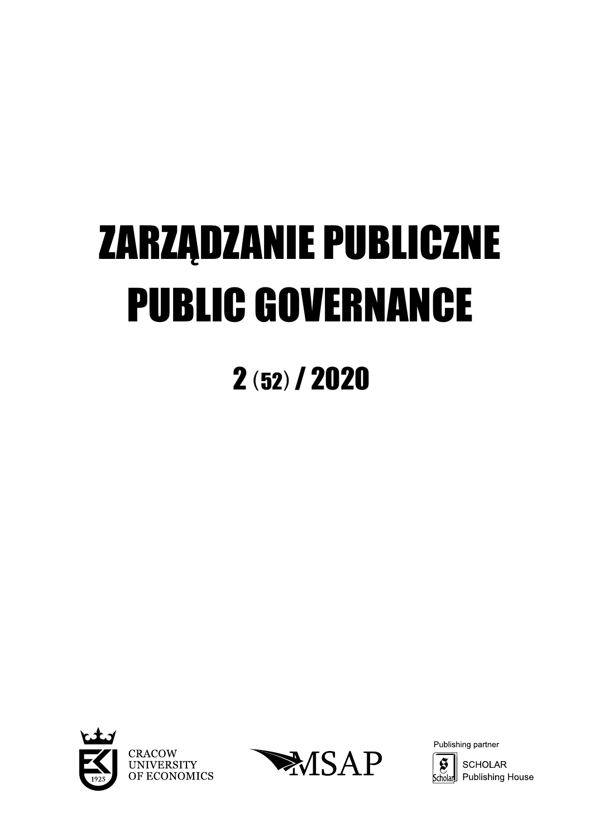# ZARZĄDZANIE PUBLICZNE **PUBLIC GOVERNANCE**

# $2(52)$  / 2020





Publishing partner

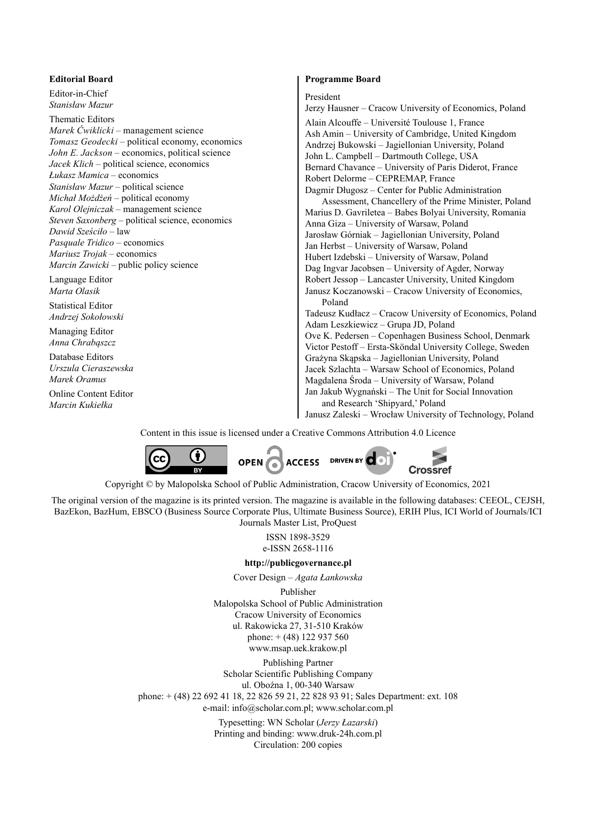#### **Editorial Board**

Editor-in-Chief *Stanisław Mazur*

Thematic Editors *Marek Ćwiklicki* – management science *Tomasz Geodecki* – political economy, economics *John E. Jackson* – economics, political science *Jacek Klich* – political science, economics *Łukasz Mamica* – economics *Stanisław Mazur* – political science *Michał Możdżeń* – political economy *Karol Olejniczak* – management science *Steven Saxonberg* – political science, economics *Dawid Sześciło* – law *Pasquale Tridico* – economics *Mariusz Trojak* – economics *Marcin Zawicki* – public policy science

Language Editor *Marta Olasik*

Statistical Editor *Andrzej Sokołowski*

Managing Editor *Anna Chrabąszcz*

Database Editors *Urszula Cieraszewska Marek Oramus* Online Content Editor

*Marcin Kukiełka*

#### **Programme Board**

#### President

Jerzy Hausner – Cracow University of Economics, Poland Alain Alcouffe – Université Toulouse 1, France Ash Amin – University of Cambridge, United Kingdom Andrzej Bukowski – Jagiellonian University, Poland John L. Campbell – Dartmouth College, USA Bernard Chavance – University of Paris Diderot, France Robert Delorme – CEPREMAP, France Dagmir Długosz – Center for Public Administration Assessment, Chancellery of the Prime Minister, Poland Marius D. Gavriletea – Babes Bolyai University, Romania Anna Giza – University of Warsaw, Poland Jarosław Górniak – Jagiellonian University, Poland Jan Herbst – University of Warsaw, Poland Hubert Izdebski – University of Warsaw, Poland Dag Ingvar Jacobsen – University of Agder, Norway Robert Jessop – Lancaster University, United Kingdom Janusz Koczanowski – Cracow University of Economics, Poland Tadeusz Kudłacz – Cracow University of Economics, Poland Adam Leszkiewicz – Grupa JD, Poland Ove K. Pedersen – Copenhagen Business School, Denmark Victor Pestoff – Ersta-Sköndal University College, Sweden Grażyna Skąpska – Jagiellonian University, Poland Jacek Szlachta – Warsaw School of Economics, Poland Magdalena Środa – University of Warsaw, Poland Jan Jakub Wygnański – The Unit for Social Innovation and Research 'Shipyard,' Poland Janusz Zaleski – Wrocław University of Technology, Poland

Content in this issue is licensed under a Creative Commons Attribution 4.0 Licence



Copyright © by Malopolska School of Public Administration, Cracow University of Economics, 2021

The original version of the magazine is its printed version. The magazine is available in the following databases: CEEOL, CEJSH, BazEkon, BazHum, EBSCO (Business Source Corporate Plus, Ultimate Business Source), ERIH Plus, ICI World of Journals/ICI Journals Master List, ProQuest

> ISSN 1898-3529 e-ISSN 2658-1116

#### **http://publicgovernance.pl**

Cover Design – *Agata Łankowska*

Publisher Malopolska School of Public Administration Cracow University of Economics ul. Rakowicka 27, 31-510 Kraków phone:  $+(48)$  122 937 560 www.msap.uek.krakow.pl

Publishing Partner Scholar Scientific Publishing Company ul. Oboźna 1, 00-340 Warsaw phone: + (48) 22 692 41 18, 22 826 59 21, 22 828 93 91; Sales Department: ext. 108 e-mail: info@scholar.com.pl; www.scholar.com.pl

> Typesetting: WN Scholar (*Jerzy Łazarski*) Printing and binding: www.druk-24h.com.pl Circulation: 200 copies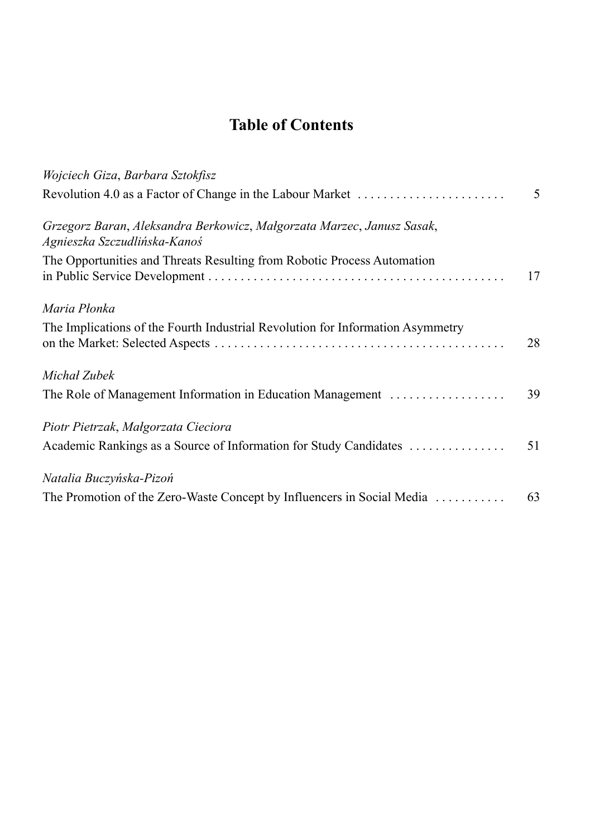# **Table of Contents**

| Wojciech Giza, Barbara Sztokfisz                                                                       |    |
|--------------------------------------------------------------------------------------------------------|----|
| Revolution 4.0 as a Factor of Change in the Labour Market                                              | 5  |
| Grzegorz Baran, Aleksandra Berkowicz, Małgorzata Marzec, Janusz Sasak,<br>Agnieszka Szczudlińska-Kanoś |    |
| The Opportunities and Threats Resulting from Robotic Process Automation                                | 17 |
| Maria Płonka                                                                                           |    |
| The Implications of the Fourth Industrial Revolution for Information Asymmetry                         | 28 |
| Michał Zubek                                                                                           |    |
| The Role of Management Information in Education Management                                             | 39 |
| Piotr Pietrzak, Małgorzata Cieciora                                                                    |    |
| Academic Rankings as a Source of Information for Study Candidates                                      | 51 |
| Natalia Buczyńska-Pizoń                                                                                |    |
| The Promotion of the Zero-Waste Concept by Influencers in Social Media                                 | 63 |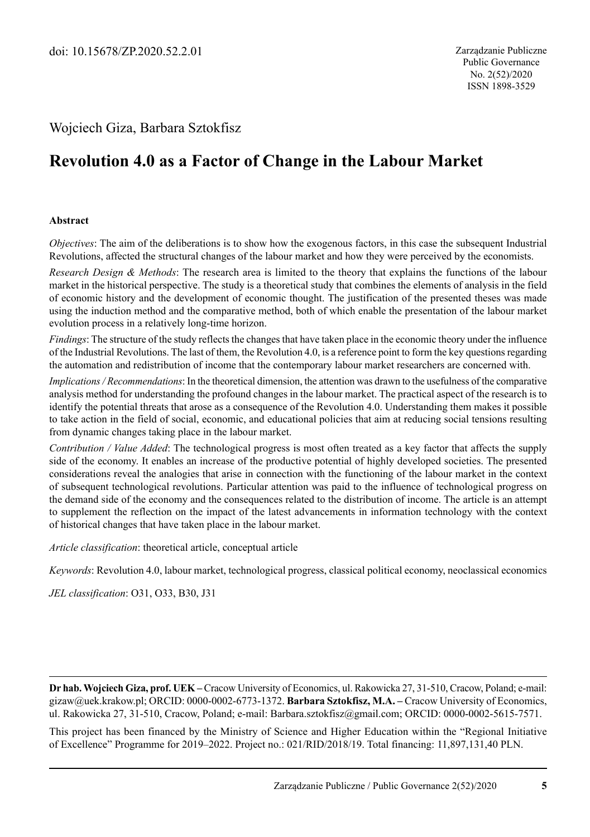# Wojciech Giza, Barbara Sztokfisz

# **Revolution 4.0 as a Factor of Change in the Labour Market**

#### **Abstract**

*Objectives*: The aim of the deliberations is to show how the exogenous factors, in this case the subsequent Industrial Revolutions, affected the structural changes of the labour market and how they were perceived by the economists.

*Research Design & Methods*: The research area is limited to the theory that explains the functions of the labour market in the historical perspective. The study is a theoretical study that combines the elements of analysis in the field of economic history and the development of economic thought. The justification of the presented theses was made using the induction method and the comparative method, both of which enable the presentation of the labour market evolution process in a relatively long-time horizon.

*Findings*: The structure of the study reflects the changes that have taken place in the economic theory under the influence of the Industrial Revolutions. The last of them, the Revolution 4.0, is a reference point to form the key questions regarding the automation and redistribution of income that the contemporary labour market researchers are concerned with.

*Implications / Recommendations*: In the theoretical dimension, the attention was drawn to the usefulness of the comparative analysis method for understanding the profound changes in the labour market. The practical aspect of the research is to identify the potential threats that arose as a consequence of the Revolution 4.0. Understanding them makes it possible to take action in the field of social, economic, and educational policies that aim at reducing social tensions resulting from dynamic changes taking place in the labour market.

*Contribution / Value Added*: The technological progress is most often treated as a key factor that affects the supply side of the economy. It enables an increase of the productive potential of highly developed societies. The presented considerations reveal the analogies that arise in connection with the functioning of the labour market in the context of subsequent technological revolutions. Particular attention was paid to the influence of technological progress on the demand side of the economy and the consequences related to the distribution of income. The article is an attempt to supplement the reflection on the impact of the latest advancements in information technology with the context of historical changes that have taken place in the labour market.

*Article classification*: theoretical article, conceptual article

*Keywords*: Revolution 4.0, labour market, technological progress, classical political economy, neoclassical economics

*JEL classification*: O31, O33, B30, J31

**Dr hab. Wojciech Giza, prof. UEK –** Cracow University of Economics, ul. Rakowicka 27, 31-510, Cracow, Poland; e-mail: gizaw@uek.krakow.pl; ORCID: 0000-0002-6773-1372. **Barbara Sztokfisz, M.A. –** Cracow University of Economics, ul. Rakowicka 27, 31-510, Cracow, Poland; e-mail: Barbara.sztokfisz@gmail.com; ORCID: 0000-0002-5615-7571.

This project has been financed by the Ministry of Science and Higher Education within the "Regional Initiative of Excellence" Programme for 2019–2022. Project no.: 021/RID/2018/19. Total financing: 11,897,131,40 PLN.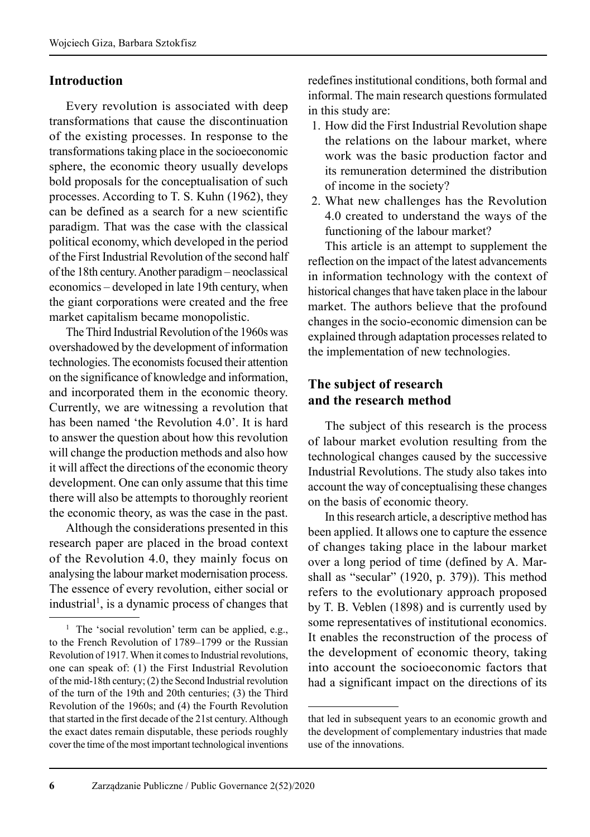# **Introduction**

Every revolution is associated with deep transformations that cause the discontinuation of the existing processes. In response to the transformations taking place in the socioeconomic sphere, the economic theory usually develops bold proposals for the conceptualisation of such processes. According to T. S. Kuhn (1962), they can be defined as a search for a new scientific paradigm. That was the case with the classical political economy, which developed in the period of the First Industrial Revolution of the second half of the 18th century. Another paradigm – neoclassical economics – developed in late 19th century, when the giant corporations were created and the free market capitalism became monopolistic.

The Third Industrial Revolution of the 1960s was overshadowed by the development of information technologies. The economists focused their attention on the significance of knowledge and information, and incorporated them in the economic theory. Currently, we are witnessing a revolution that has been named 'the Revolution 4.0'. It is hard to answer the question about how this revolution will change the production methods and also how it will affect the directions of the economic theory development. One can only assume that this time there will also be attempts to thoroughly reorient the economic theory, as was the case in the past.

Although the considerations presented in this research paper are placed in the broad context of the Revolution 4.0, they mainly focus on analysing the labour market modernisation process. The essence of every revolution, either social or industrial<sup>1</sup>, is a dynamic process of changes that redefines institutional conditions, both formal and informal. The main research questions formulated in this study are:

- 1. How did the First Industrial Revolution shape the relations on the labour market, where work was the basic production factor and its remuneration determined the distribution of income in the society?
- 2. What new challenges has the Revolution 4.0 created to understand the ways of the functioning of the labour market?

This article is an attempt to supplement the reflection on the impact of the latest advancements in information technology with the context of historical changes that have taken place in the labour market. The authors believe that the profound changes in the socio-economic dimension can be explained through adaptation processes related to the implementation of new technologies.

# **The subject of research and the research method**

The subject of this research is the process of labour market evolution resulting from the technological changes caused by the successive Industrial Revolutions. The study also takes into account the way of conceptualising these changes on the basis of economic theory.

In this research article, a descriptive method has been applied. It allows one to capture the essence of changes taking place in the labour market over a long period of time (defined by A. Marshall as "secular" (1920, p. 379)). This method refers to the evolutionary approach proposed by T. B. Veblen (1898) and is currently used by some representatives of institutional economics. It enables the reconstruction of the process of the development of economic theory, taking into account the socioeconomic factors that had a significant impact on the directions of its

<sup>&</sup>lt;sup>1</sup> The 'social revolution' term can be applied, e.g., to the French Revolution of 1789–1799 or the Russian Revolution of 1917. When it comes to Industrial revolutions, one can speak of: (1) the First Industrial Revolution of the mid-18th century; (2) the Second Industrial revolution of the turn of the 19th and 20th centuries; (3) the Third Revolution of the 1960s; and (4) the Fourth Revolution that started in the first decade of the 21st century. Although the exact dates remain disputable, these periods roughly cover the time of the most important technological inventions

that led in subsequent years to an economic growth and the development of complementary industries that made use of the innovations.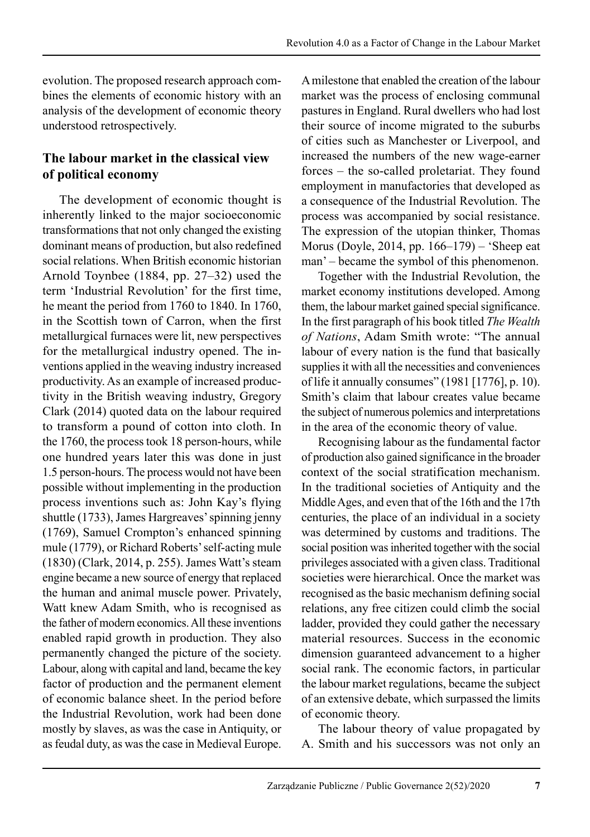evolution. The proposed research approach combines the elements of economic history with an analysis of the development of economic theory understood retrospectively.

# **The labour market in the classical view of political economy**

The development of economic thought is inherently linked to the major socioeconomic transformations that not only changed the existing dominant means of production, but also redefined social relations. When British economic historian Arnold Toynbee (1884, pp. 27–32) used the term 'Industrial Revolution' for the first time, he meant the period from 1760 to 1840. In 1760, in the Scottish town of Carron, when the first metallurgical furnaces were lit, new perspectives for the metallurgical industry opened. The inventions applied in the weaving industry increased productivity. As an example of increased produc tivity in the British weaving industry, Gregory Clark (2014) quoted data on the labour required to transform a pound of cotton into cloth. In the 1760, the process took 18 person-hours, while one hundred years later this was done in just 1.5 person-hours. The process would not have been possible without implementing in the production process inventions such as: John Kay's flying shuttle (1733), James Hargreaves' spinning jenny (1769), Samuel Crompton's enhanced spinning mule (1779), or Richard Roberts' self-acting mule (1830) (Clark, 2014, p. 255). James Watt's steam engine became a new source of energy that replaced the human and animal muscle power. Privately, Watt knew Adam Smith, who is recognised as the father of modern economics. All these inventions enabled rapid growth in production. They also permanently changed the picture of the society. Labour, along with capital and land, became the key factor of production and the permanent element of economic balance sheet. In the period before the Industrial Revolution, work had been done mostly by slaves, as was the case in Antiquity, or as feudal duty, as was the case in Medieval Europe. A milestone that enabled the creation of the labour market was the process of enclosing communal pastures in England. Rural dwellers who had lost their source of income migrated to the suburbs of cities such as Manchester or Liverpool, and increased the numbers of the new wage-earner forces – the so-called proletariat. They found employment in manufactories that developed as a consequence of the Industrial Revolution. The process was accompanied by social resistance. The expression of the utopian thinker, Thomas Morus (Doyle, 2014, pp. 166–179) – 'Sheep eat man' – became the symbol of this phenomenon.

Together with the Industrial Revolution, the market economy institutions developed. Among them, the labour market gained special significance. In the first paragraph of his book titled *The Wealth of Nations*, Adam Smith wrote: "The annual labour of every nation is the fund that basically supplies it with all the necessities and conveniences of life it annually consumes" (1981 [1776], p. 10). Smith's claim that labour creates value became the subject of numerous polemics and interpretations in the area of the economic theory of value.

Recognising labour as the fundamental factor of production also gained significance in the broader context of the social stratification mechanism. In the traditional societies of Antiquity and the Middle Ages, and even that of the 16th and the 17th centuries, the place of an individual in a society was determined by customs and traditions. The social position was inherited together with the social privileges associated with a given class. Traditional societies were hierarchical. Once the market was recognised as the basic mechanism defining social relations, any free citizen could climb the social ladder, provided they could gather the necessary material resources. Success in the economic dimension guaranteed advancement to a higher social rank. The economic factors, in particular the labour market regulations, became the subject of an extensive debate, which surpassed the limits of economic theory.

The labour theory of value propagated by A. Smith and his successors was not only an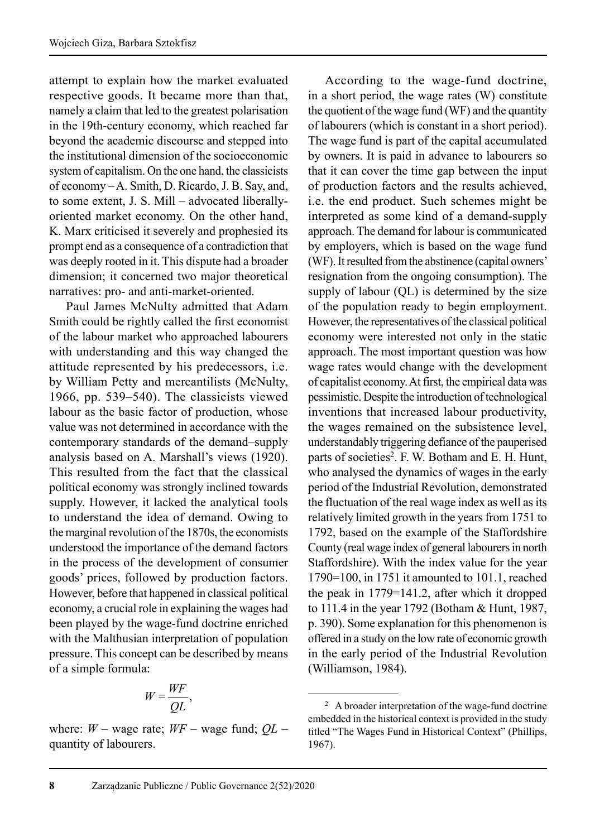attempt to explain how the market evaluated respective goods. It became more than that, namely a claim that led to the greatest polarisation in the 19th-century economy, which reached far beyond the academic discourse and stepped into the institutional dimension of the socioeconomic system of capitalism. On the one hand, the classicists of economy – A. Smith, D. Ricardo, J. B. Say, and, to some extent, J. S. Mill – advocated liberallyoriented market economy. On the other hand, K. Marx criticised it severely and prophesied its prompt end as a consequence of a contradiction that was deeply rooted in it. This dispute had a broader dimension; it concerned two major theoretical narratives: pro- and anti-market-oriented.

Paul James McNulty admitted that Adam Smith could be rightly called the first economist of the labour market who approached labourers with understanding and this way changed the attitude represented by his predecessors, i.e. by William Petty and mercantilists (McNulty, 1966, pp. 539–540). The classicists viewed labour as the basic factor of production, whose value was not determined in accordance with the contemporary standards of the demand–supply analysis based on A. Marshall's views (1920). This resulted from the fact that the classical political economy was strongly inclined towards supply. However, it lacked the analytical tools to understand the idea of demand. Owing to the marginal revolution of the 1870s, the economists understood the importance of the demand factors in the process of the development of consumer goods' prices, followed by production factors. However, before that happened in classical political economy, a crucial role in explaining the wages had been played by the wage-fund doctrine enriched with the Malthusian interpretation of population pressure. This concept can be described by means of a simple formula:

$$
W = \frac{W F}{Q L},
$$

where: *W* – wage rate; *WF* – wage fund; *QL* – quantity of labourers.

According to the wage-fund doctrine, in a short period, the wage rates (W) constitute the quotient of the wage fund (WF) and the quantity of labourers (which is constant in a short period). The wage fund is part of the capital accumulated by owners. It is paid in advance to labourers so that it can cover the time gap between the input of production factors and the results achieved, i.e. the end product. Such schemes might be interpreted as some kind of a demand-supply approach. The demand for labour is communicated by employers, which is based on the wage fund (WF). It resulted from the abstinence (capital owners' resignation from the ongoing consumption). The supply of labour (QL) is determined by the size of the population ready to begin employment. However, the representatives of the classical political economy were interested not only in the static approach. The most important question was how wage rates would change with the development of capitalist economy. At first, the empirical data was pessimistic. Despite the introduction of technological inventions that increased labour productivity, the wages remained on the subsistence level, understandably triggering defiance of the pauperised parts of societies<sup>2</sup>. F. W. Botham and E. H. Hunt, who analysed the dynamics of wages in the early period of the Industrial Revolution, demonstrated the fluctuation of the real wage index as well as its relatively limited growth in the years from 1751 to 1792, based on the example of the Staffordshire County (real wage index of general labourers in north Staffordshire). With the index value for the year 1790=100, in 1751 it amounted to 101.1, reached the peak in 1779=141.2, after which it dropped to 111.4 in the year 1792 (Botham & Hunt, 1987, p. 390). Some explanation for this phenomenon is offered in a study on the low rate of economic growth in the early period of the Industrial Revolution (Williamson, 1984).

<sup>&</sup>lt;sup>2</sup> A broader interpretation of the wage-fund doctrine embedded in the historical context is provided in the study titled "The Wages Fund in Historical Context" (Phillips, 1967).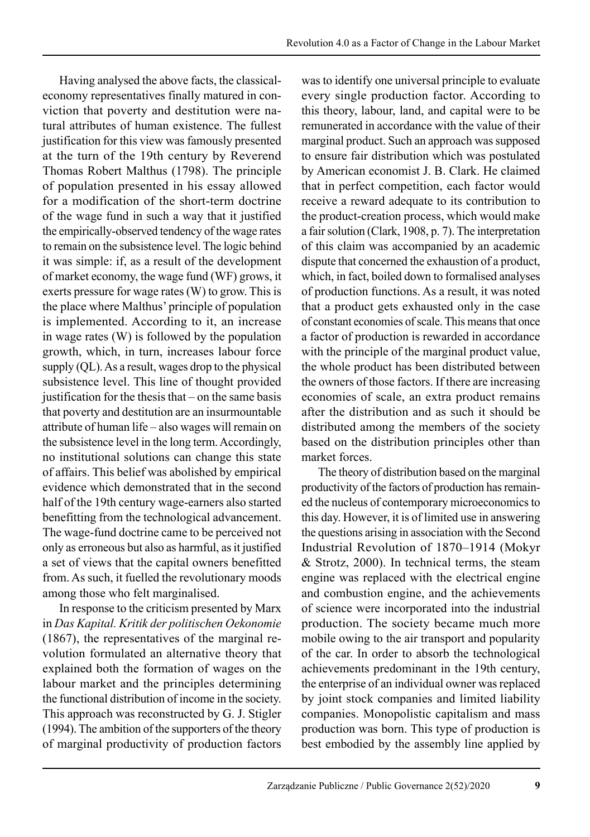Having analysed the above facts, the classicaleconomy representatives finally matured in conviction that poverty and destitution were natural attributes of human existence. The fullest justification for this view was famously presented at the turn of the 19th century by Reverend Thomas Robert Malthus (1798). The principle of population presented in his essay allowed for a modification of the short-term doctrine of the wage fund in such a way that it justified the empirically-observed tendency of the wage rates to remain on the subsistence level. The logic behind it was simple: if, as a result of the development of market economy, the wage fund (WF) grows, it exerts pressure for wage rates (W) to grow. This is the place where Malthus' principle of population is implemented. According to it, an increase in wage rates (W) is followed by the population growth, which, in turn, increases labour force supply (QL). As a result, wages drop to the physical subsistence level. This line of thought provided justification for the thesis that – on the same basis that poverty and destitution are an insurmountable attribute of human life – also wages will remain on the subsistence level in the long term. Accordingly, no institutional solutions can change this state of affairs. This belief was abolished by empirical evidence which demonstrated that in the second half of the 19th century wage-earners also started benefitting from the technological advancement. The wage-fund doctrine came to be perceived not only as erroneous but also as harmful, as it justified a set of views that the capital owners benefitted from. As such, it fuelled the revolutionary moods among those who felt marginalised.

In response to the criticism presented by Marx in *Das Kapital. Kritik der politischen Oekonomie*   $(1867)$ , the representatives of the marginal revolution formulated an alternative theory that explained both the formation of wages on the labour market and the principles determining the functional distribution of income in the society. This approach was reconstructed by G. J. Stigler (1994). The ambition of the supporters of the theory of marginal productivity of production factors was to identify one universal principle to evaluate every single production factor. According to this theory, labour, land, and capital were to be remunerated in accordance with the value of their marginal product. Such an approach was supposed to ensure fair distribution which was postulated by American economist J. B. Clark. He claimed that in perfect competition, each factor would receive a reward adequate to its contribution to the product-creation process, which would make a fair solution (Clark, 1908, p. 7). The interpretation of this claim was accompanied by an academic dispute that concerned the exhaustion of a product, which, in fact, boiled down to formalised analyses of production functions. As a result, it was noted that a product gets exhausted only in the case of constant economies of scale. This means that once a factor of production is rewarded in accordance with the principle of the marginal product value, the whole product has been distributed between the owners of those factors. If there are increasing economies of scale, an extra product remains after the distribution and as such it should be distributed among the members of the society based on the distribution principles other than market forces.

The theory of distribution based on the marginal productivity of the factors of production has remain ed the nucleus of contemporary microeconomics to this day. However, it is of limited use in answering the questions arising in association with the Second Industrial Revolution of 1870–1914 (Mokyr & Strotz, 2000). In technical terms, the steam engine was replaced with the electrical engine and combustion engine, and the achievements of science were incorporated into the industrial production. The society became much more mobile owing to the air transport and popularity of the car. In order to absorb the technological achievements predominant in the 19th century, the enterprise of an individual owner was replaced by joint stock companies and limited liability companies. Monopolistic capitalism and mass production was born. This type of production is best embodied by the assembly line applied by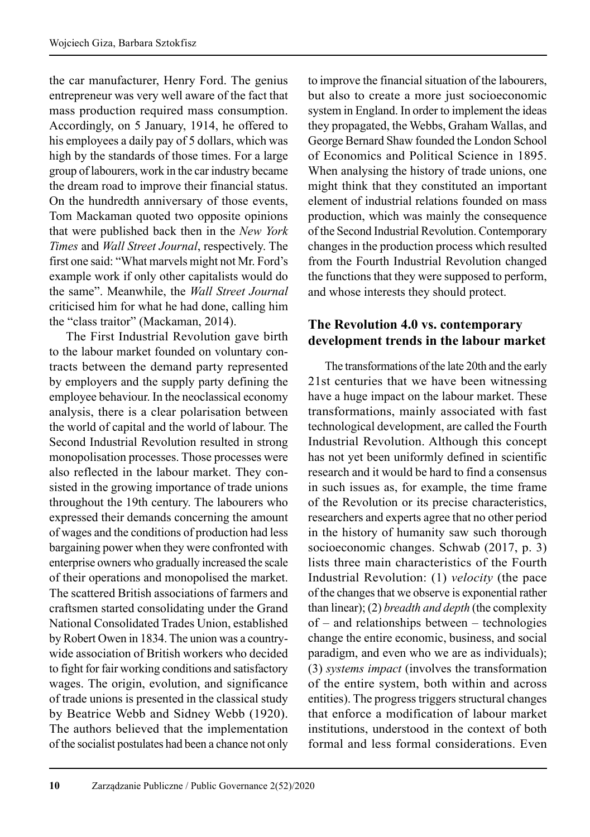the car manufacturer, Henry Ford. The genius entrepreneur was very well aware of the fact that mass production required mass consumption. Accordingly, on 5 January, 1914, he offered to his employees a daily pay of 5 dollars, which was high by the standards of those times. For a large group of labourers, work in the car industry became the dream road to improve their financial status. On the hundredth anniversary of those events, Tom Mackaman quoted two opposite opinions that were published back then in the *New York Times* and *Wall Street Journal*, respectively. The first one said: "What marvels might not Mr. Ford's example work if only other capitalists would do the same". Meanwhile, the *Wall Street Journal*  criticised him for what he had done, calling him the "class traitor" (Mackaman, 2014).

The First Industrial Revolution gave birth to the labour market founded on voluntary contracts between the demand party represented by employers and the supply party defining the employee behaviour. In the neoclassical economy analysis, there is a clear polarisation between the world of capital and the world of labour. The Second Industrial Revolution resulted in strong monopolisation processes. Those processes were also reflected in the labour market. They consisted in the growing importance of trade unions throughout the 19th century. The labourers who expressed their demands concerning the amount of wages and the conditions of production had less bargaining power when they were confronted with enterprise owners who gradually increased the scale of their operations and monopolised the market. The scattered British associations of farmers and craftsmen started consolidating under the Grand National Consolidated Trades Union, established by Robert Owen in 1834. The union was a countrywide association of British workers who decided to fight for fair working conditions and satisfactory wages. The origin, evolution, and significance of trade unions is presented in the classical study by Beatrice Webb and Sidney Webb (1920). The authors believed that the implementation of the socialist postulates had been a chance not only to improve the financial situation of the labourers, but also to create a more just socioeconomic system in England. In order to implement the ideas they propagated, the Webbs, Graham Wallas, and George Bernard Shaw founded the London School of Economics and Political Science in 1895. When analysing the history of trade unions, one might think that they constituted an important element of industrial relations founded on mass production, which was mainly the consequence of the Second Industrial Revolution. Contemporary changes in the production process which resulted from the Fourth Industrial Revolution changed the functions that they were supposed to perform, and whose interests they should protect.

# **The Revolution 4.0 vs. contemporary development trends in the labour market**

The transformations of the late 20th and the early 21st centuries that we have been witnessing have a huge impact on the labour market. These transformations, mainly associated with fast technological development, are called the Fourth Industrial Revolution. Although this concept has not yet been uniformly defined in scientific research and it would be hard to find a consensus in such issues as, for example, the time frame of the Revolution or its precise characteristics, researchers and experts agree that no other period in the history of humanity saw such thorough socioeconomic changes. Schwab (2017, p. 3) lists three main characteristics of the Fourth Industrial Revolution: (1) *velocity* (the pace of the changes that we observe is exponential rather than linear); (2) *breadth and depth* (the complexity of – and relationships between – technologies change the entire economic, business, and social paradigm, and even who we are as individuals); (3) *systems impact* (involves the transformation of the entire system, both within and across entities). The progress triggers structural changes that enforce a modification of labour market institutions, understood in the context of both formal and less formal considerations. Even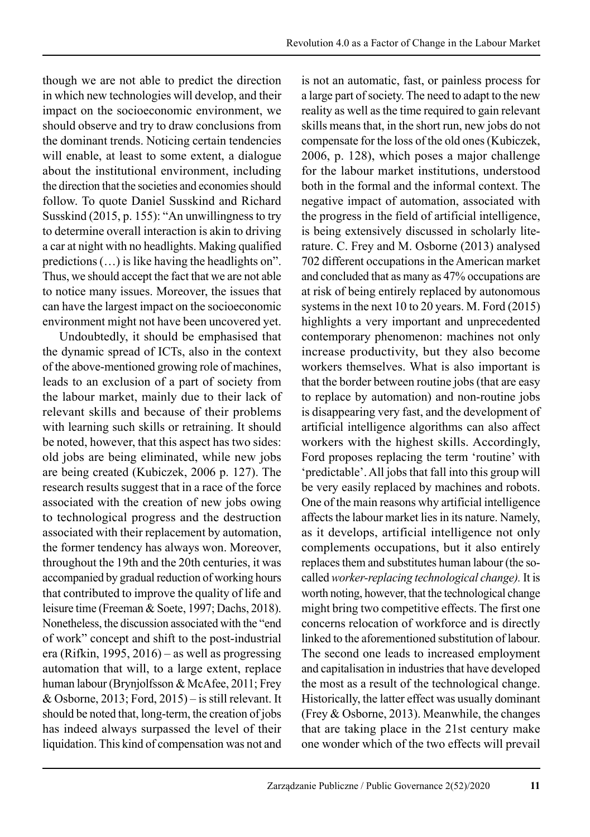though we are not able to predict the direction in which new technologies will develop, and their impact on the socioeconomic environment, we should observe and try to draw conclusions from the dominant trends. Noticing certain tendencies will enable, at least to some extent, a dialogue about the institutional environment, including the direction that the societies and economies should follow. To quote Daniel Susskind and Richard Susskind (2015, p. 155): "An unwillingness to try to determine overall interaction is akin to driving a car at night with no headlights. Making qualified predictions (…) is like having the headlights on". Thus, we should accept the fact that we are not able to notice many issues. Moreover, the issues that can have the largest impact on the socioeconomic environment might not have been uncovered yet.

Undoubtedly, it should be emphasised that the dynamic spread of ICTs, also in the context of the above-mentioned growing role of machines, leads to an exclusion of a part of society from the labour market, mainly due to their lack of relevant skills and because of their problems with learning such skills or retraining. It should be noted, however, that this aspect has two sides: old jobs are being eliminated, while new jobs are being created (Kubiczek, 2006 p. 127). The research results suggest that in a race of the force associated with the creation of new jobs owing to technological progress and the destruction associated with their replacement by automation, the former tendency has always won. Moreover, throughout the 19th and the 20th centuries, it was accompanied by gradual reduction of working hours that contributed to improve the quality of life and leisure time (Freeman & Soete, 1997; Dachs, 2018). Nonetheless, the discussion associated with the "end of work" concept and shift to the post-industrial era (Rifkin, 1995, 2016) – as well as progressing automation that will, to a large extent, replace human labour (Brynjolfsson & McAfee, 2011; Frey & Osborne, 2013; Ford, 2015) – is still relevant. It should be noted that, long-term, the creation of jobs has indeed always surpassed the level of their liquidation. This kind of compensation was not and is not an automatic, fast, or painless process for a large part of society. The need to adapt to the new reality as well as the time required to gain relevant skills means that, in the short run, new jobs do not compensate for the loss of the old ones (Kubiczek, 2006, p. 128), which poses a major challenge for the labour market institutions, understood both in the formal and the informal context. The negative impact of automation, associated with the progress in the field of artificial intelligence, is being extensively discussed in scholarly literature. C. Frey and M. Osborne (2013) analysed 702 different occupations in the American market and concluded that as many as 47% occupations are at risk of being entirely replaced by autonomous systems in the next 10 to 20 years. M. Ford (2015) highlights a very important and unprecedented contemporary phenomenon: machines not only increase productivity, but they also become workers themselves. What is also important is that the border between routine jobs (that are easy to replace by automation) and non-routine jobs is disappearing very fast, and the development of artificial intelligence algorithms can also affect workers with the highest skills. Accordingly, Ford proposes replacing the term 'routine' with 'predictable'. All jobs that fall into this group will be very easily replaced by machines and robots. One of the main reasons why artificial intelligence affects the labour market lies in its nature. Namely, as it develops, artificial intelligence not only complements occupations, but it also entirely replaces them and substitutes human labour (the socalled *worker-replacing technological change).* It is worth noting, however, that the technological change might bring two competitive effects. The first one concerns relocation of workforce and is directly linked to the aforementioned substitution of labour. The second one leads to increased employment and capitalisation in industries that have developed the most as a result of the technological change. Historically, the latter effect was usually dominant (Frey & Osborne, 2013). Meanwhile, the changes that are taking place in the 21st century make one wonder which of the two effects will prevail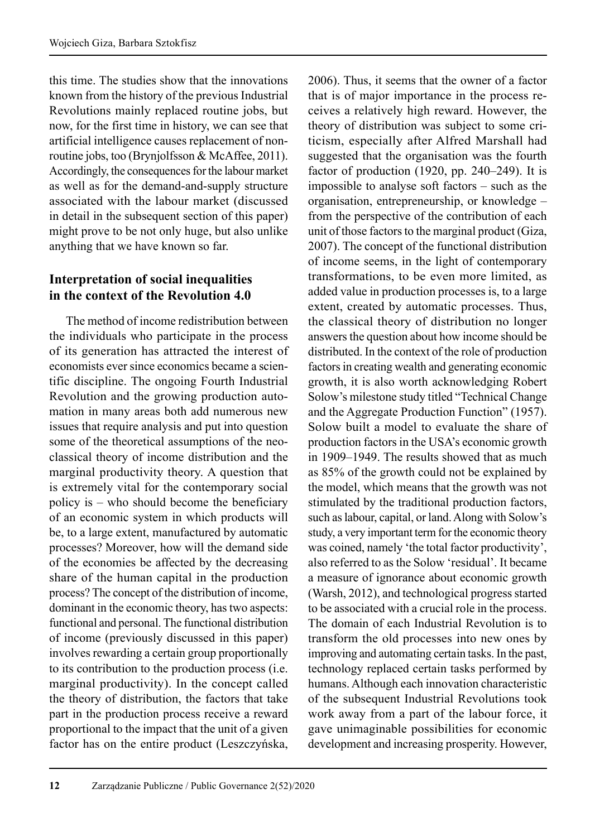this time. The studies show that the innovations known from the history of the previous Industrial Revolutions mainly replaced routine jobs, but now, for the first time in history, we can see that artificial intelligence causes replacement of nonroutine jobs, too (Brynjolfsson & McAffee, 2011). Accordingly, the consequences for the labour market as well as for the demand-and-supply structure associated with the labour market (discussed in detail in the subsequent section of this paper) might prove to be not only huge, but also unlike anything that we have known so far.

# **Interpretation of social inequalities in the context of the Revolution 4.0**

The method of income redistribution between the individuals who participate in the process of its generation has attracted the interest of economists ever since economics became a scientific discipline. The ongoing Fourth Industrial Revolution and the growing production automation in many areas both add numerous new issues that require analysis and put into question some of the theoretical assumptions of the neoclassical theory of income distribution and the marginal productivity theory. A question that is extremely vital for the contemporary social policy is – who should become the beneficiary of an economic system in which products will be, to a large extent, manufactured by automatic processes? Moreover, how will the demand side of the economies be affected by the decreasing share of the human capital in the production process? The concept of the distribution of income, dominant in the economic theory, has two aspects: functional and personal. The functional distribution of income (previously discussed in this paper) involves rewarding a certain group proportionally to its contribution to the production process (i.e. marginal productivity). In the concept called the theory of distribution, the factors that take part in the production process receive a reward proportional to the impact that the unit of a given factor has on the entire product (Leszczyńska,

2006). Thus, it seems that the owner of a factor that is of major importance in the process re ceives a relatively high reward. However, the theory of distribution was subject to some criticism, especially after Alfred Marshall had suggested that the organisation was the fourth factor of production (1920, pp. 240–249). It is impossible to analyse soft factors – such as the organisation, entrepreneurship, or knowledge – from the perspective of the contribution of each unit of those factors to the marginal product (Giza, 2007). The concept of the functional distribution of income seems, in the light of contemporary transformations, to be even more limited, as added value in production processes is, to a large extent, created by automatic processes. Thus, the classical theory of distribution no longer answers the question about how income should be distributed. In the context of the role of production factors in creating wealth and generating economic growth, it is also worth acknowledging Robert Solow's milestone study titled "Technical Change and the Aggregate Production Function" (1957). Solow built a model to evaluate the share of production factors in the USA's economic growth in 1909–1949. The results showed that as much as 85% of the growth could not be explained by the model, which means that the growth was not stimulated by the traditional production factors, such as labour, capital, or land. Along with Solow's study, a very important term for the economic theory was coined, namely 'the total factor productivity', also referred to as the Solow 'residual'. It became a measure of ignorance about economic growth (Warsh, 2012), and technological progress started to be associated with a crucial role in the process. The domain of each Industrial Revolution is to transform the old processes into new ones by improving and automating certain tasks. In the past, technology replaced certain tasks performed by humans. Although each innovation characteristic of the subsequent Industrial Revolutions took work away from a part of the labour force, it gave unimaginable possibilities for economic development and increasing prosperity. However,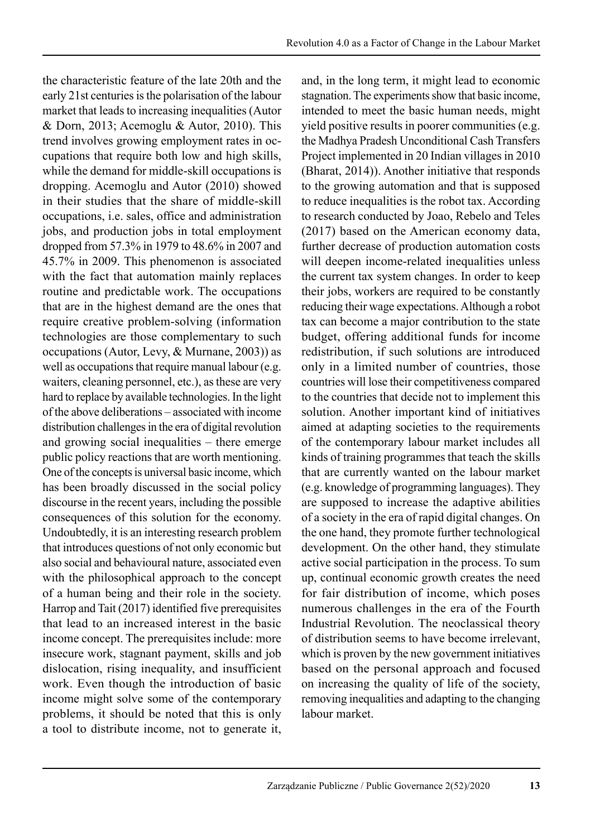the characteristic feature of the late 20th and the early 21st centuries is the polarisation of the labour market that leads to increasing inequalities (Autor & Dorn, 2013; Acemoglu & Autor, 2010). This trend involves growing employment rates in occupations that require both low and high skills, while the demand for middle-skill occupations is dropping. Acemoglu and Autor (2010) showed in their studies that the share of middle-skill occupations, i.e. sales, office and administration jobs, and production jobs in total employment dropped from 57.3% in 1979 to 48.6% in 2007 and 45.7% in 2009. This phenomenon is associated with the fact that automation mainly replaces routine and predictable work. The occupations that are in the highest demand are the ones that require creative problem-solving (information technologies are those complementary to such occupations (Autor, Levy, & Murnane, 2003)) as well as occupations that require manual labour (e.g. waiters, cleaning personnel, etc.), as these are very hard to replace by available technologies. In the light of the above deliberations – associated with income distribution challenges in the era of digital revolution and growing social inequalities – there emerge public policy reactions that are worth mentioning. One of the concepts is universal basic income, which has been broadly discussed in the social policy discourse in the recent years, including the possible consequences of this solution for the economy. Undoubtedly, it is an interesting research problem that introduces questions of not only economic but also social and behavioural nature, associated even with the philosophical approach to the concept of a human being and their role in the society. Harrop and Tait (2017) identified five prerequisites that lead to an increased interest in the basic income concept. The prerequisites include: more insecure work, stagnant payment, skills and job dislocation, rising inequality, and insufficient work. Even though the introduction of basic income might solve some of the contemporary problems, it should be noted that this is only a tool to distribute income, not to generate it, and, in the long term, it might lead to economic stagnation. The experiments show that basic income, intended to meet the basic human needs, might yield positive results in poorer communities (e.g. the Madhya Pradesh Unconditional Cash Transfers Project implemented in 20 Indian villages in 2010 (Bharat, 2014)). Another initiative that responds to the growing automation and that is supposed to reduce inequalities is the robot tax. According to research conducted by Joao, Rebelo and Teles (2017) based on the American economy data, further decrease of production automation costs will deepen income-related inequalities unless the current tax system changes. In order to keep their jobs, workers are required to be constantly reducing their wage expectations. Although a robot tax can become a major contribution to the state budget, offering additional funds for income redistribution, if such solutions are introduced only in a limited number of countries, those countries will lose their competitiveness compared to the countries that decide not to implement this solution. Another important kind of initiatives aimed at adapting societies to the requirements of the contemporary labour market includes all kinds of training programmes that teach the skills that are currently wanted on the labour market (e.g. knowledge of programming languages). They are supposed to increase the adaptive abilities of a society in the era of rapid digital changes. On the one hand, they promote further technological development. On the other hand, they stimulate active social participation in the process. To sum up, continual economic growth creates the need for fair distribution of income, which poses numerous challenges in the era of the Fourth Industrial Revolution. The neoclassical theory of distribution seems to have become irrelevant, which is proven by the new government initiatives based on the personal approach and focused on increasing the quality of life of the society, removing inequalities and adapting to the changing labour market.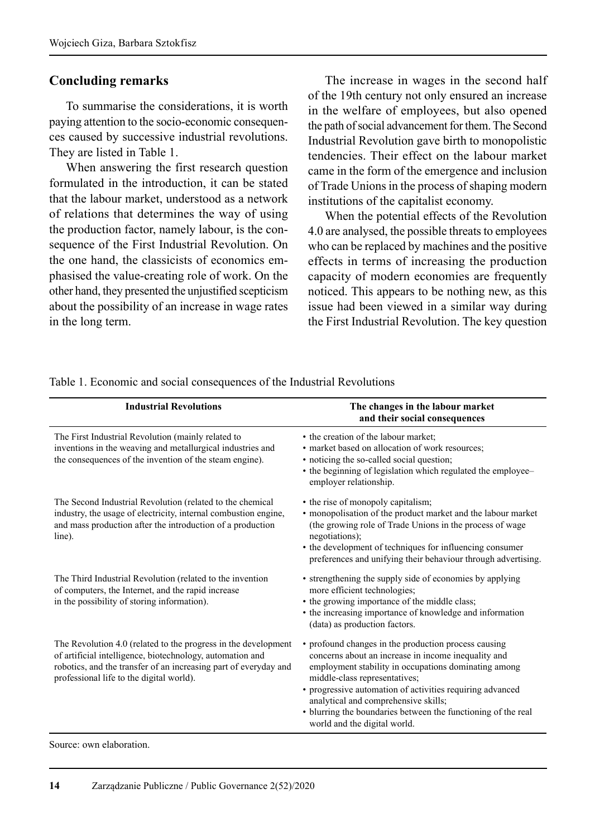#### **Concluding remarks**

To summarise the considerations, it is worth paying attention to the socio-economic consequences caused by successive industrial revolutions. They are listed in Table 1.

When answering the first research question formulated in the introduction, it can be stated that the labour market, understood as a network of relations that determines the way of using the production factor, namely labour, is the consequence of the First Industrial Revolution. On the one hand, the classicists of economics emphasised the value-creating role of work. On the other hand, they presented the unjustified scepticism about the possibility of an increase in wage rates in the long term.

The increase in wages in the second half of the 19th century not only ensured an increase in the welfare of employees, but also opened the path of social advancement for them. The Second Industrial Revolution gave birth to monopolistic tendencies. Their effect on the labour market came in the form of the emergence and inclusion of Trade Unions in the process of shaping modern institutions of the capitalist economy.

When the potential effects of the Revolution 4.0 are analysed, the possible threats to employees who can be replaced by machines and the positive effects in terms of increasing the production capacity of modern economies are frequently noticed. This appears to be nothing new, as this issue had been viewed in a similar way during the First Industrial Revolution. The key question

| <b>Industrial Revolutions</b>                                                                                                                                                                                                               | The changes in the labour market<br>and their social consequences                                                                                                                                                                                                                                                                                                                                          |
|---------------------------------------------------------------------------------------------------------------------------------------------------------------------------------------------------------------------------------------------|------------------------------------------------------------------------------------------------------------------------------------------------------------------------------------------------------------------------------------------------------------------------------------------------------------------------------------------------------------------------------------------------------------|
| The First Industrial Revolution (mainly related to<br>inventions in the weaving and metallurgical industries and<br>the consequences of the invention of the steam engine).                                                                 | • the creation of the labour market;<br>• market based on allocation of work resources:<br>• noticing the so-called social question;<br>• the beginning of legislation which regulated the employee-<br>employer relationship.                                                                                                                                                                             |
| The Second Industrial Revolution (related to the chemical<br>industry, the usage of electricity, internal combustion engine,<br>and mass production after the introduction of a production<br>line).                                        | • the rise of monopoly capitalism;<br>• monopolisation of the product market and the labour market<br>(the growing role of Trade Unions in the process of wage<br>negotiations);<br>• the development of techniques for influencing consumer<br>preferences and unifying their behaviour through advertising.                                                                                              |
| The Third Industrial Revolution (related to the invention<br>of computers, the Internet, and the rapid increase<br>in the possibility of storing information).                                                                              | • strengthening the supply side of economies by applying<br>more efficient technologies;<br>• the growing importance of the middle class;<br>• the increasing importance of knowledge and information<br>(data) as production factors.                                                                                                                                                                     |
| The Revolution 4.0 (related to the progress in the development<br>of artificial intelligence, biotechnology, automation and<br>robotics, and the transfer of an increasing part of everyday and<br>professional life to the digital world). | • profound changes in the production process causing<br>concerns about an increase in income inequality and<br>employment stability in occupations dominating among<br>middle-class representatives;<br>• progressive automation of activities requiring advanced<br>analytical and comprehensive skills;<br>• blurring the boundaries between the functioning of the real<br>world and the digital world. |

Table 1. Economic and social consequences of the Industrial Revolutions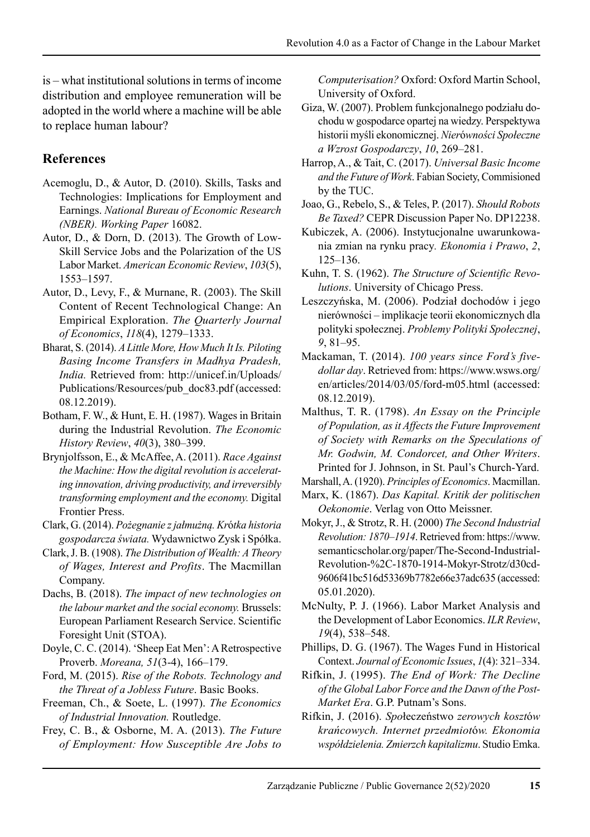is – what institutional solutions in terms of income distribution and employee remuneration will be adopted in the world where a machine will be able to replace human labour?

# **References**

- Acemoglu, D., & Autor, D. (2010). Skills, Tasks and Technologies: Implications for Employment and Earnings. *National Bureau of Economic Research (NBER). Working Paper* 16082.
- Autor, D., & Dorn, D. (2013). The Growth of Low-Skill Service Jobs and the Polarization of the US Labor Market. *American Economic Review*, *103*(5), 1553–1597.
- Autor, D., Levy, F., & Murnane, R. (2003). The Skill Content of Recent Technological Change: An Empirical Exploration. *The Quarterly Journal of Economics*, *118*(4), 1279–1333.
- Bharat, S. (2014). *A Little More, How Much It Is. Piloting Basing Income Transfers in Madhya Pradesh, India.* Retrieved from: http://unicef.in/Uploads/ Publications/Resources/pub\_doc83.pdf (accessed: 08.12.2019).
- Botham, F. W., & Hunt, E. H. (1987). Wages in Britain during the Industrial Revolution. *The Economic History Review*, *40*(3), 380–399.
- Brynjolfsson, E., & McAffee, A. (2011). *Race Against the Machine: How the digital revolution is accelerating innovation, driving productivity, and irreversibly transforming employment and the economy.* Digital Frontier Press.
- Clark, G. (2014). *Pożegnanie z jałmużną. Kr*ó*tka historia gospodarcza świata.* Wydawnictwo Zysk i Spółka.
- Clark, J. B. (1908). *The Distribution of Wealth: A Theory of Wages, Interest and Profits*. The Macmillan Company.
- Dachs, B. (2018). *The impact of new technologies on the labour market and the social economy.* Brussels: European Parliament Research Service. Scientific Foresight Unit (STOA).
- Doyle, C. C. (2014). 'Sheep Eat Men': A Retrospective Proverb. *Moreana, 51*(3-4), 166–179.

Ford, M. (2015). *Rise of the Robots. Technology and the Threat of a Jobless Future*. Basic Books.

- Freeman, Ch., & Soete, L. (1997). *The Economics of Industrial Innovation.* Routledge.
- Frey, C. B., & Osborne, M. A. (2013). *The Future of Employment: How Susceptible Are Jobs to*

*Computerisation?* Oxford: Oxford Martin School, University of Oxford.

- Giza, W. (2007). Problem funkcjonalnego podziału dochodu w gospodarce opartej na wiedzy. Perspektywa historii myśli ekonomicznej. *Nier*ó*wności Społeczne a Wzrost Gospodarczy*, *10*, 269–281.
- Harrop, A., & Tait, C. (2017). *Universal Basic Income and the Future of Work*. Fabian Society, Commisioned by the TUC.
- Joao, G., Rebelo, S., & Teles, P. (2017). *Should Robots Be Taxed?* CEPR Discussion Paper No. DP12238.
- Kubiczek, A. (2006). Instytucjonalne uwarunkowania zmian na rynku pracy*. Ekonomia i Prawo*, *2*, 125–136.
- Kuhn, T. S. (1962). *The Structure of Scientific Revolutions*. University of Chicago Press.
- Leszczyńska, M. (2006). Podział dochodów i jego nierówności – implikacje teorii ekonomicznych dla polityki społecznej. *Problemy Polityki Społecznej*, *9*, 81–95.
- Mackaman, T. (2014). *100 years since Ford's fivedollar day*. Retrieved from: https://www.wsws.org/ en/articles/2014/03/05/ford-m05.html (accessed: 08.12.2019).
- Malthus, T. R. (1798). *An Essay on the Principle of Population, as it Affects the Future Improvement of Society with Remarks on the Speculations of Mr. Godwin, M. Condorcet, and Other Writers*. Printed for J. Johnson, in St. Paul's Church-Yard.
- Marshall, A. (1920). *Principles of Economics*. Macmillan.
- Marx, K. (1867). *Das Kapital. Kritik der politischen Oekonomie*. Verlag von Otto Meissner.
- Mokyr, J., & Strotz, R. H. (2000) *The Second Industrial Revolution: 1870–1914*. Retrieved from: https://www. semanticscholar.org/paper/The-Second-Industrial-Revolution-%2C-1870-1914-Mokyr-Strotz/d30cd-9606f41bc516d53369b7782e66e37adc635 (accessed: 05.01.2020).
- McNulty, P. J. (1966). Labor Market Analysis and the Development of Labor Economics. *ILR Review*, *19*(4), 538–548.
- Phillips, D. G. (1967). The Wages Fund in Historical Context. *Journal of Economic Issues*, *1*(4): 321–334.
- Rifkin, J. (1995). *The End of Work: The Decline of the Global Labor Force and the Dawn of the Post-Market Era*. G.P. Putnam's Sons.
- Rifkin, J. (2016). *Spo*łeczeństwo *zerowych koszt*ó*w krańcowych. Internet przedmiot*ó*w. Ekonomia współdzielenia. Zmierzch kapitalizmu*. Studio Emka.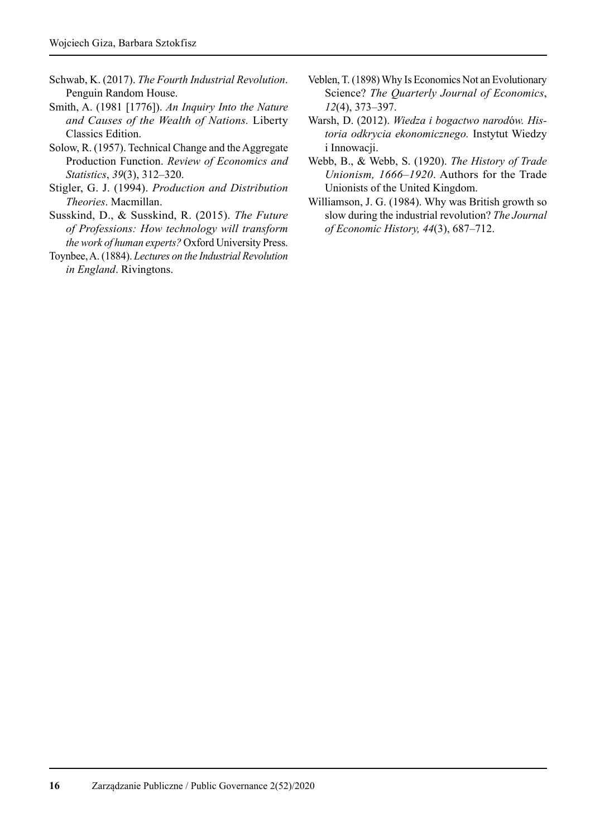- Schwab, K. (2017). *The Fourth Industrial Revolution*. Penguin Random House.
- Smith, A. (1981 [1776]). *An Inquiry Into the Nature and Causes of the Wealth of Nations.* Liberty Classics Edition.
- Solow, R. (1957). Technical Change and the Aggregate Production Function. *Review of Economics and Statistics*, *39*(3), 312–320.
- Stigler, G. J. (1994). *Production and Distribution Theories*. Macmillan.
- Susskind, D., & Susskind, R. (2015). *The Future of Professions: How technology will transform the work of human experts?* Oxford University Press.
- Toynbee, A. (1884). *Lectures on the Industrial Revolution in England*. Rivingtons.
- Veblen, T. (1898) Why Is Economics Not an Evolutionary Science? *The Quarterly Journal of Economics*, *12*(4), 373–397.
- Warsh, D. (2012). *Wiedza i bogactwo narod*ó*w. Historia odkrycia ekonomicznego.* Instytut Wiedzy i Innowacji.
- Webb, B., & Webb, S. (1920). *The History of Trade Unionism, 1666–1920*. Authors for the Trade Unionists of the United Kingdom.
- Williamson, J. G. (1984). Why was British growth so slow during the industrial revolution? *The Journal of Economic History, 44*(3), 687–712.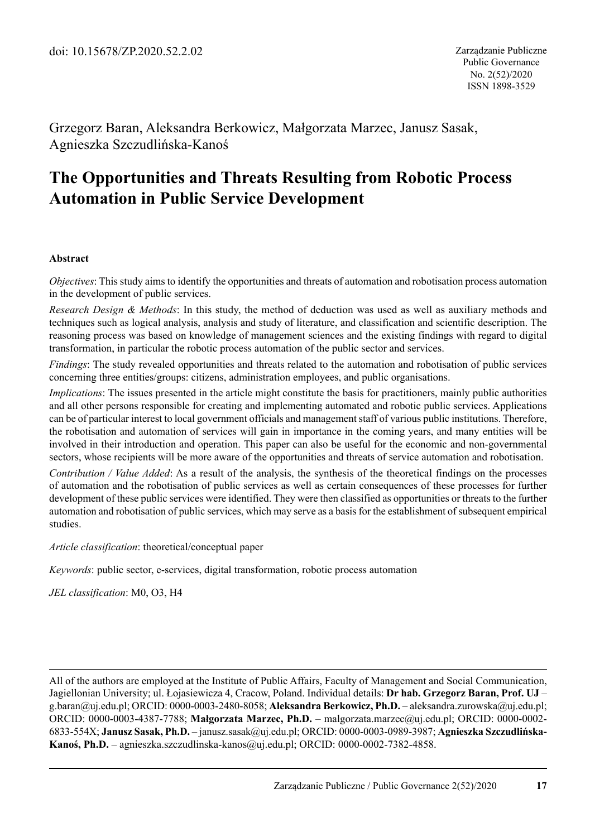Grzegorz Baran, Aleksandra Berkowicz, Małgorzata Marzec, Janusz Sasak, Agnieszka Szczudlińska-Kanoś

# **The Opportunities and Threats Resulting from Robotic Process Automation in Public Service Development**

#### **Abstract**

*Objectives*: This study aims to identify the opportunities and threats of automation and robotisation process automation in the development of public services.

*Research Design & Methods*: In this study, the method of deduction was used as well as auxiliary methods and techniques such as logical analysis, analysis and study of literature, and classification and scientific description. The reasoning process was based on knowledge of management sciences and the existing findings with regard to digital transformation, in particular the robotic process automation of the public sector and services.

*Findings*: The study revealed opportunities and threats related to the automation and robotisation of public services concerning three entities/groups: citizens, administration employees, and public organisations.

*Implications*: The issues presented in the article might constitute the basis for practitioners, mainly public authorities and all other persons responsible for creating and implementing automated and robotic public services. Applications can be of particular interest to local government officials and management staff of various public institutions. Therefore, the robotisation and automation of services will gain in importance in the coming years, and many entities will be involved in their introduction and operation. This paper can also be useful for the economic and non-governmental sectors, whose recipients will be more aware of the opportunities and threats of service automation and robotisation.

*Contribution / Value Added*: As a result of the analysis, the synthesis of the theoretical findings on the processes of automation and the robotisation of public services as well as certain consequences of these processes for further development of these public services were identified. They were then classified as opportunities or threats to the further automation and robotisation of public services, which may serve as a basis for the establishment of subsequent empirical studies.

*Article classification*: theoretical/conceptual paper

*Keywords*: public sector, e-services, digital transformation, robotic process automation

*JEL classification*: M0, O3, H4

All of the authors are employed at the Institute of Public Affairs, Faculty of Management and Social Communication, Jagiellonian University; ul. Łojasiewicza 4, Cracow, Poland. Individual details: **Dr hab. Grzegorz Baran, Prof. UJ** – g.baran@uj.edu.pl; ORCID: 0000-0003-2480-8058; **Aleksandra Berkowicz, Ph.D.** – aleksandra.zurowska@uj. edu.pl; ORCID: 0000-0003-4387-7788; **Małgorzata Marzec, Ph.D.** – malgorzata.marzec@uj.edu.pl; ORCID: 0000-0002- 6833-554X; **Janusz Sasak, Ph.D.** – janusz.sasak@uj.edu.pl; ORCID: 0000-0003-0989-3987; **Agnieszka Szczudlińska-Kanoś, Ph.D.** – agnieszka.szczudlinska-kanos@uj.edu.pl; ORCID: 0000-0002-7382-4858.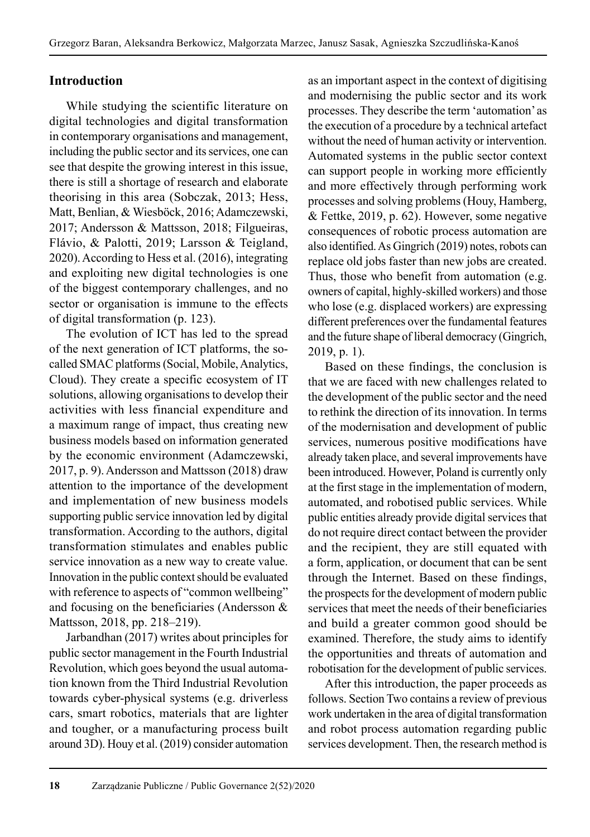## **Introduction**

While studying the scientific literature on digital technologies and digital transformation in contemporary organisations and management, including the public sector and its services, one can see that despite the growing interest in this issue, there is still a shortage of research and elaborate theorising in this area (Sobczak, 2013; Hess, Matt, Benlian, & Wiesböck, 2016; Adamczewski, 2017; Andersson & Mattsson, 2018; Filgueiras, Flávio, & Palotti, 2019; Larsson & Teigland, 2020). According to Hess et al. (2016), integrating and exploiting new digital technologies is one of the biggest contemporary challenges, and no sector or organisation is immune to the effects of digital transformation (p. 123).

The evolution of ICT has led to the spread of the next generation of ICT platforms, the socalled SMAC platforms (Social, Mobile, Analytics, Cloud). They create a specific ecosystem of IT solutions, allowing organisations to develop their activities with less financial expenditure and a maximum range of impact, thus creating new business models based on information generated by the economic environment (Adamczewski, 2017, p. 9). Andersson and Mattsson (2018) draw attention to the importance of the development and implementation of new business models supporting public service innovation led by digital transformation. According to the authors, digital transformation stimulates and enables public service innovation as a new way to create value. Innovation in the public context should be evaluated with reference to aspects of "common wellbeing" and focusing on the beneficiaries (Andersson & Mattsson, 2018, pp. 218–219).

Jarbandhan (2017) writes about principles for public sector management in the Fourth Industrial Revolution, which goes beyond the usual automa tion known from the Third Industrial Revolution towards cyber-physical systems (e.g. driverless cars, smart robotics, materials that are lighter and tougher, or a manufacturing process built around 3D). Houy et al. (2019) consider automation as an important aspect in the context of digitising and modernising the public sector and its work processes. They describe the term 'automation' as the execution of a procedure by a technical artefact without the need of human activity or intervention. Automated systems in the public sector context can support people in working more efficiently and more effectively through performing work processes and solving problems (Houy, Hamberg, & Fettke, 2019, p. 62). However, some negative consequences of robotic process automation are also identified. As Gingrich (2019) notes, robots can replace old jobs faster than new jobs are created. Thus, those who benefit from automation (e.g. owners of capital, highly-skilled workers) and those who lose (e.g. displaced workers) are expressing different preferences over the fundamental features and the future shape of liberal democracy (Gingrich, 2019, p. 1).

Based on these findings, the conclusion is that we are faced with new challenges related to the development of the public sector and the need to rethink the direction of its innovation. In terms of the modernisation and development of public services, numerous positive modifications have already taken place, and several improvements have been introduced. However, Poland is currently only at the first stage in the implementation of modern, automated, and robotised public services. While public entities already provide digital services that do not require direct contact between the provider and the recipient, they are still equated with a form, application, or document that can be sent through the Internet. Based on these findings, the prospects for the development of modern public services that meet the needs of their beneficiaries and build a greater common good should be examined. Therefore, the study aims to identify the opportunities and threats of automation and robotisation for the development of public services.

After this introduction, the paper proceeds as follows. Section Two contains a review of previous work undertaken in the area of digital transformation and robot process automation regarding public services development. Then, the research method is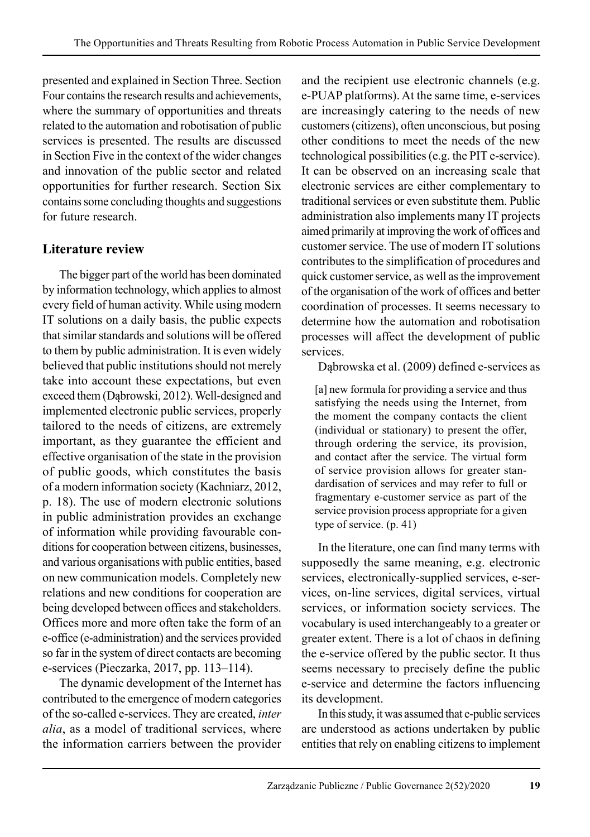presented and explained in Section Three. Section Four contains the research results and achievements, where the summary of opportunities and threats related to the automation and robotisation of public services is presented. The results are discussed in Section Five in the context of the wider changes and innovation of the public sector and related opportunities for further research. Section Six contains some concluding thoughts and suggestions for future research.

# **Literature review**

The bigger part of the world has been dominated by information technology, which applies to almost every field of human activity. While using modern IT solutions on a daily basis, the public expects that similar standards and solutions will be offered to them by public administration. It is even widely believed that public institutions should not merely take into account these expectations, but even exceed them (Dąbrowski, 2012). Well-designed and implemented electronic public services, properly tailored to the needs of citizens, are extremely important, as they guarantee the efficient and effective organisation of the state in the provision of public goods, which constitutes the basis of a modern information society (Kachniarz, 2012, p. 18). The use of modern electronic solutions in public administration provides an exchange of information while providing favourable conditions for cooperation between citizens, businesses, and various organisations with public entities, based on new communication models. Completely new relations and new conditions for cooperation are being developed between offices and stakeholders. Offices more and more often take the form of an e-office (e-administration) and the services provided so far in the system of direct contacts are becoming e-services (Pieczarka, 2017, pp. 113–114).

The dynamic development of the Internet has contributed to the emergence of modern categories of the so-called e-services. They are created, *inter alia*, as a model of traditional services, where the information carriers between the provider and the recipient use electronic channels (e.g. e-PUAP platforms). At the same time, e-services are increasingly catering to the needs of new customers (citizens), often unconscious, but posing other conditions to meet the needs of the new technological possibilities (e.g. the PIT e-service). It can be observed on an increasing scale that electronic services are either complementary to traditional services or even substitute them. Public administration also implements many IT projects aimed primarily at improving the work of offices and customer service. The use of modern IT solutions contributes to the simplification of procedures and quick customer service, as well as the improvement of the organisation of the work of offices and better coordination of processes. It seems necessary to determine how the automation and robotisation processes will affect the development of public services.

Dąbrowska et al. (2009) defined e-services as

[a] new formula for providing a service and thus satisfying the needs using the Internet, from the moment the company contacts the client (individual or stationary) to present the offer, through ordering the service, its provision, and contact after the service. The virtual form of service provision allows for greater standardisation of services and may refer to full or fragmentary e-customer service as part of the service provision process appropriate for a given type of service. (p. 41)

In the literature, one can find many terms with supposedly the same meaning, e.g. electronic services, electronically-supplied services, e-services, on-line services, digital services, virtual services, or information society services. The vocabulary is used interchangeably to a greater or greater extent. There is a lot of chaos in defining the e-service offered by the public sector. It thus seems necessary to precisely define the public e-service and determine the factors influencing its development.

In this study, it was assumed that e-public services are understood as actions undertaken by public entities that rely on enabling citizens to implement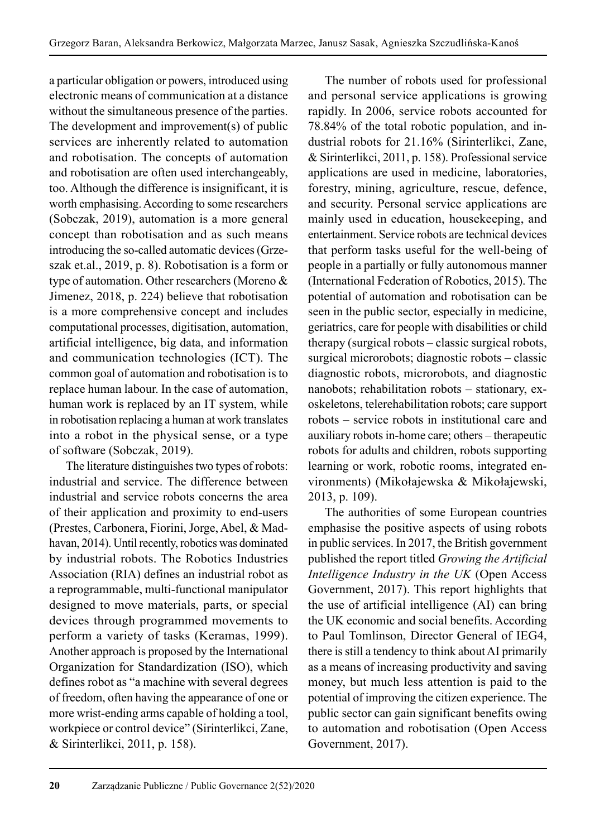a particular obligation or powers, introduced using electronic means of communication at a distance without the simultaneous presence of the parties. The development and improvement(s) of public services are inherently related to automation and robotisation. The concepts of automation and robotisation are often used interchangeably, too. Although the difference is insignificant, it is worth emphasising. According to some researchers (Sobczak, 2019), automation is a more general concept than robotisation and as such means introducing the so-called automatic devices (Grzeszak et.al., 2019, p. 8). Robotisation is a form or type of automation. Other researchers (Moreno  $&$ Jimenez, 2018, p. 224) believe that robotisation is a more comprehensive concept and includes computational processes, digitisation, automation, artificial intelligence, big data, and information and communication technologies (ICT). The common goal of automation and robotisation is to replace human labour. In the case of automation, human work is replaced by an IT system, while in robotisation replacing a human at work translates into a robot in the physical sense, or a type of software (Sobczak, 2019).

The literature distinguishes two types of robots: industrial and service. The difference between industrial and service robots concerns the area of their application and proximity to end-users (Prestes, Carbonera, Fiorini, Jorge, Abel, & Madhavan, 2014). Until recently, robotics was dominated by industrial robots. The Robotics Industries Association (RIA) defines an industrial robot as a reprogrammable, multi-functional manipulator designed to move materials, parts, or special devices through programmed movements to perform a variety of tasks (Keramas, 1999). Another approach is proposed by the International Organization for Standardization (ISO), which defines robot as "a machine with several degrees of freedom, often having the appearance of one or more wrist-ending arms capable of holding a tool, workpiece or control device" (Sirinterlikci, Zane, & Sirinterlikci, 2011, p. 158).

The number of robots used for professional and personal service applications is growing rapidly. In 2006, service robots accounted for 78.84% of the total robotic population, and industrial robots for 21.16% (Sirinterlikci, Zane, & Sirinterlikci, 2011, p. 158). Professional service applications are used in medicine, laboratories, forestry, mining, agriculture, rescue, defence, and security. Personal service applications are mainly used in education, housekeeping, and entertainment. Service robots are technical devices that perform tasks useful for the well-being of people in a partially or fully autonomous manner (International Federation of Robotics, 2015). The potential of automation and robotisation can be seen in the public sector, especially in medicine, geriatrics, care for people with disabilities or child therapy (surgical robots – classic surgical robots, surgical microrobots; diagnostic robots – classic diagnostic robots, microrobots, and diagnostic nanobots; rehabilitation robots – stationary, exoskeletons, telerehabilitation robots; care support robots – service robots in institutional care and auxiliary robots in-home care; others – therapeutic robots for adults and children, robots supporting learning or work, robotic rooms, integrated environments) (Mikołajewska & Mikołajewski, 2013, p. 109).

The authorities of some European countries emphasise the positive aspects of using robots in public services. In 2017, the British government published the report titled *Growing the Artificial Intelligence Industry in the UK* (Open Access Government, 2017). This report highlights that the use of artificial intelligence (AI) can bring the UK economic and social benefits. According to Paul Tomlinson, Director General of IEG4, there is still a tendency to think about AI primarily as a means of increasing productivity and saving money, but much less attention is paid to the potential of improving the citizen experience. The public sector can gain significant benefits owing to automation and robotisation (Open Access Government, 2017).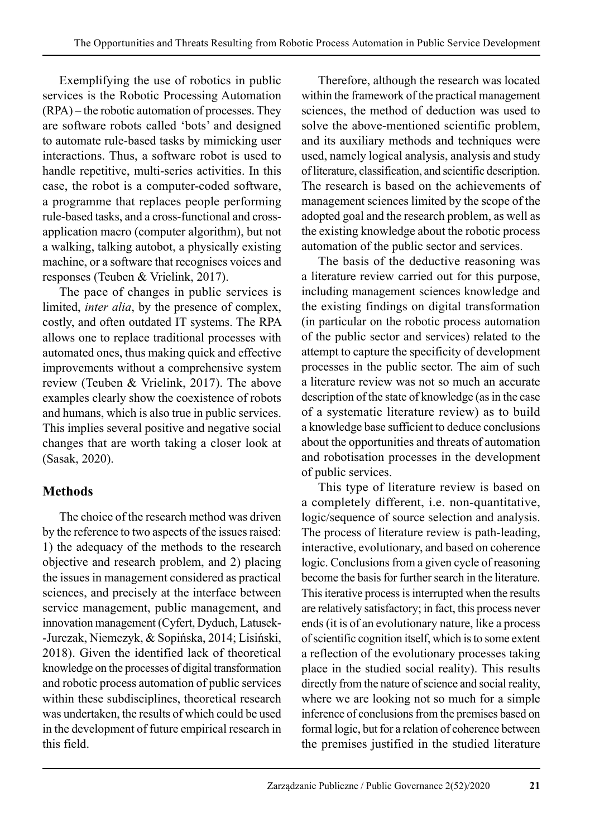Exemplifying the use of robotics in public services is the Robotic Processing Automation (RPA) – the robotic automation of processes. They are software robots called 'bots' and designed to automate rule-based tasks by mimicking user interactions. Thus, a software robot is used to handle repetitive, multi-series activities. In this case, the robot is a computer-coded software, a programme that replaces people performing rule-based tasks, and a cross-functional and crossapplication macro (computer algorithm), but not a walking, talking autobot, a physically existing machine, or a software that recognises voices and responses (Teuben & Vrielink, 2017).

The pace of changes in public services is limited, *inter alia*, by the presence of complex, costly, and often outdated IT systems. The RPA allows one to replace traditional processes with automated ones, thus making quick and effective improvements without a comprehensive system review (Teuben & Vrielink, 2017). The above examples clearly show the coexistence of robots and humans, which is also true in public services. This implies several positive and negative social changes that are worth taking a closer look at (Sasak, 2020).

# **Methods**

The choice of the research method was driven by the reference to two aspects of the issues raised: 1) the adequacy of the methods to the research objective and research problem, and 2) placing the issues in management considered as practical sciences, and precisely at the interface between service management, public management, and innovation management (Cyfert, Dyduch, Latusek- -Jurczak, Niemczyk, & Sopińska, 2014; Lisiński, 2018). Given the identified lack of theoretical knowledge on the processes of digital transformation and robotic process automation of public services within these subdisciplines, theoretical research was undertaken, the results of which could be used in the development of future empirical research in this field.

Therefore, although the research was located within the framework of the practical management sciences, the method of deduction was used to solve the above-mentioned scientific problem, and its auxiliary methods and techniques were used, namely logical analysis, analysis and study of literature, classification, and scientific description. The research is based on the achievements of management sciences limited by the scope of the adopted goal and the research problem, as well as the existing knowledge about the robotic process automation of the public sector and services.

The basis of the deductive reasoning was a literature review carried out for this purpose, including management sciences knowledge and the existing findings on digital transformation (in particular on the robotic process automation of the public sector and services) related to the attempt to capture the specificity of development processes in the public sector. The aim of such a literature review was not so much an accurate description of the state of knowledge (as in the case of a systematic literature review) as to build a knowledge base sufficient to deduce conclusions about the opportunities and threats of automation and robotisation processes in the development of public services.

This type of literature review is based on a completely different, i.e. non-quantitative, logic/sequence of source selection and analysis. The process of literature review is path-leading, interactive, evolutionary, and based on coherence logic. Conclusions from a given cycle of reasoning become the basis for further search in the literature. This iterative process is interrupted when the results are relatively satisfactory; in fact, this process never ends (it is of an evolutionary nature, like a process of scientific cognition itself, which is to some extent a reflection of the evolutionary processes taking place in the studied social reality). This results directly from the nature of science and social reality, where we are looking not so much for a simple inference of conclusions from the premises based on formal logic, but for a relation of coherence between the premises justified in the studied literature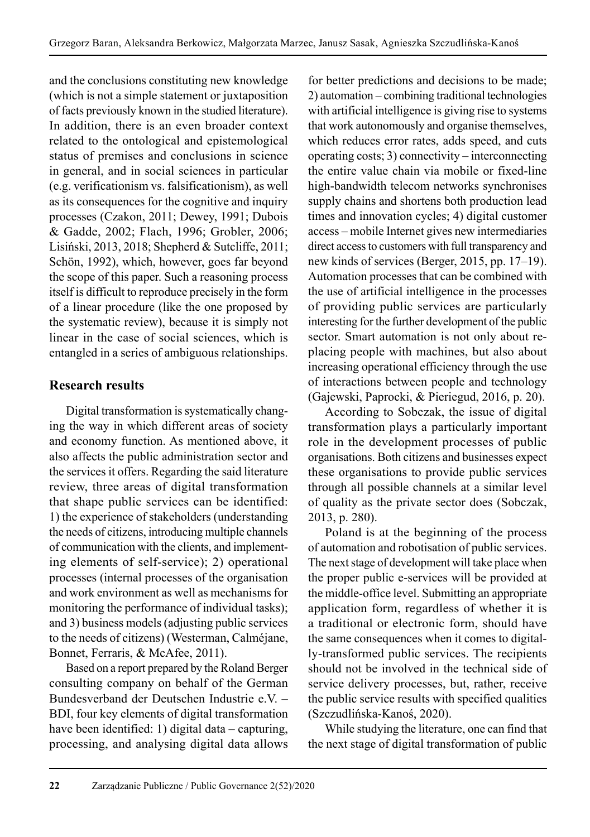and the conclusions constituting new knowledge (which is not a simple statement or juxtaposition of facts previously known in the studied literature). In addition, there is an even broader context related to the ontological and epistemological status of premises and conclusions in science in general, and in social sciences in particular (e.g. verificationism vs. falsificationism), as well as its consequences for the cognitive and inquiry processes (Czakon, 2011; Dewey, 1991; Dubois & Gadde, 2002; Flach, 1996; Grobler, 2006; Lisiński, 2013, 2018; Shepherd & Sutcliffe, 2011; Schön, 1992), which, however, goes far beyond the scope of this paper. Such a reasoning process itself is difficult to reproduce precisely in the form of a linear procedure (like the one proposed by the systematic review), because it is simply not linear in the case of social sciences, which is entangled in a series of ambiguous relationships.

# **Research results**

Digital transformation is systematically changing the way in which different areas of society and economy function. As mentioned above, it also affects the public administration sector and the services it offers. Regarding the said literature review, three areas of digital transformation that shape public services can be identified: 1) the experience of stakeholders (understanding the needs of citizens, introducing multiple channels of communication with the clients, and implementing elements of self-service); 2) operational processes (internal processes of the organisation and work environment as well as mechanisms for monitoring the performance of individual tasks); and 3) business models (adjusting public services to the needs of citizens) (Westerman, Calméjane, Bonnet, Ferraris, & McAfee, 2011).

Based on a report prepared by the Roland Berger consulting company on behalf of the German Bundesverband der Deutschen Industrie e.V. – BDI, four key elements of digital transformation have been identified: 1) digital data – capturing, processing, and analysing digital data allows for better predictions and decisions to be made; 2) automation – combining traditional technologies with artificial intelligence is giving rise to systems that work autonomously and organise themselves, which reduces error rates, adds speed, and cuts operating costs; 3) connectivity – interconnecting the entire value chain via mobile or fixed-line high-bandwidth telecom networks synchronises supply chains and shortens both production lead times and innovation cycles; 4) digital customer access – mobile Internet gives new intermediaries direct access to customers with full transparency and new kinds of services (Berger, 2015, pp. 17–19). Automation processes that can be combined with the use of artificial intelligence in the processes of providing public services are particularly interesting for the further development of the public sector. Smart automation is not only about replacing people with machines, but also about increasing operational efficiency through the use of interactions between people and technology (Gajewski, Paprocki, & Pieriegud, 2016, p. 20).

According to Sobczak, the issue of digital transformation plays a particularly important role in the development processes of public organisations. Both citizens and businesses expect these organisations to provide public services through all possible channels at a similar level of quality as the private sector does (Sobczak, 2013, p. 280).

Poland is at the beginning of the process of automation and robotisation of public services. The next stage of development will take place when the proper public e-services will be provided at the middle-office level. Submitting an appropriate application form, regardless of whether it is a traditional or electronic form, should have the same consequences when it comes to digitally-transformed public services. The recipients should not be involved in the technical side of service delivery processes, but, rather, receive the public service results with specified qualities (Szczudlińska-Kanoś, 2020).

While studying the literature, one can find that the next stage of digital transformation of public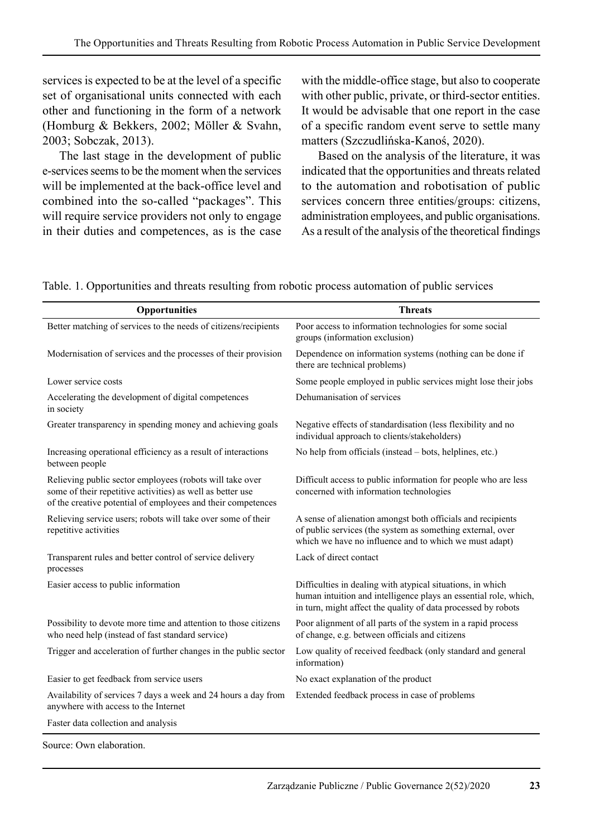services is expected to be at the level of a specific set of organisational units connected with each other and functioning in the form of a network (Homburg & Bekkers, 2002; Möller & Svahn, 2003; Sobczak, 2013).

The last stage in the development of public e-services seems to be the moment when the services will be implemented at the back-office level and combined into the so-called "packages". This will require service providers not only to engage in their duties and competences, as is the case with the middle-office stage, but also to cooperate with other public, private, or third-sector entities. It would be advisable that one report in the case of a specific random event serve to settle many matters (Szczudlińska-Kanoś, 2020).

Based on the analysis of the literature, it was indicated that the opportunities and threats related to the automation and robotisation of public services concern three entities/groups: citizens, administration employees, and public organisations. As a result of the analysis of the theoretical findings

Table. 1. Opportunities and threats resulting from robotic process automation of public services

| Opportunities                                                                                                                                                                          | <b>Threats</b>                                                                                                                                                                                  |  |
|----------------------------------------------------------------------------------------------------------------------------------------------------------------------------------------|-------------------------------------------------------------------------------------------------------------------------------------------------------------------------------------------------|--|
| Better matching of services to the needs of citizens/recipients                                                                                                                        | Poor access to information technologies for some social<br>groups (information exclusion)                                                                                                       |  |
| Modernisation of services and the processes of their provision                                                                                                                         | Dependence on information systems (nothing can be done if<br>there are technical problems)                                                                                                      |  |
| Lower service costs                                                                                                                                                                    | Some people employed in public services might lose their jobs                                                                                                                                   |  |
| Accelerating the development of digital competences<br>in society                                                                                                                      | Dehumanisation of services                                                                                                                                                                      |  |
| Greater transparency in spending money and achieving goals                                                                                                                             | Negative effects of standardisation (less flexibility and no<br>individual approach to clients/stakeholders)                                                                                    |  |
| Increasing operational efficiency as a result of interactions<br>between people                                                                                                        | No help from officials (instead – bots, helplines, etc.)                                                                                                                                        |  |
| Relieving public sector employees (robots will take over<br>some of their repetitive activities) as well as better use<br>of the creative potential of employees and their competences | Difficult access to public information for people who are less<br>concerned with information technologies                                                                                       |  |
| Relieving service users; robots will take over some of their<br>repetitive activities                                                                                                  | A sense of alienation amongst both officials and recipients<br>of public services (the system as something external, over<br>which we have no influence and to which we must adapt)             |  |
| Transparent rules and better control of service delivery<br>processes                                                                                                                  | Lack of direct contact                                                                                                                                                                          |  |
| Easier access to public information                                                                                                                                                    | Difficulties in dealing with atypical situations, in which<br>human intuition and intelligence plays an essential role, which,<br>in turn, might affect the quality of data processed by robots |  |
| Possibility to devote more time and attention to those citizens<br>who need help (instead of fast standard service)                                                                    | Poor alignment of all parts of the system in a rapid process<br>of change, e.g. between officials and citizens                                                                                  |  |
| Trigger and acceleration of further changes in the public sector                                                                                                                       | Low quality of received feedback (only standard and general<br>information)                                                                                                                     |  |
| Easier to get feedback from service users                                                                                                                                              | No exact explanation of the product                                                                                                                                                             |  |
| Availability of services 7 days a week and 24 hours a day from<br>anywhere with access to the Internet                                                                                 | Extended feedback process in case of problems                                                                                                                                                   |  |
| Faster data collection and analysis                                                                                                                                                    |                                                                                                                                                                                                 |  |

Source: Own elaboration.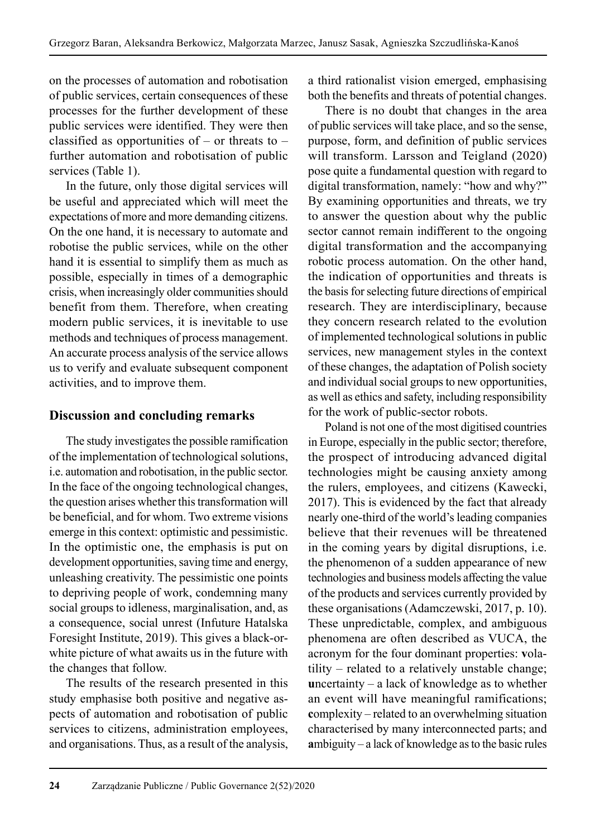on the processes of automation and robotisation of public services, certain consequences of these processes for the further development of these public services were identified. They were then classified as opportunities of – or threats to – further automation and robotisation of public services (Table 1).

In the future, only those digital services will be useful and appreciated which will meet the expectations of more and more demanding citizens. On the one hand, it is necessary to automate and robotise the public services, while on the other hand it is essential to simplify them as much as possible, especially in times of a demographic crisis, when increasingly older communities should benefit from them. Therefore, when creating modern public services, it is inevitable to use methods and techniques of process management. An accurate process analysis of the service allows us to verify and evaluate subsequent component activities, and to improve them.

# **Discussion and concluding remarks**

The study investigates the possible ramification of the implementation of technological solutions, i.e. automation and robotisation, in the public sector. In the face of the ongoing technological changes, the question arises whether this transformation will be beneficial, and for whom. Two extreme visions emerge in this context: optimistic and pessimistic. In the optimistic one, the emphasis is put on development opportunities, saving time and energy, unleashing creativity. The pessimistic one points to depriving people of work, condemning many social groups to idleness, marginalisation, and, as a consequence, social unrest (Infuture Hatalska Foresight Institute, 2019). This gives a black-orwhite picture of what awaits us in the future with the changes that follow.

The results of the research presented in this study emphasise both positive and negative as pects of automation and robotisation of public services to citizens, administration employees, and organisations. Thus, as a result of the analysis, a third rationalist vision emerged, emphasising both the benefits and threats of potential changes.

There is no doubt that changes in the area of public services will take place, and so the sense, purpose, form, and definition of public services will transform. Larsson and Teigland (2020) pose quite a fundamental question with regard to digital transformation, namely: "how and why?" By examining opportunities and threats, we try to answer the question about why the public sector cannot remain indifferent to the ongoing digital transformation and the accompanying robotic process automation. On the other hand, the indication of opportunities and threats is the basis for selecting future directions of empirical research. They are interdisciplinary, because they concern research related to the evolution of implemented technological solutions in public services, new management styles in the context of these changes, the adaptation of Polish society and individual social groups to new opportunities, as well as ethics and safety, including responsibility for the work of public-sector robots.

Poland is not one of the most digitised countries in Europe, especially in the public sector; therefore, the prospect of introducing advanced digital technologies might be causing anxiety among the rulers, employees, and citizens (Kawecki, 2017). This is evidenced by the fact that already nearly one-third of the world's leading companies believe that their revenues will be threatened in the coming years by digital disruptions, i.e. the phenomenon of a sudden appearance of new technologies and business models affecting the value of the products and services currently provided by these organisations (Adamczewski, 2017, p. 10). These unpredictable, complex, and ambiguous phenomena are often described as VUCA, the acronym for the four dominant properties: **v**olatility – related to a relatively unstable change; **u**ncertainty – a lack of knowledge as to whether an event will have meaningful ramifications; **c**omplexity – related to an overwhelming situation characterised by many interconnected parts; and **a**mbiguity – a lack of knowledge as to the basic rules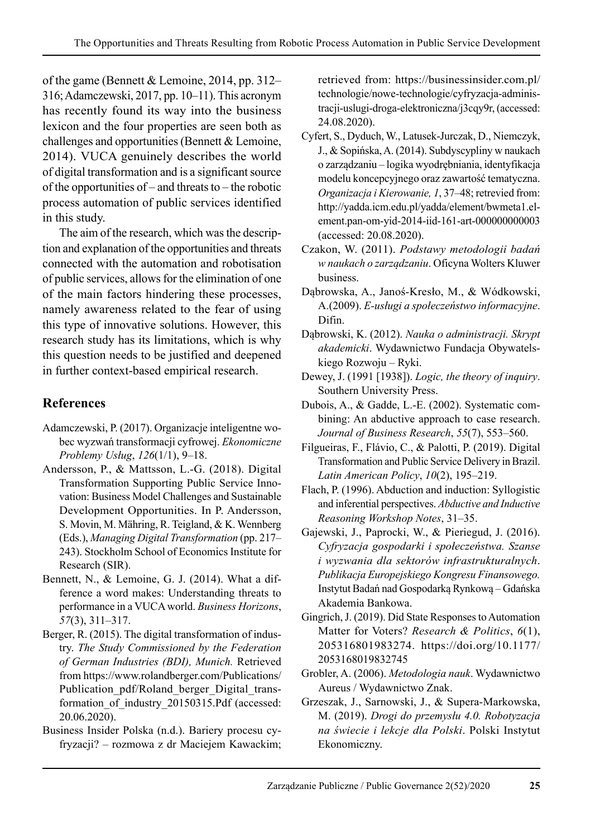of the game (Bennett & Lemoine, 2014, pp. 312– 316; Adamczewski, 2017, pp. 10–11). This acronym has recently found its way into the business lexicon and the four properties are seen both as challenges and opportunities (Bennett & Lemoine, 2014). VUCA genuinely describes the world of digital transformation and is a significant source of the opportunities of – and threats to – the robotic process automation of public services identified in this study.

The aim of the research, which was the description and explanation of the opportunities and threats connected with the automation and robotisation of public services, allows for the elimination of one of the main factors hindering these processes, namely awareness related to the fear of using this type of innovative solutions. However, this research study has its limitations, which is why this question needs to be justified and deepened in further context-based empirical research.

# **References**

- Adamczewski, P. (2017). Organizacje inteligentne wobec wyzwań transformacji cyfrowej. *Ekonomiczne Problemy Usług*, *126*(1/1), 9–18.
- Andersson, P., & Mattsson, L.-G. (2018). Digital Transformation Supporting Public Service Innovation: Business Model Challenges and Sustainable Development Opportunities. In P. Andersson, S. Movin, M. Mähring, R. Teigland, & K. Wennberg (Eds.), *Managing Digital Transformation* (pp. 217– 243). Stockholm School of Economics Institute for Research (SIR).
- Bennett, N., & Lemoine, G. J. (2014). What a difference a word makes: Understanding threats to performance in a VUCA world. *Business Horizons*, *57*(3), 311–317.
- Berger, R. (2015). The digital transformation of industry. *The Study Commissioned by the Federation of German Industries (BDI), Munich.* Retrieved from https://www.rolandberger.com/Publications/ Publication\_pdf/Roland\_berger\_Digital\_transformation\_of\_industry\_20150315.Pdf (accessed: 20.06.2020).
- Business Insider Polska (n.d.). Bariery procesu cyfryzacji? – rozmowa z dr Maciejem Kawackim;

retrieved from: https://businessinsider.com.pl/ technologie/nowe-technologie/cyfryzacja-administracji-uslugi-droga-elektroniczna/j3cqy9r, (accessed: 24.08.2020).

Cyfert, S., Dyduch, W., Latusek-Jurczak, D., Niemczyk, J., & Sopińska, A. (2014). Subdyscypliny w naukach o zarządzaniu – logika wyodrębniania, identyfikacja modelu koncepcyjnego oraz zawartość tematyczna. *Organizacja i Kierowanie, 1*, 37–48; retrevied from: http://yadda.icm.edu.pl/yadda/element/bwmeta1.element.pan-om-yid-2014-iid-161-art-000000000003 (accessed: 20.08.2020).

Czakon, W. (2011). *Podstawy metodologii badań w naukach o zarządzaniu*. Oficyna Wolters Kluwer business.

- Dąbrowska, A., Janoś-Kresło, M., & Wódkowski, A.(2009). *E-usługi a społeczeństwo informacyjne*. Difin.
- Dąbrowski, K. (2012). *Nauka o administracji. Skrypt akademicki*. Wydawnictwo Fundacja Obywatelskiego Rozwoju – Ryki.
- Dewey, J. (1991 [1938]). *Logic, the theory of inquiry*. Southern University Press.
- Dubois, A., & Gadde, L.-E. (2002). Systematic combining: An abductive approach to case research. *Journal of Business Research*, *55*(7), 553–560.
- Filgueiras, F., Flávio, C., & Palotti, P. (2019). Digital Transformation and Public Service Delivery in Brazil. *Latin American Policy*, *10*(2), 195–219.
- Flach, P. (1996). Abduction and induction: Syllogistic and inferential perspectives. *Abductive and Inductive Reasoning Workshop Notes*, 31–35.
- Gajewski, J., Paprocki, W., & Pieriegud, J. (2016). *Cyfryzacja gospodarki i społeczeństwa. Szanse i wyzwania dla sektorów infrastrukturalnych*. *Publikacja Europejskiego Kongresu Finansowego.* Instytut Badań nad Gospodarką Rynkową – Gdańska Akademia Bankowa.
- Gingrich, J. (2019). Did State Responses to Automation Matter for Voters? *Research & Politics*, *6*(1), 205316801983274. https://doi.org/10.1177/ 2053168019832745
- Grobler, A. (2006). *Metodologia nauk*. Wydawnictwo Aureus / Wydawnictwo Znak.
- Grzeszak, J., Sarnowski, J., & Supera-Markowska, M. (2019). *Drogi do przemysłu 4.0. Robotyzacja na świecie i lekcje dla Polski*. Polski Instytut Ekonomiczny.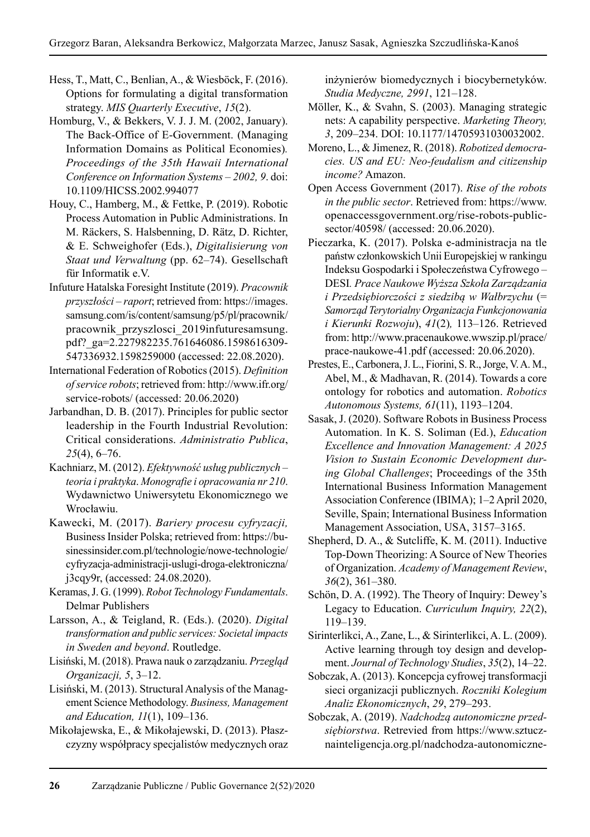- Hess, T., Matt, C., Benlian, A., & Wiesböck, F. (2016). Options for formulating a digital transformation strategy. *MIS Quarterly Executive*, *15*(2).
- Homburg, V., & Bekkers, V. J. J. M. (2002, January). The Back-Office of E-Government. (Managing Information Domains as Political Economies)*. Proceedings of the 35th Hawaii International Conference on Information Systems – 2002, 9*. doi: 10.1109/HICSS.2002.994077
- Houy, C., Hamberg, M., & Fettke, P. (2019). Robotic Process Automation in Public Administrations. In M. Räckers, S. Halsbenning, D. Rätz, D. Richter, & E. Schweighofer (Eds.), *Digitalisierung von Staat und Verwaltung* (pp. 62–74). Gesellschaft für Informatik e.V.
- Infuture Hatalska Foresight Institute (2019). *Pracownik przyszłości – raport*; retrieved from: https://images. samsung.com/is/content/samsung/p5/pl/pracownik/ pracownik\_przyszlosci\_2019infuturesamsung. pdf?\_ga=2.227982235.761646086.1598616309- 547336932.1598259000 (accessed: 22.08.2020).
- International Federation of Robotics (2015). *Definition of service robots*; retrieved from: http://www.ifr.org/ service-robots/ (accessed: 20.06.2020)
- Jarbandhan, D. B. (2017). Principles for public sector leadership in the Fourth Industrial Revolution: Critical considerations. *Administratio Publica*, *25*(4), 6–76.
- Kachniarz, M. (2012). *Efektywność usług publicznych teoria i praktyka*. *Monografie i opracowania nr 210*. Wydawnictwo Uniwersytetu Ekonomicznego we Wrocławiu.
- Kawecki, M. (2017). *Bariery procesu cyfryzacji,*  Business Insider Polska; retrieved from: https://businessinsider.com.pl/technologie/nowe-technologie/ cyfryzacja-administracji-uslugi-droga-elektroniczna/ j3cqy9r, (accessed: 24.08.2020).
- Keramas, J. G. (1999). *Robot Technology Fundamentals*. Delmar Publishers
- Larsson, A., & Teigland, R. (Eds.). (2020). *Digital transformation and public services: Societal impacts in Sweden and beyond*. Routledge.
- Lisiński, M. (2018). Prawa nauk o zarządzaniu. *Przegląd Organizacji, 5*, 3–12.
- Lisiński, M. (2013). Structural Analysis of the Management Science Methodology. *Business, Management and Education, 11*(1), 109–136.
- Mikołajewska, E., & Mikołajewski, D. (2013). Płaszczyzny współpracy specjalistów medycznych oraz

inżynierów biomedycznych i biocybernetyków. *Studia Medyczne, 2991*, 121–128.

- Möller, K., & Svahn, S. (2003). Managing strategic nets: A capability perspective. *Marketing Theory, 3*, 209–234. DOI: 10.1177/14705931030032002.
- Moreno, L., & Jimenez, R. (2018). *Robotized democracies. US and EU: Neo-feudalism and citizenship income?* Amazon.
- Open Access Government (2017). *Rise of the robots in the public sector*. Retrieved from: https://www. openaccessgovernment.org/rise-robots-publicsector/40598/ (accessed: 20.06.2020).
- Pieczarka, K. (2017). Polska e-administracja na tle państw członkowskich Unii Europejskiej w rankingu Indeksu Gospodarki i Społeczeństwa Cyfrowego – DESI*. Prace Naukowe Wyższa Szkoła Zarządzania i Przedsiębiorczości z siedzibą w Wałbrzychu* (= *Samorząd Terytorialny Organizacja Funkcjonowania i Kierunki Rozwoju*), *41*(2)*,* 113–126. Retrieved from: http://www.pracenaukowe.wwszip.pl/prace/ prace-naukowe-41.pdf (accessed: 20.06.2020).
- Prestes, E., Carbonera, J. L., Fiorini, S. R., Jorge, V. A. M., Abel, M., & Madhavan, R. (2014). Towards a core ontology for robotics and automation. *Robotics Autonomous Systems, 61*(11), 1193–1204.
- Sasak, J. (2020). Software Robots in Business Process Automation. In K. S. Soliman (Ed.), *Education Excellence and Innovation Management: A 2025 Vision to Sustain Economic Development during Global Challenges*; Proceedings of the 35th International Business Information Management Association Conference (IBIMA); 1–2 April 2020, Seville, Spain; International Business Information Management Association, USA, 3157–3165.
- Shepherd, D. A., & Sutcliffe, K. M. (2011). Inductive Top-Down Theorizing: A Source of New Theories of Organization. *Academy of Management Review*, *36*(2), 361–380.
- Schön, D. A. (1992). The Theory of Inquiry: Dewey's Legacy to Education. *Curriculum Inquiry, 22*(2), 119–139.
- Sirinterlikci, A., Zane, L., & Sirinterlikci, A. L. (2009). Active learning through toy design and development. *Journal of Technology Studies*, *35*(2), 14–22.
- Sobczak, A. (2013). Koncepcja cyfrowej transformacji sieci organizacji publicznych. *Roczniki Kolegium Analiz Ekonomicznych*, *29*, 279–293.
- Sobczak, A. (2019). *Nadchodzą autonomiczne przedsiębiorstwa*. Retrevied from https://www.sztucznainteligencja.org.pl/nadchodza-autonomiczne-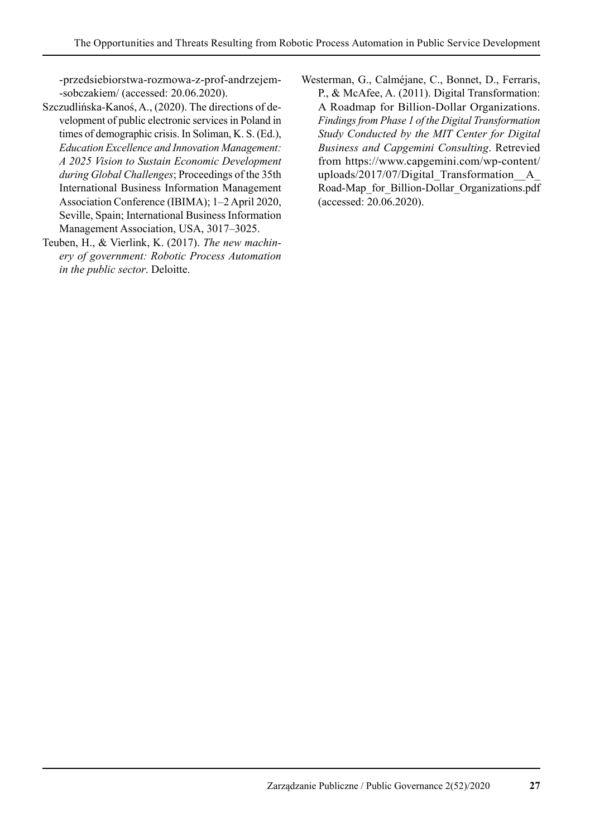-przedsiebiorstwa-rozmowa-z-prof-andrzejem- -sobczakiem/ (accessed: 20.06.2020).

- Szczudlińska-Kanoś, A., (2020). The directions of development of public electronic services in Poland in times of demographic crisis. In Soliman, K. S. (Ed.), *Education Excellence and Innovation Management: A 2025 Vision to Sustain Economic Development during Global Challenges*; Proceedings of the 35th International Business Information Management Association Conference (IBIMA); 1–2 April 2020, Seville, Spain; International Business Information Management Association, USA, 3017–3025.
- Teuben, H., & Vierlink, K. (2017). *The new machinery of government: Robotic Process Automation in the public sector*. Deloitte.
- Westerman, G., Calméjane, C., Bonnet, D., Ferraris, P., & McAfee, A. (2011). Digital Transformation: A Roadmap for Billion-Dollar Organizations. *Findings from Phase 1 of the Digital Transformation Study Conducted by the MIT Center for Digital Business and Capgemini Consulting*. Retrevied from https://www.capgemini.com/wp-content/ uploads/2017/07/Digital\_Transformation\_\_A\_ Road-Map\_for\_Billion-Dollar\_Organizations.pdf (accessed: 20.06.2020).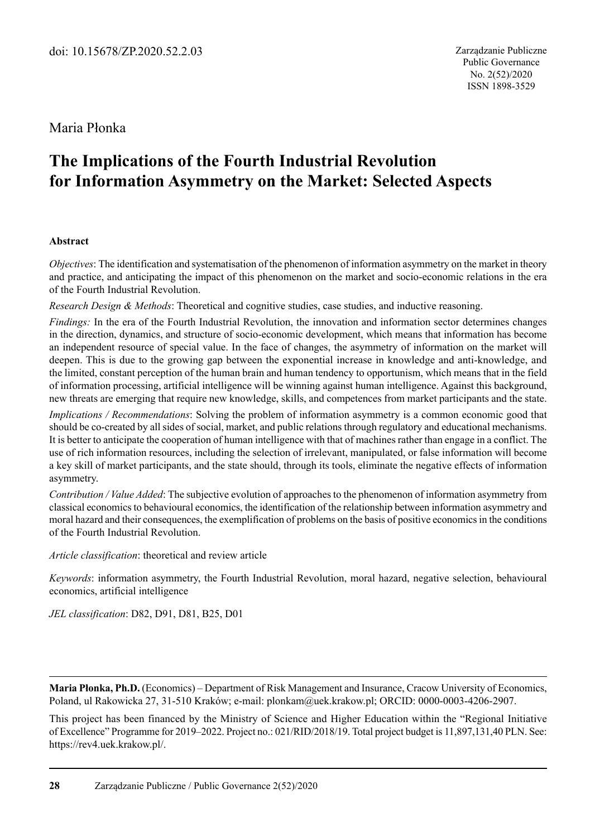# Maria Płonka

# **The Implications of the Fourth Industrial Revolution for Information Asymmetry on the Market: Selected Aspects**

#### **Abstract**

*Objectives*: The identification and systematisation of the phenomenon of information asymmetry on the market in theory and practice, and anticipating the impact of this phenomenon on the market and socio-economic relations in the era of the Fourth Industrial Revolution.

*Research Design & Methods*: Theoretical and cognitive studies, case studies, and inductive reasoning.

*Findings:* In the era of the Fourth Industrial Revolution, the innovation and information sector determines changes in the direction, dynamics, and structure of socio-economic development, which means that information has become an independent resource of special value. In the face of changes, the asymmetry of information on the market will deepen. This is due to the growing gap between the exponential increase in knowledge and anti-knowledge, and the limited, constant perception of the human brain and human tendency to opportunism, which means that in the field of information processing, artificial intelligence will be winning against human intelligence. Against this background, new threats are emerging that require new knowledge, skills, and competences from market participants and the state.

*Implications / Recommendations*: Solving the problem of information asymmetry is a common economic good that should be co-created by all sides of social, market, and public relations through regulatory and educational mechanisms. It is better to anticipate the cooperation of human intelligence with that of machines rather than engage in a conflict. The use of rich information resources, including the selection of irrelevant, manipulated, or false information will become a key skill of market participants, and the state should, through its tools, eliminate the negative effects of information asymmetry.

*Contribution / Value Added*: The subjective evolution of approaches to the phenomenon of information asymmetry from classical economics to behavioural economics, the identification of the relationship between information asymmetry and moral hazard and their consequences, the exemplification of problems on the basis of positive economics in the conditions of the Fourth Industrial Revolution.

*Article classification*: theoretical and review article

*Keywords*: information asymmetry, the Fourth Industrial Revolution, moral hazard, negative selection, behavioural economics, artificial intelligence

*JEL classification*: D82, D91, D81, B25, D01

**Maria Płonka, Ph.D.** (Economics) – Department of Risk Management and Insurance, Cracow University of Economics, Poland, ul Rakowicka 27, 31-510 Kraków; e-mail: plonkam@uek.krakow.pl; ORCID: 0000-0003-4206-2907.

This project has been financed by the Ministry of Science and Higher Education within the "Regional Initiative of Excellence" Programme for 2019–2022. Project no.: 021/RID/2018/19. Total project budget is 11,897,131,40 PLN. See: https://rev4.uek.krakow.pl/.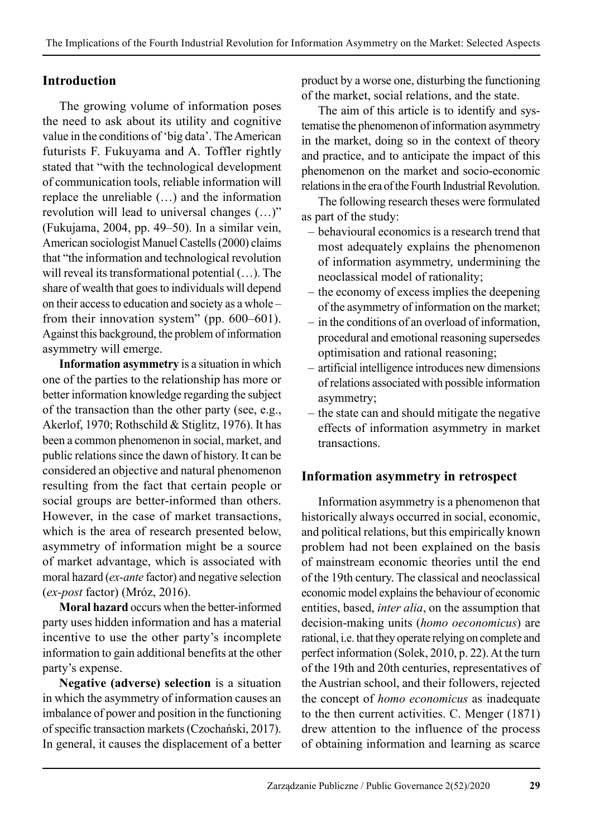# **Introduction**

The growing volume of information poses the need to ask about its utility and cognitive value in the conditions of 'big data'. The American futurists F. Fukuyama and A. Toffler rightly stated that "with the technological development of communication tools, reliable information will replace the unreliable (…) and the information revolution will lead to universal changes (…)" (Fukujama, 2004, pp. 49–50). In a similar vein, American sociologist Manuel Castells (2000) claims that "the information and technological revolution will reveal its transformational potential (…). The share of wealth that goes to individuals will depend on their access to education and society as a whole – from their innovation system" (pp. 600–601). Against this background, the problem of information asymmetry will emerge.

**Information asymmetry** is a situation in which one of the parties to the relationship has more or better information knowledge regarding the subject of the transaction than the other party (see, e.g., Akerlof, 1970; Rothschild & Stiglitz, 1976). It has been a common phenomenon in social, market, and public relations since the dawn of history. It can be considered an objective and natural phenomenon resulting from the fact that certain people or social groups are better-informed than others. However, in the case of market transactions, which is the area of research presented below, asymmetry of information might be a source of market advantage, which is associated with moral hazard (*ex-ante* factor) and negative selection (*ex-post* factor) (Mróz, 2016).

**Moral hazard** occurs when the better-informed party uses hidden information and has a material incentive to use the other party's incomplete information to gain additional benefits at the other party's expense.

**Negative (adverse) selection** is a situation in which the asymmetry of information causes an imbalance of power and position in the functioning of specific transaction markets (Czochański, 2017). In general, it causes the displacement of a better product by a worse one, disturbing the functioning of the market, social relations, and the state.

The aim of this article is to identify and systematise the phenomenon of information asymmetry in the market, doing so in the context of theory and practice, and to anticipate the impact of this phenomenon on the market and socio-economic relations in the era of the Fourth Industrial Revolution

The following research theses were formulated as part of the study:

- behavioural economics is a research trend that most adequately explains the phenomenon of information asymmetry, undermining the neoclassical model of rationality;
- the economy of excess implies the deepening of the asymmetry of information on the market;
- in the conditions of an overload of information, procedural and emotional reasoning supersedes optimisation and rational reasoning;
- artificial intelligence introduces new dimensions of relations associated with possible information asymmetry;
- the state can and should mitigate the negative effects of information asymmetry in market transactions.

## **Information asymmetry in retrospect**

Information asymmetry is a phenomenon that historically always occurred in social, economic, and political relations, but this empirically known problem had not been explained on the basis of mainstream economic theories until the end of the 19th century. The classical and neoclassical economic model explains the behaviour of economic entities, based, *inter alia*, on the assumption that decision-making units (*homo oeconomicus*) are rational, i.e. that they operate relying on complete and perfect information (Solek, 2010, p. 22). At the turn of the 19th and 20th centuries, representatives of the Austrian school, and their followers, rejected the concept of *homo economicus* as inadequate to the then current activities. C. Menger (1871) drew attention to the influence of the process of obtaining information and learning as scarce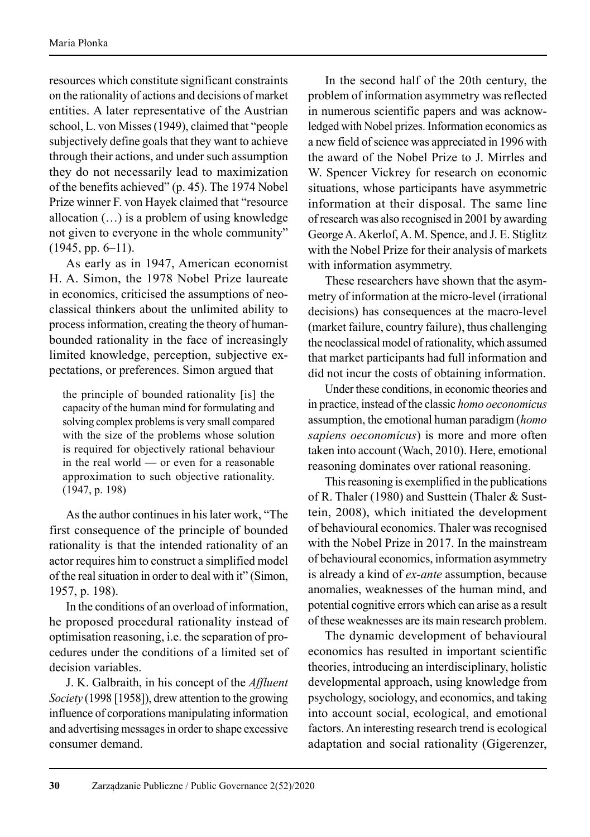resources which constitute significant constraints on the rationality of actions and decisions of market entities. A later representative of the Austrian school, L. von Misses (1949), claimed that "people subjectively define goals that they want to achieve through their actions, and under such assumption they do not necessarily lead to maximization of the benefits achieved" (p. 45). The 1974 Nobel Prize winner F. von Hayek claimed that "resource allocation (…) is a problem of using knowledge not given to everyone in the whole community"  $(1945, pp. 6–11).$ 

As early as in 1947, American economist H. A. Simon, the 1978 Nobel Prize laureate in economics, criticised the assumptions of neoclassical thinkers about the unlimited ability to process information, creating the theory of humanbounded rationality in the face of increasingly limited knowledge, perception, subjective expectations, or preferences. Simon argued that

the principle of bounded rationality [is] the capacity of the human mind for formulating and solving complex problems is very small compared with the size of the problems whose solution is required for objectively rational behaviour in the real world — or even for a reasonable approximation to such objective rationality. (1947, p. 198)

As the author continues in his later work, "The first consequence of the principle of bounded rationality is that the intended rationality of an actor requires him to construct a simplified model of the real situation in order to deal with it" (Simon, 1957, p. 198).

In the conditions of an overload of information, he proposed procedural rationality instead of optimisation reasoning, i.e. the separation of procedures under the conditions of a limited set of decision variables.

J. K. Galbraith, in his concept of the *Affluent Society* (1998 [1958]), drew attention to the growing influence of corporations manipulating information and advertising messages in order to shape excessive consumer demand.

In the second half of the 20th century, the problem of information asymmetry was reflected in numerous scientific papers and was acknowledged with Nobel prizes. Information economics as a new field of science was appreciated in 1996 with the award of the Nobel Prize to J. Mirrles and W. Spencer Vickrey for research on economic situations, whose participants have asymmetric information at their disposal. The same line of research was also recognised in 2001 by awarding George A. Akerlof, A. M. Spence, and J. E. Stiglitz with the Nobel Prize for their analysis of markets with information asymmetry.

These researchers have shown that the asymmetry of information at the micro-level (irrational decisions) has consequences at the macro-level (market failure, country failure), thus challenging the neoclassical model of rationality, which assumed that market participants had full information and did not incur the costs of obtaining information.

Under these conditions, in economic theories and in practice, instead of the classic *homo oeconomicus* assumption, the emotional human paradigm (*homo sapiens oeconomicus*) is more and more often taken into account (Wach, 2010). Here, emotional reasoning dominates over rational reasoning.

This reasoning is exemplified in the publications of R. Thaler (1980) and Susttein (Thaler & Susttein, 2008), which initiated the development of behavioural economics. Thaler was recognised with the Nobel Prize in 2017. In the mainstream of behavioural economics, information asymmetry is already a kind of *ex-ante* assumption, because anomalies, weaknesses of the human mind, and potential cognitive errors which can arise as a result of these weaknesses are its main research problem.

The dynamic development of behavioural economics has resulted in important scientific theories, introducing an interdisciplinary, holistic developmental approach, using knowledge from psychology, sociology, and economics, and taking into account social, ecological, and emotional factors. An interesting research trend is ecological adaptation and social rationality (Gigerenzer,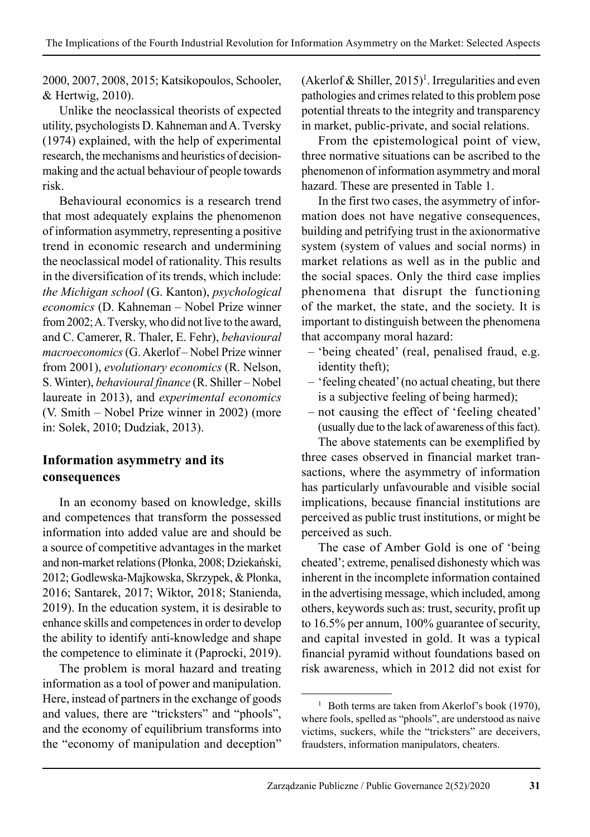2000, 2007, 2008, 2015; Katsikopoulos, Schooler, & Hertwig, 2010).

Unlike the neoclassical theorists of expected utility, psychologists D. Kahneman and A. Tversky (1974) explained, with the help of experimental research, the mechanisms and heuristics of decisionmaking and the actual behaviour of people towards risk.

Behavioural economics is a research trend that most adequately explains the phenomenon of information asymmetry, representing a positive trend in economic research and undermining the neoclassical model of rationality. This results in the diversification of its trends, which include: *the Michigan school* (G. Kanton), *psychological economics* (D. Kahneman – Nobel Prize winner from 2002; A. Tversky, who did not live to the award, and C. Camerer, R. Thaler, E. Fehr), *behavioural macroeconomics* (G. Akerlof – Nobel Prize winner from 2001), *evolutionary economics* (R. Nelson, S. Winter), *behavioural finance* (R. Shiller – Nobel laureate in 2013), and *experimental economics* (V. Smith – Nobel Prize winner in 2002) (more in: Solek, 2010; Dudziak, 2013).

# **Information asymmetry and its consequences**

In an economy based on knowledge, skills and competences that transform the possessed information into added value are and should be a source of competitive advantages in the market and non-market relations (Płonka, 2008; Dziekański, 2012; Godlewska-Majkowska, Skrzypek, & Płonka, 2016; Santarek, 2017; Wiktor, 2018; Stanienda, 2019). In the education system, it is desirable to enhance skills and competences in order to develop the ability to identify anti-knowledge and shape the competence to eliminate it (Paprocki, 2019).

The problem is moral hazard and treating information as a tool of power and manipulation. Here, instead of partners in the exchange of goods and values, there are "tricksters" and "phools", and the economy of equilibrium transforms into the "economy of manipulation and deception"

(Akerlof & Shiller,  $2015$ <sup>1</sup>. Irregularities and even pathologies and crimes related to this problem pose potential threats to the integrity and transparency in market, public-private, and social relations.

From the epistemological point of view, three normative situations can be ascribed to the phenomenon of information asymmetry and moral hazard. These are presented in Table 1.

In the first two cases, the asymmetry of information does not have negative consequences, building and petrifying trust in the axionormative system (system of values and social norms) in market relations as well as in the public and the social spaces. Only the third case implies phenomena that disrupt the functioning of the market, the state, and the society. It is important to distinguish between the phenomena that accompany moral hazard:

- 'being cheated' (real, penalised fraud, e.g. identity theft);
- 'feeling cheated' (no actual cheating, but there is a subjective feeling of being harmed);
- not causing the effect of 'feeling cheated' (usually due to the lack of awareness of this fact).

The above statements can be exemplified by three cases observed in financial market transactions, where the asymmetry of information has particularly unfavourable and visible social implications, because financial institutions are perceived as public trust institutions, or might be perceived as such.

The case of Amber Gold is one of 'being cheated'; extreme, penalised dishonesty which was inherent in the incomplete information contained in the advertising message, which included, among others, keywords such as: trust, security, profit up to 16.5% per annum, 100% guarantee of security, and capital invested in gold. It was a typical financial pyramid without foundations based on risk awareness, which in 2012 did not exist for

<sup>&</sup>lt;sup>1</sup> Both terms are taken from Akerlof's book (1970), where fools, spelled as "phools", are understood as naive victims, suckers, while the "tricksters" are deceivers, fraudsters, information manipulators, cheaters.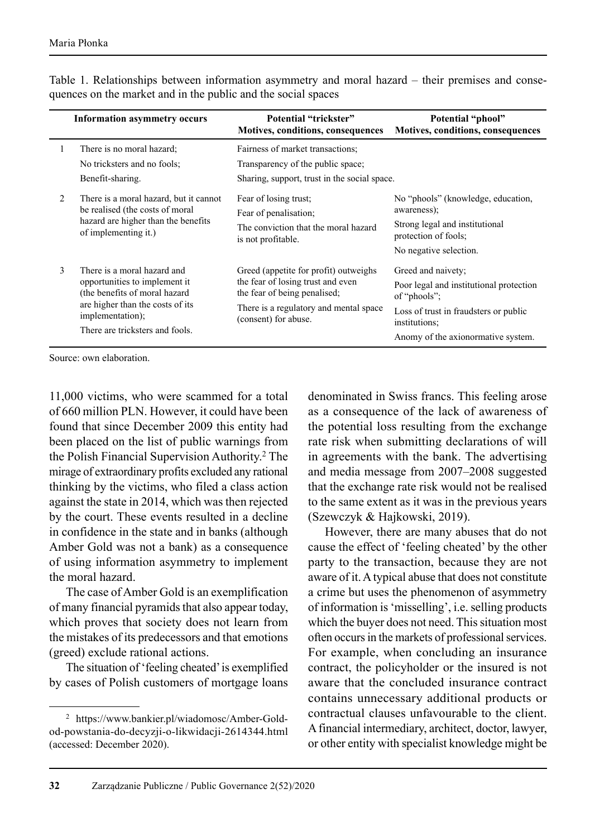|   | <b>Information asymmetry occurs</b>                                                                                                                                                      | Potential "trickster"<br>Motives, conditions, consequences                                                                                                                   | Potential "phool"<br>Motives, conditions, consequences                                                                                                                        |
|---|------------------------------------------------------------------------------------------------------------------------------------------------------------------------------------------|------------------------------------------------------------------------------------------------------------------------------------------------------------------------------|-------------------------------------------------------------------------------------------------------------------------------------------------------------------------------|
| 1 | There is no moral hazard;<br>No tricksters and no fools;<br>Benefit-sharing.                                                                                                             | Fairness of market transactions:<br>Transparency of the public space;<br>Sharing, support, trust in the social space.                                                        |                                                                                                                                                                               |
| 2 | There is a moral hazard, but it cannot<br>be realised (the costs of moral<br>hazard are higher than the benefits<br>of implementing it.)                                                 | Fear of losing trust;<br>Fear of penalisation;<br>The conviction that the moral hazard<br>is not profitable.                                                                 | No "phools" (knowledge, education,<br>awareness);<br>Strong legal and institutional<br>protection of fools;<br>No negative selection.                                         |
| 3 | There is a moral hazard and<br>opportunities to implement it<br>(the benefits of moral hazard<br>are higher than the costs of its<br>implementation);<br>There are tricksters and fools. | Greed (appetite for profit) outweighs<br>the fear of losing trust and even<br>the fear of being penalised;<br>There is a regulatory and mental space<br>(consent) for abuse. | Greed and naivety;<br>Poor legal and institutional protection<br>of "phools";<br>Loss of trust in fraudsters or public<br>institutions:<br>Anomy of the axionormative system. |

Table 1. Relationships between information asymmetry and moral hazard – their premises and consequences on the market and in the public and the social spaces

Source: own elaboration.

11,000 victims, who were scammed for a total of 660 million PLN. However, it could have been found that since December 2009 this entity had been placed on the list of public warnings from the Polish Financial Supervision Authority.2 The mirage of extraordinary profits excluded any rational thinking by the victims, who filed a class action against the state in 2014, which was then rejected by the court. These events resulted in a decline in confidence in the state and in banks (although Amber Gold was not a bank) as a consequence of using information asymmetry to implement the moral hazard.

The case of Amber Gold is an exemplification of many financial pyramids that also appear today, which proves that society does not learn from the mistakes of its predecessors and that emotions (greed) exclude rational actions.

The situation of 'feeling cheated' is exemplified by cases of Polish customers of mortgage loans

denominated in Swiss francs. This feeling arose as a consequence of the lack of awareness of the potential loss resulting from the exchange rate risk when submitting declarations of will in agreements with the bank. The advertising and media message from 2007–2008 suggested that the exchange rate risk would not be realised to the same extent as it was in the previous years (Szewczyk & Hajkowski, 2019).

However, there are many abuses that do not cause the effect of 'feeling cheated' by the other party to the transaction, because they are not aware of it. A typical abuse that does not constitute a crime but uses the phenomenon of asymmetry of information is 'misselling', i.e. selling products which the buyer does not need. This situation most often occurs in the markets of professional services. For example, when concluding an insurance contract, the policyholder or the insured is not aware that the concluded insurance contract contains unnecessary additional products or con tractual clauses unfavourable to the client. A financial intermediary, architect, doctor, lawyer, or other entity with specialist knowledge might be

<sup>2</sup> https://www.bankier.pl/wiadomosc/Amber-Goldod-powstania-do-decyzji-o-likwidacji-2614344.html (accessed: December 2020).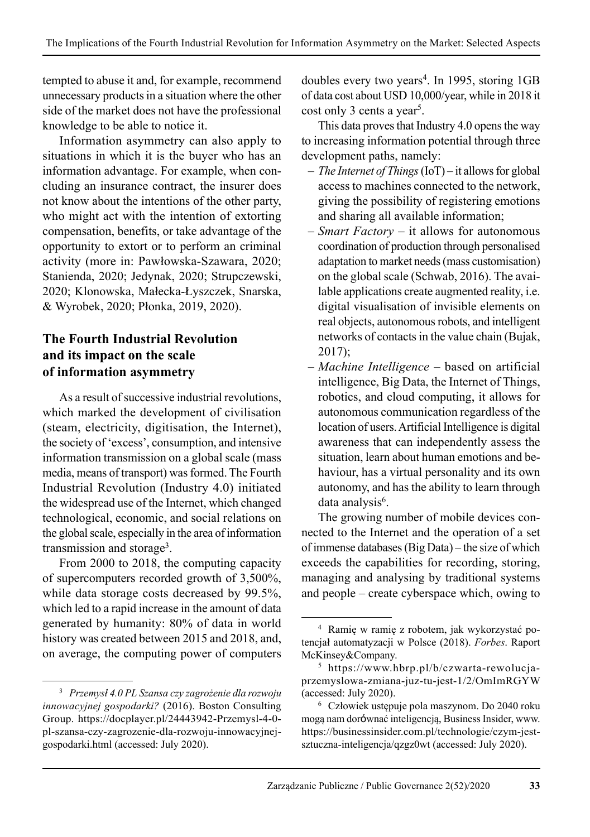tempted to abuse it and, for example, recommend unnecessary products in a situation where the other side of the market does not have the professional knowledge to be able to notice it.

Information asymmetry can also apply to situations in which it is the buyer who has an information advantage. For example, when concluding an insurance contract, the insurer does not know about the intentions of the other party, who might act with the intention of extorting compensation, benefits, or take advantage of the opportunity to extort or to perform an criminal activity (more in: Pawłowska-Szawara, 2020; Stanienda, 2020; Jedynak, 2020; Strupczewski, 2020; Klonowska, Małecka-Łyszczek, Snarska, & Wyrobek, 2020; Płonka, 2019, 2020).

# **The Fourth Industrial Revolution and its impact on the scale of information asymmetry**

As a result of successive industrial revolutions, which marked the development of civilisation (steam, electricity, digitisation, the Internet), the society of 'excess', consumption, and intensive information transmission on a global scale (mass media, means of transport) was formed. The Fourth Industrial Revolution (Industry 4.0) initiated the widespread use of the Internet, which changed technological, economic, and social relations on the global scale, especially in the area of information transmission and storage<sup>3</sup>.

From 2000 to 2018, the computing capacity of supercomputers recorded growth of 3,500%, while data storage costs decreased by 99.5%, which led to a rapid increase in the amount of data generated by humanity: 80% of data in world history was created between 2015 and 2018, and, on average, the computing power of computers

doubles every two years<sup>4</sup>. In 1995, storing 1GB of data cost about USD 10,000/year, while in 2018 it cost only 3 cents a year<sup>5</sup>.

This data proves that Industry 4.0 opens the way to increasing information potential through three development paths, namely:

- *The Internet of Things* (IoT) it allows for global access to machines connected to the network, giving the possibility of registering emotions and sharing all available information;
- *Smart Factory* it allows for autonomous coordination of production through personalised adaptation to market needs (mass customisation) on the global scale (Schwab, 2016). The available applications create augmented reality, i.e. digital visualisation of invisible elements on real objects, autonomous robots, and intelligent networks of contacts in the value chain (Bujak, 2017);
- *Machine Intelligence* based on artificial intelligence, Big Data, the Internet of Things, robotics, and cloud computing, it allows for autonomous communication regardless of the location of users. Artificial Intelligence is digital awareness that can independently assess the situation, learn about human emotions and behaviour, has a virtual personality and its own autonomy, and has the ability to learn through data analysis<sup>6</sup>.

The growing number of mobile devices connected to the Internet and the operation of a set of immense databases (Big Data) – the size of which exceeds the capabilities for recording, storing, managing and analysing by traditional systems and people – create cyberspace which, owing to

<sup>3</sup> *Przemysł 4.0 PL Szansa czy zagrożenie dla rozwoju innowacyjnej gospodarki?* (2016). Boston Consulting Group. https://docplayer.pl/24443942-Przemysl-4-0 pl-szansa-czy-zagrozenie-dla-rozwoju-innowacyjnejgospodarki.html (accessed: July 2020).

<sup>4</sup> Ramię w ramię z robotem, jak wykorzystać po tencjał automatyzacji w Polsce (2018). *Forbes*. Raport McKinsey&Company.

<sup>5</sup> https://www.hbrp.pl/b/czwarta-rewolucjaprzemyslowa-zmiana-juz-tu-jest-1/2/OmImRGYW (accessed: July 2020).

<sup>6</sup> Człowiek ustępuje pola maszynom. Do 2040 roku mogą nam dorównać inteligencją, Business Insider, www. https://businessinsider.com.pl/technologie/czym-jestsztuczna-inteligencja/qzgz0wt (accessed: July 2020).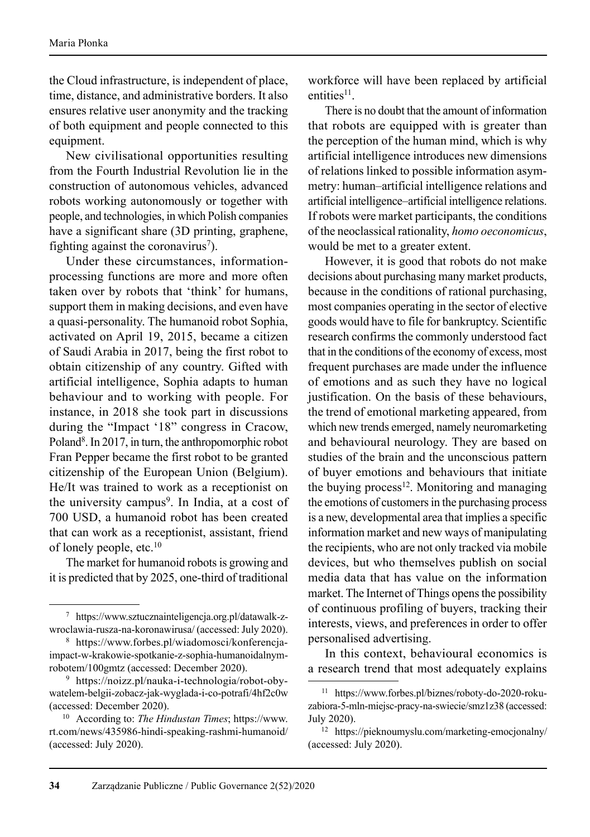the Cloud infrastructure, is independent of place, time, distance, and administrative borders. It also ensures relative user anonymity and the tracking of both equipment and people connected to this equipment.

New civilisational opportunities resulting from the Fourth Industrial Revolution lie in the construction of autonomous vehicles, advanced robots working autonomously or together with people, and technologies, in which Polish companies have a significant share (3D printing, graphene, fighting against the coronavirus<sup>7</sup>).

Under these circumstances, informationprocessing functions are more and more often taken over by robots that 'think' for humans, support them in making decisions, and even have a quasi-personality. The humanoid robot Sophia, activated on April 19, 2015, became a citizen of Saudi Arabia in 2017, being the first robot to obtain citizenship of any country. Gifted with artificial intelligence, Sophia adapts to human behaviour and to working with people. For instance, in 2018 she took part in discussions during the "Impact '18" congress in Cracow, Poland<sup>8</sup>. In 2017, in turn, the anthropomorphic robot Fran Pepper became the first robot to be granted citizenship of the European Union (Belgium). He/It was trained to work as a receptionist on the university campus<sup>9</sup>. In India, at a cost of 700 USD, a humanoid robot has been created that can work as a receptionist, assistant, friend of lonely people, etc.<sup>10</sup>

The market for humanoid robots is growing and it is predicted that by 2025, one-third of traditional

workforce will have been replaced by artificial entities<sup>11</sup>

There is no doubt that the amount of information that robots are equipped with is greater than the perception of the human mind, which is why artificial intelligence introduces new dimensions of relations linked to possible information asymmetry: human–artificial intelligence relations and artificial intelligence–artificial intelligence relations. If robots were market participants, the conditions of the neoclassical rationality, *homo oeconomicus*, would be met to a greater extent.

However, it is good that robots do not make decisions about purchasing many market products, because in the conditions of rational purchasing, most companies operating in the sector of elective goods would have to file for bankruptcy. Scientific research confirms the commonly understood fact that in the conditions of the economy of excess, most frequent purchases are made under the influence of emotions and as such they have no logical justification. On the basis of these behaviours, the trend of emotional marketing appeared, from which new trends emerged, namely neuromarketing and behavioural neurology. They are based on studies of the brain and the unconscious pattern of buyer emotions and behaviours that initiate the buying process $12$ . Monitoring and managing the emotions of customers in the purchasing process is a new, developmental area that implies a specific information market and new ways of manipulating the recipients, who are not only tracked via mobile devices, but who themselves publish on social media data that has value on the information market. The Internet of Things opens the possibility of continuous profiling of buyers, tracking their interests, views, and preferences in order to offer personalised advertising.

In this context, behavioural economics is a research trend that most adequately explains

<sup>7</sup> https://www.sztucznainteligencja.org.pl/datawalk-zwroclawia-rusza-na-koronawirusa/ (accessed: July 2020).

<sup>8</sup> https://www.forbes.pl/wiadomosci/konferencjaimpact-w-krakowie-spotkanie-z-sophia-humanoidalnymrobotem/100gmtz (accessed: December 2020).

<sup>&</sup>lt;sup>9</sup> https://noizz.pl/nauka-i-technologia/robot-obywatelem-belgii-zobacz-jak-wyglada-i-co-potrafi/4hf2c0w (accessed: December 2020).

<sup>10</sup> According to: *The Hindustan Times*; https://www. rt.com/news/435986-hindi-speaking-rashmi-humanoid/ (accessed: July 2020).

<sup>11</sup> https://www.forbes.pl/biznes/roboty-do-2020-rokuzabiora-5-mln-miejsc-pracy-na-swiecie/smz1z38 (accessed: July 2020).

<sup>12</sup> https://pieknoumyslu.com/marketing-emocjonalny/ (accessed: July 2020).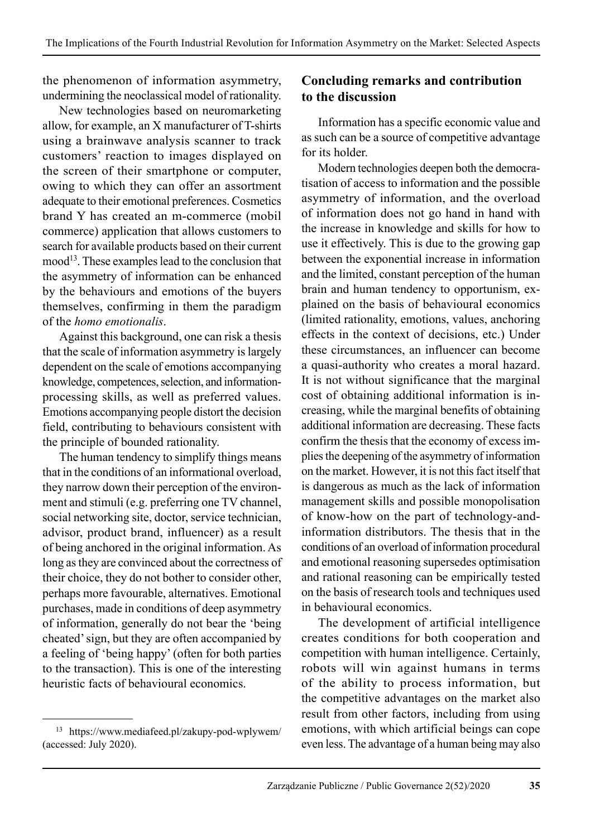the phenomenon of information asymmetry, undermining the neoclassical model of rationality.

New technologies based on neuromarketing allow, for example, an X manufacturer of T-shirts using a brainwave analysis scanner to track customers' reaction to images displayed on the screen of their smartphone or computer, owing to which they can offer an assortment adequate to their emotional preferences. Cosmetics brand Y has created an m-commerce (mobil commerce) application that allows customers to search for available products based on their current mood<sup>13</sup>. These examples lead to the conclusion that the asymmetry of information can be enhanced by the behaviours and emotions of the buyers themselves, confirming in them the paradigm of the *homo emotionalis*.

Against this background, one can risk a thesis that the scale of information asymmetry is largely dependent on the scale of emotions accompanying knowledge, competences, selection, and informationprocessing skills, as well as preferred values. Emotions accompanying people distort the decision field, contributing to behaviours consistent with the principle of bounded rationality.

The human tendency to simplify things means that in the conditions of an informational overload. they narrow down their perception of the environment and stimuli (e.g. preferring one TV channel, social networking site, doctor, service technician, advisor, product brand, influencer) as a result of being anchored in the original information. As long as they are convinced about the correctness of their choice, they do not bother to consider other, perhaps more favourable, alternatives. Emotional purchases, made in conditions of deep asymmetry of information, generally do not bear the 'being cheated' sign, but they are often accompanied by a feeling of 'being happy' (often for both parties to the transaction). This is one of the interesting heuristic facts of behavioural economics.

# **Concluding remarks and contribution to the discussion**

Information has a specific economic value and as such can be a source of competitive advantage for its holder.

Modern technologies deepen both the democratisation of access to information and the possible asymmetry of information, and the overload of information does not go hand in hand with the increase in knowledge and skills for how to use it effectively. This is due to the growing gap between the exponential increase in information and the limited, constant perception of the human brain and human tendency to opportunism, explained on the basis of behavioural economics (limited rationality, emotions, values, anchoring effects in the context of decisions, etc.) Under these circumstances, an influencer can become a quasi-authority who creates a moral hazard. It is not without significance that the marginal cost of obtaining additional information is increasing, while the marginal benefits of obtaining additional information are decreasing. These facts confirm the thesis that the economy of excess im plies the deepening of the asymmetry of information on the market. However, it is not this fact itself that is dangerous as much as the lack of information management skills and possible monopolisation of know-how on the part of technology-andinformation distributors. The thesis that in the conditions of an overload of information procedural and emotional reasoning supersedes optimisation and rational reasoning can be empirically tested on the basis of research tools and techniques used in behavioural economics.

The development of artificial intelligence creates conditions for both cooperation and competition with human intelligence. Certainly, robots will win against humans in terms of the ability to process information, but the competitive advantages on the market also result from other factors, including from using emotions, with which artificial beings can cope even less. The advantage of a human being may also

<sup>13</sup> https://www.mediafeed.pl/zakupy-pod-wplywem/ (accessed: July 2020).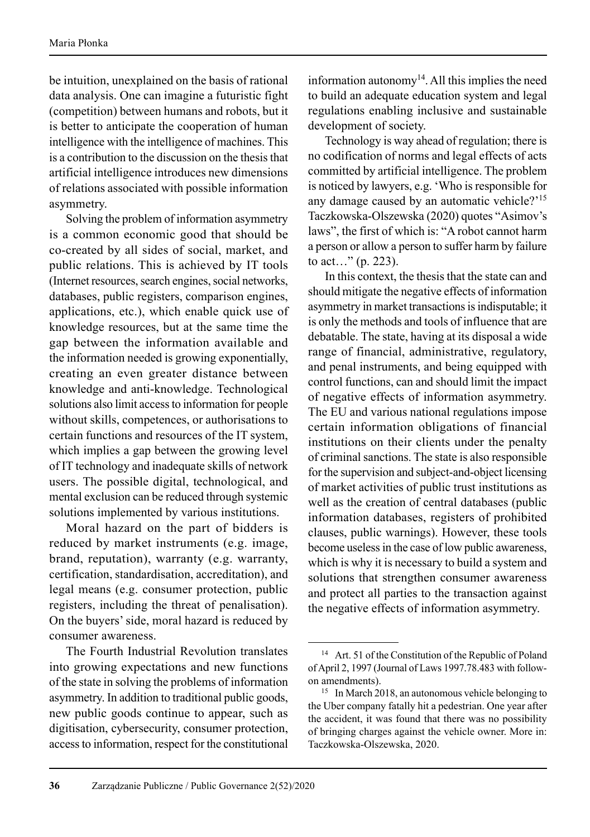be intuition, unexplained on the basis of rational data analysis. One can imagine a futuristic fight (competition) between humans and robots, but it is better to anticipate the cooperation of human intelligence with the intelligence of machines. This is a contribution to the discussion on the thesis that artificial intelligence introduces new dimensions of relations associated with possible information asymmetry.

Solving the problem of information asymmetry is a common economic good that should be co-created by all sides of social, market, and public relations. This is achieved by IT tools (Internet resources, search engines, social networks, databases, public registers, comparison engines, applications, etc.), which enable quick use of knowledge resources, but at the same time the gap between the information available and the information needed is growing exponentially, creating an even greater distance between knowledge and anti-knowledge. Technological solutions also limit access to information for people without skills, competences, or authorisations to certain functions and resources of the IT system, which implies a gap between the growing level of IT technology and inadequate skills of network users. The possible digital, technological, and mental exclusion can be reduced through systemic solutions implemented by various institutions.

Moral hazard on the part of bidders is reduced by market instruments (e.g. image, brand, reputation), warranty (e.g. warranty, certification, standardisation, accreditation), and legal means (e.g. consumer protection, public registers, including the threat of penalisation). On the buyers' side, moral hazard is reduced by consumer awareness.

The Fourth Industrial Revolution translates into growing expectations and new functions of the state in solving the problems of information asymmetry. In addition to traditional public goods, new public goods continue to appear, such as digitisation, cybersecurity, consumer protection, access to information, respect for the constitutional information autonomy<sup>14</sup>. All this implies the need to build an adequate education system and legal regulations enabling inclusive and sustainable development of society.

Technology is way ahead of regulation; there is no codification of norms and legal effects of acts committed by artificial intelligence. The problem is noticed by lawyers, e.g. 'Who is responsible for any damage caused by an automatic vehicle?'15 Taczkowska-Olszewska (2020) quotes "Asimov's laws", the first of which is: "A robot cannot harm a person or allow a person to suffer harm by failure to act…" (p. 223).

In this context, the thesis that the state can and should mitigate the negative effects of information asymmetry in market transactions is indisputable; it is only the methods and tools of influence that are debatable. The state, having at its disposal a wide range of financial, administrative, regulatory, and penal instruments, and being equipped with control functions, can and should limit the impact of negative effects of information asymmetry. The EU and various national regulations impose certain information obligations of financial institutions on their clients under the penalty of criminal sanctions. The state is also responsible for the supervision and subject-and-object licensing of market activities of public trust institutions as well as the creation of central databases (public information databases, registers of prohibited clauses, public warnings). However, these tools become useless in the case of low public awareness, which is why it is necessary to build a system and solutions that strengthen consumer awareness and protect all parties to the transaction against the negative effects of information asymmetry.

<sup>&</sup>lt;sup>14</sup> Art. 51 of the Constitution of the Republic of Poland of April 2, 1997 (Journal of Laws 1997.78.483 with followon amendments).

<sup>&</sup>lt;sup>15</sup> In March 2018, an autonomous vehicle belonging to the Uber company fatally hit a pedestrian. One year after the accident, it was found that there was no possibility of bringing charges against the vehicle owner. More in: Taczkowska-Olszewska, 2020.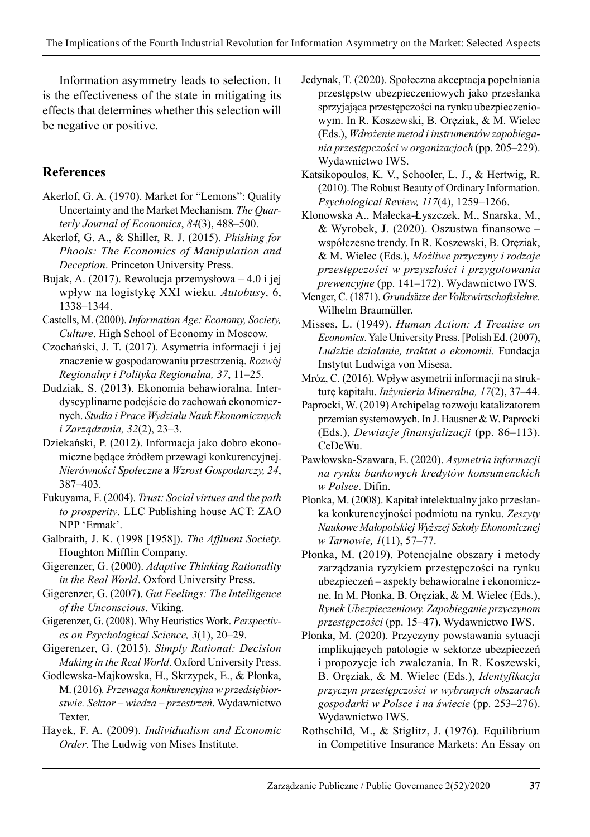Information asymmetry leads to selection. It is the effectiveness of the state in mitigating its effects that determines whether this selection will be negative or positive.

# **References**

- Akerlof, G. A. (1970). Market for "Lemons": Quality Uncertainty and the Market Mechanism. *The Quarterly Journal of Economics*, *84*(3), 488–500.
- Akerlof, G. A., & Shiller, R. J. (2015). *Phishing for Phools: The Economics of Manipulation and Deception*. Princeton University Press.
- Bujak, A. (2017). Rewolucja przemysłowa 4.0 i jej wpływ na logistykę XXI wieku. *Autobus*y, 6, 1338–1344.
- Castells, M. (2000). *Information Age: Economy, Society, Culture*. High School of Economy in Moscow.
- Czochański, J. T. (2017). Asymetria informacji i jej znaczenie w gospodarowaniu przestrzenią. *Rozw*ó*j Regionalny i Polityka Regionalna, 37*, 11–25.
- Dudziak, S. (2013). Ekonomia behawioralna. Interdyscyplinarne podejście do zachowań ekonomicznych. *Studia i Prace Wydziału Nauk Ekono micznych i Zarządzania, 32*(2), 23–3.
- Dziekański, P. (2012). Informacja jako dobro ekonomiczne będące źródłem przewagi konkurencyjnej. *Nierówności Społeczne* a *Wzrost Gospodarczy, 24*, 387–403.
- Fukuyama, F. (2004). *Trust: Social virtues and the path to prosperity*. LLC Publishing house ACT: ZAO NPP 'Ermak'.
- Galbraith, J. K. (1998 [1958]). *The Affluent Society*. Houghton Mifflin Company.
- Gigerenzer, G. (2000). *Adaptive Thinking Rationality in the Real World*. Oxford University Press.
- Gigerenzer, G. (2007). *Gut Feelings: The Intelligence of the Unconscious*. Viking.
- Gigerenzer, G. (2008). Why Heuristics Work. *Perspectives on Psychological Science, 3*(1), 20–29.
- Gigerenzer, G. (2015). *Simply Rational: Decision Making in the Real World*. Oxford University Press.
- Godlewska-Majkowska, H., Skrzypek, E., & Płonka, M. (2016)*. Przewaga konkurencyjna w przedsiębiorstwie. Sektor – wiedza – przestrzeń*. Wydawnictwo Texter.
- Hayek, F. A. (2009). *Individualism and Economic Order*. The Ludwig von Mises Institute.
- Jedynak, T. (2020). Społeczna akceptacja popełniania przestępstw ubezpieczeniowych jako przesłanka sprzyjająca przestępczości na rynku ubezpieczeniowym. In R. Koszewski, B. Oręziak, & M. Wielec (Eds.), *Wdrożenie metod i instrumentów zapobiegania przestępczości w organizacjach* (pp. 205–229). Wydawnictwo IWS.
- Katsikopoulos, K. V., Schooler, L. J., & Hertwig, R. (2010). The Robust Beauty of Ordinary Information. *Psychological Review, 117*(4), 1259–1266.
- Klonowska A., Małecka-Łyszczek, M., Snarska, M., & Wyrobek, J. (2020). Oszustwa finansowe – współczesne trendy. In R. Koszewski, B. Oręziak, & M. Wielec (Eds.), *Możliwe przyczyny i rodzaje przestępczości w przyszłości i przygotowania prewencyjne* (pp. 141–172). Wydawnictwo IWS.
- Menger, C. (1871). *Grunds*ä*tze der Volkswirtschaftslehre.*  Wilhelm Braumüller.
- Misses, L. (1949). *Human Action: A Treatise on Economics*. Yale University Press. [Polish Ed. (2007), *Ludzkie działanie, traktat o ekonomii.* Fundacja Instytut Ludwiga von Misesa.
- Mróz, C. (2016). Wpływ asymetrii informacji na strukturę kapitału. *Inżynieria Mineralna, 17*(2), 37–44.
- Paprocki, W. (2019) Archipelag rozwoju katalizatorem przemian systemowych. In J. Hausner & W. Paprocki (Eds.), *Dewiacje finansjalizacji* (pp. 86–113). CeDeWu.
- Pawłowska-Szawara, E. (2020). *Asymetria informacji na rynku bankowych kredytów konsumenckich w Polsce*. Difin.
- Płonka, M. (2008). Kapitał intelektualny jako przesłanka konkurencyjności podmiotu na rynku. *Zeszyty Naukowe Małopolskiej Wyższej Szkoły Ekonomicznej w Tarnowie, 1*(11), 57–77.
- Płonka, M. (2019). Potencjalne obszary i metody zarządzania ryzykiem przestępczości na rynku ubezpieczeń – aspekty behawioralne i ekonomiczne. In M. Płonka, B. Oręziak, & M. Wielec (Eds.), *Rynek Ubezpieczeniowy. Zapobieganie przyczynom przestępczości* (pp. 15–47). Wydawnictwo IWS.
- Płonka, M. (2020). Przyczyny powstawania sytuacji implikujących patologie w sektorze ubezpieczeń i propozycje ich zwalczania. In R. Koszewski, B. Oręziak, & M. Wielec (Eds.), *Identyfikacja przyczyn przestępczości w wybranych obszarach gospodarki w Polsce i na świecie* (pp. 253–276). Wydawnictwo IWS.
- Rothschild, M., & Stiglitz, J. (1976). Equilibrium in Competitive Insurance Markets: An Essay on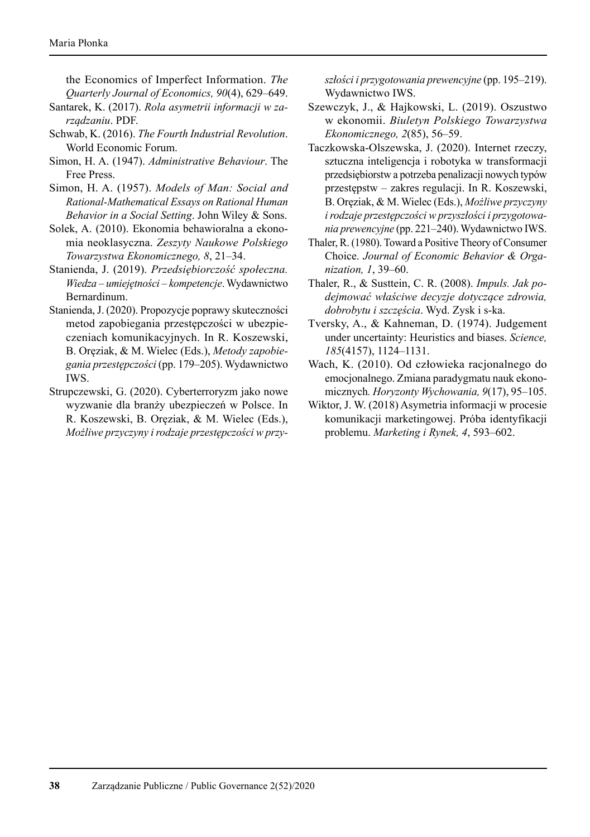the Economics of Imperfect Information. *The Quarterly Journal of Economics, 90*(4), 629–649.

- Santarek, K. (2017). *Rola asymetrii informacji w zarządzaniu*. PDF.
- Schwab, K. (2016). *The Fourth Industrial Revolution*. World Economic Forum.
- Simon, H. A. (1947). *Administrative Behaviour*. The Free Press.
- Simon, H. A. (1957). *Models of Man: Social and Rational-Mathematical Essays on Rational Human Behavior in a Social Setting*. John Wiley & Sons.
- Solek, A. (2010). Ekonomia behawioralna a ekonomia neoklasyczna. *Zeszyty Naukowe Polskiego Towarzystwa Ekonomicznego, 8*, 21–34.
- Stanienda, J. (2019). *Przedsiębiorczość społeczna. Wiedza – umiejętności – kompetencje*. Wydawnictwo Bernardinum.
- Stanienda, J. (2020). Propozycje poprawy skuteczności metod zapobiegania przestępczości w ubezpieczeniach komunikacyjnych. In R. Koszewski, B. Oręziak, & M. Wielec (Eds.), *Metody zapobiegania przestępczości* (pp. 179–205). Wydawnictwo IWS.
- Strupczewski, G. (2020). Cyberterroryzm jako nowe wyzwanie dla branży ubezpieczeń w Polsce. In R. Koszewski, B. Oręziak, & M. Wielec (Eds.), *Możliwe przyczyny i rodzaje przestępczości w przy-*

*szłości i przygotowania prewencyjne* (pp. 195–219). Wydawnictwo IWS.

- Szewczyk, J., & Hajkowski, L. (2019). Oszustwo w ekonomii. *Biuletyn Polskiego Towarzystwa Ekonomicznego, 2*(85), 56–59.
- Taczkowska-Olszewska, J. (2020). Internet rzeczy, sztuczna inteligencja i robotyka w transformacji przedsiębiorstw a potrzeba penalizacji nowych typów przestępstw – zakres regulacji. In R. Koszewski, B. Oręziak, & M. Wielec (Eds.), *Możliwe przyczyny i rodzaje przestępczości w przyszłości i przygotowania prewencyjne* (pp. 221–240). Wydawnictwo IWS.
- Thaler, R. (1980). Toward a Positive Theory of Consumer Choice. *Journal of Economic Behavior & Organization, 1*, 39–60.
- Thaler, R., & Susttein, C. R. (2008). *Impuls. Jak podejmować właściwe decyzje dotyczące zdrowia, dobrobytu i szczęścia*. Wyd. Zysk i s-ka.
- Tversky, A., & Kahneman, D. (1974). Judgement under uncertainty: Heuristics and biases. *Science, 185*(4157), 1124–1131.
- Wach, K. (2010). Od człowieka racjonalnego do emocjonalnego. Zmiana paradygmatu nauk ekonomicznych*. Horyzonty Wychowania, 9*(17), 95–105.
- Wiktor, J. W. (2018) Asymetria informacji w procesie komunikacji marketingowej. Próba identyfikacji problemu. *Marketing i Rynek, 4*, 593–602.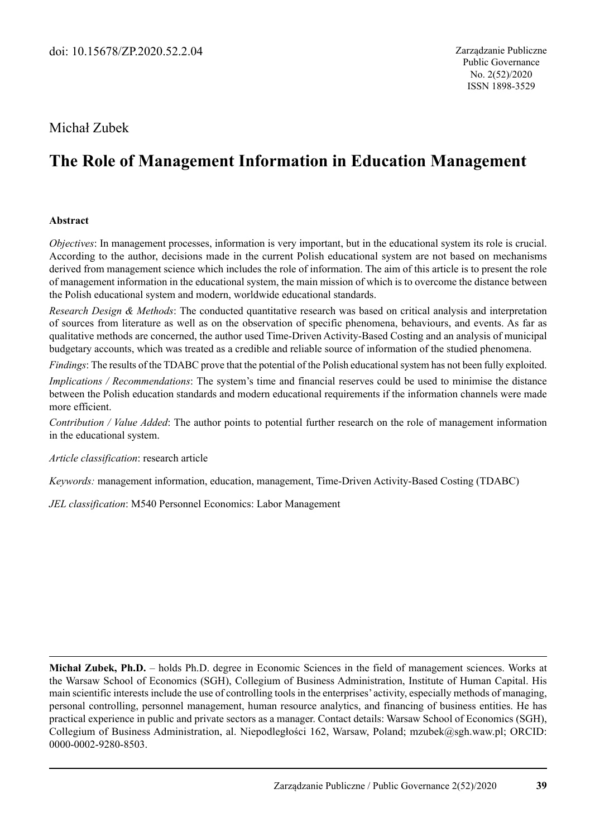# Michał Zubek

# **The Role of Management Information in Education Management**

#### **Abstract**

*Objectives*: In management processes, information is very important, but in the educational system its role is crucial. According to the author, decisions made in the current Polish educational system are not based on mechanisms derived from management science which includes the role of information. The aim of this article is to present the role of management information in the educational system, the main mission of which is to overcome the distance between the Polish educational system and modern, worldwide educational standards.

*Research Design & Methods*: The conducted quantitative research was based on critical analysis and interpretation of sources from literature as well as on the observation of specific phenomena, behaviours, and events. As far as qualitative methods are concerned, the author used Time-Driven Activity-Based Costing and an analysis of municipal budgetary accounts, which was treated as a credible and reliable source of information of the studied phenomena.

*Findings*: The results of the TDABC prove that the potential of the Polish educational system has not been fully exploited.

*Implications / Recommendations*: The system's time and financial reserves could be used to minimise the distance between the Polish education standards and modern educational requirements if the information channels were made more efficient.

*Contribution / Value Added*: The author points to potential further research on the role of management information in the educational system.

*Article classification*: research article

*Keywords:* management information, education, management, Time-Driven Activity-Based Costing (TDABC)

*JEL classification*: M540 Personnel Economics: Labor Management

**Michał Zubek, Ph.D.** – holds Ph.D. degree in Economic Sciences in the field of management sciences. Works at the Warsaw School of Economics (SGH), Collegium of Business Administration, Institute of Human Capital. His main scientific interests include the use of controlling tools in the enterprises' activity, especially methods of managing, personal controlling, personnel management, human resource analytics, and financing of business entities. He has practical experience in public and private sectors as a manager. Contact details: Warsaw School of Economics (SGH), Collegium of Business Administration, al. Niepodległości 162, Warsaw, Poland; mzubek@sgh.waw.pl; ORCID: 0000-0002-9280-8503.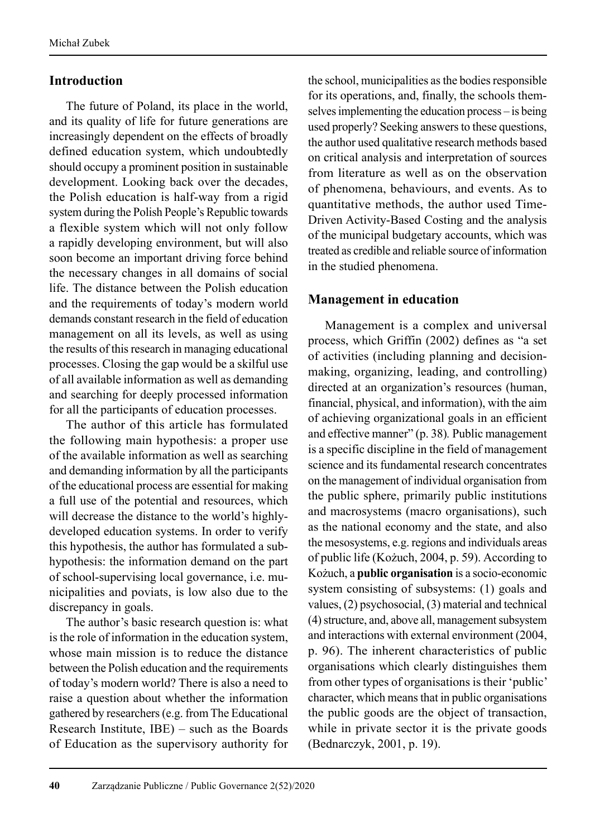## **Introduction**

The future of Poland, its place in the world, and its quality of life for future generations are increasingly dependent on the effects of broadly defined education system, which undoubtedly should occupy a prominent position in sustainable development. Looking back over the decades, the Polish education is half-way from a rigid system during the Polish People's Republic towards a flexible system which will not only follow a rapidly developing environment, but will also soon become an important driving force behind the necessary changes in all domains of social life. The distance between the Polish education and the requirements of today's modern world demands constant research in the field of education management on all its levels, as well as using the results of this research in managing educational processes. Closing the gap would be a skilful use of all available information as well as demanding and searching for deeply processed information for all the participants of education processes.

The author of this article has formulated the following main hypothesis: a proper use of the available information as well as searching and demanding information by all the participants of the educational process are essential for making a full use of the potential and resources, which will decrease the distance to the world's highlydeveloped education systems. In order to verify this hypothesis, the author has formulated a subhypothesis: the information demand on the part of school-supervising local governance, i.e. mu ni cipalities and poviats, is low also due to the discrepancy in goals.

The author's basic research question is: what is the role of information in the education system, whose main mission is to reduce the distance between the Polish education and the requirements of today's modern world? There is also a need to raise a question about whether the information gathered by researchers (e.g. from The Educational Research Institute, IBE) – such as the Boards of Education as the supervisory authority for the school, municipalities as the bodies responsible for its operations, and, finally, the schools themselves implementing the education process – is being used properly? Seeking answers to these questions, the author used qualitative research methods based on critical analysis and interpretation of sources from literature as well as on the observation of phenomena, behaviours, and events. As to quantitative methods, the author used Time-Driven Activity-Based Costing and the analysis of the municipal budgetary accounts, which was treated as credible and reliable source of information in the studied phenomena.

# **Management in education**

Management is a complex and universal process, which Griffin (2002) defines as "a set of activities (including planning and decisionmaking, organizing, leading, and controlling) directed at an organization's resources (human, financial, physical, and information), with the aim of achieving organizational goals in an efficient and effective manner" (p. 38)*.* Public management is a specific discipline in the field of management science and its fundamental research concentrates on the management of individual organisation from the public sphere, primarily public institutions and macrosystems (macro organisations), such as the national economy and the state, and also the mesosystems, e.g. regions and individuals areas of public life (Kożuch, 2004, p. 59). According to Kożuch, a **public organisation** is a socio-economic system consisting of subsystems: (1) goals and values, (2) psychosocial, (3) material and technical (4) structure, and, above all, management subsystem and interactions with external environment (2004, p. 96). The inherent characteristics of public organisations which clearly distinguishes them from other types of organisations is their 'public' character, which means that in public organisations the public goods are the object of transaction, while in private sector it is the private goods (Bednarczyk, 2001, p. 19).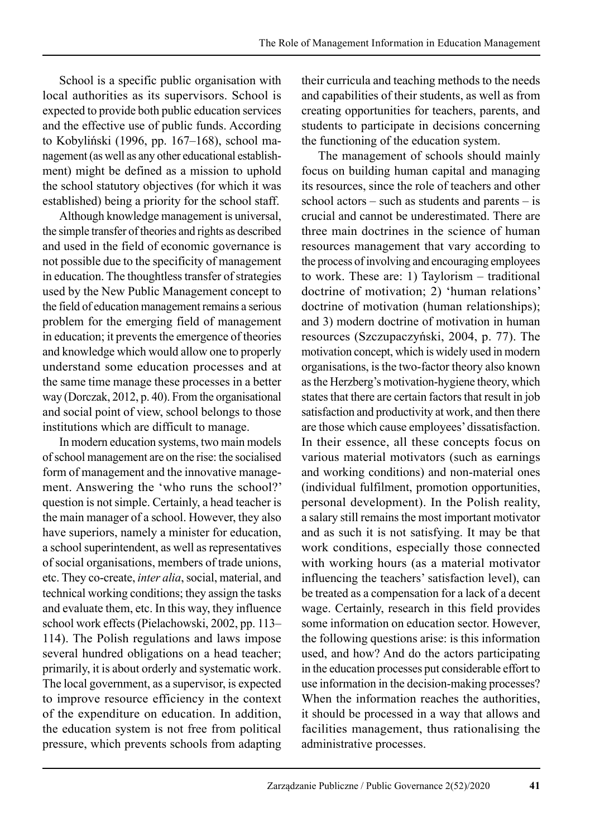School is a specific public organisation with local authorities as its supervisors. School is expected to provide both public education services and the effective use of public funds. According to Kobyliński (1996, pp. 167–168), school management (as well as any other educational establishment) might be defined as a mission to uphold the school statutory objectives (for which it was established) being a priority for the school staff.

Although knowledge management is universal, the simple transfer of theories and rights as described and used in the field of economic governance is not possible due to the specificity of management in education. The thoughtless transfer of strategies used by the New Public Management concept to the field of education management remains a serious problem for the emerging field of management in education; it prevents the emergence of theories and knowledge which would allow one to properly understand some education processes and at the same time manage these processes in a better way (Dorczak, 2012, p. 40). From the organisational and social point of view, school belongs to those institutions which are difficult to manage.

In modern education systems, two main models of school management are on the rise: the socialised form of management and the innovative management. Answering the 'who runs the school?' question is not simple. Certainly, a head teacher is the main manager of a school. However, they also have superiors, namely a minister for education, a school superintendent, as well as representatives of social organisations, members of trade unions, etc. They co-create, *inter alia*, social, material, and technical working conditions; they assign the tasks and evaluate them, etc. In this way, they influence school work effects (Pielachowski, 2002, pp. 113– 114). The Polish regulations and laws impose several hundred obligations on a head teacher; primarily, it is about orderly and systematic work. The local government, as a supervisor, is expected to improve resource efficiency in the context of the expenditure on education. In addition, the education system is not free from political pressure, which prevents schools from adapting their curricula and teaching methods to the needs and capabilities of their students, as well as from creating opportunities for teachers, parents, and students to participate in decisions concerning the functioning of the education system.

The management of schools should mainly focus on building human capital and managing its resources, since the role of teachers and other school actors – such as students and parents – is crucial and cannot be underestimated. There are three main doctrines in the science of human resources management that vary according to the process of involving and encouraging employees to work. These are: 1) Taylorism – traditional doctrine of motivation; 2) 'human relations' doctrine of motivation (human relationships); and 3) modern doctrine of motivation in human resources (Szczupaczyński, 2004, p. 77). The motivation concept, which is widely used in modern organisations, is the two-factor theory also known as the Herzberg's motivation-hygiene theory, which states that there are certain factors that result in job satisfaction and productivity at work, and then there are those which cause employees' dissatisfaction. In their essence, all these concepts focus on various material motivators (such as earnings and working conditions) and non-material ones (individual fulfilment, promotion opportunities, personal development). In the Polish reality, a salary still remains the most important motivator and as such it is not satisfying. It may be that work conditions, especially those connected with working hours (as a material motivator influencing the teachers' satisfaction level), can be treated as a compensation for a lack of a decent wage. Certainly, research in this field provides some information on education sector. However, the following questions arise: is this information used, and how? And do the actors participating in the education processes put considerable effort to use information in the decision-making processes? When the information reaches the authorities, it should be processed in a way that allows and facilities management, thus rationalising the administrative processes.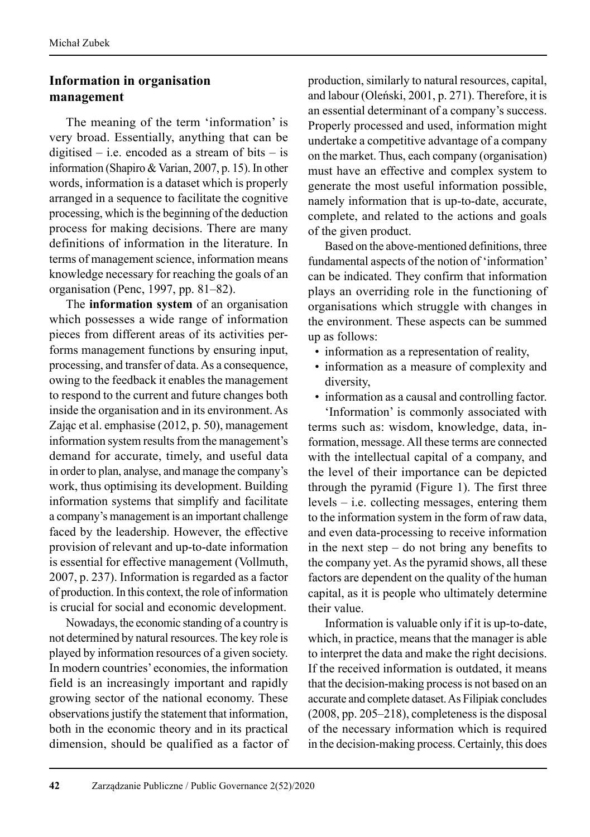# **Information in organisation management**

The meaning of the term 'information' is very broad. Essentially, anything that can be digitised – i.e. encoded as a stream of bits – is information (Shapiro & Varian, 2007, p. 15). In other words, information is a dataset which is properly arranged in a sequence to facilitate the cognitive processing, which is the beginning of the deduction process for making decisions. There are many definitions of information in the literature. In terms of management science, information means knowledge necessary for reaching the goals of an organisation (Penc, 1997, pp. 81–82).

The **information system** of an organisation which possesses a wide range of information pieces from different areas of its activities performs management functions by ensuring input, processing, and transfer of data. As a consequence, owing to the feedback it enables the management to respond to the current and future changes both inside the organisation and in its environment. As Zając et al. emphasise (2012, p. 50), management information system results from the management's demand for accurate, timely, and useful data in order to plan, analyse, and manage the company's work, thus optimising its development. Building information systems that simplify and facilitate a company's management is an important challenge faced by the leadership. However, the effective provision of relevant and up-to-date information is essential for effective management (Vollmuth, 2007, p. 237). Information is regarded as a factor of production. In this context, the role of information is crucial for social and economic development.

Nowadays, the economic standing of a country is not determined by natural resources. The key role is played by information resources of a given society. In modern countries' economies, the information field is an increasingly important and rapidly growing sector of the national economy. These observations justify the statement that information, both in the economic theory and in its practical dimension, should be qualified as a factor of production, similarly to natural resources, capital, and labour (Oleński, 2001, p. 271). Therefore, it is an essential determinant of a company's success. Properly processed and used, information might undertake a competitive advantage of a company on the market. Thus, each company (organisation) must have an effective and complex system to generate the most useful information possible, namely information that is up-to-date, accurate, complete, and related to the actions and goals of the given product.

Based on the above-mentioned definitions, three fundamental aspects of the notion of 'information' can be indicated. They confirm that information plays an overriding role in the functioning of organisations which struggle with changes in the environment. These aspects can be summed up as follows:

- information as a representation of reality,
- information as a measure of complexity and diversity,
- information as a causal and controlling factor.

'Information' is commonly associated with terms such as: wisdom, knowledge, data, information, message. All these terms are connected with the intellectual capital of a company, and the level of their importance can be depicted through the pyramid (Figure 1). The first three levels – i.e. collecting messages, entering them to the information system in the form of raw data, and even data-processing to receive information in the next step – do not bring any benefits to the company yet. As the pyramid shows, all these factors are dependent on the quality of the human capital, as it is people who ultimately determine their value.

Information is valuable only if it is up-to-date, which, in practice, means that the manager is able to interpret the data and make the right decisions. If the received information is outdated, it means that the decision-making process is not based on an accurate and complete dataset. As Filipiak concludes (2008, pp. 205–218), completeness is the disposal of the necessary information which is required in the decision-making process. Certainly, this does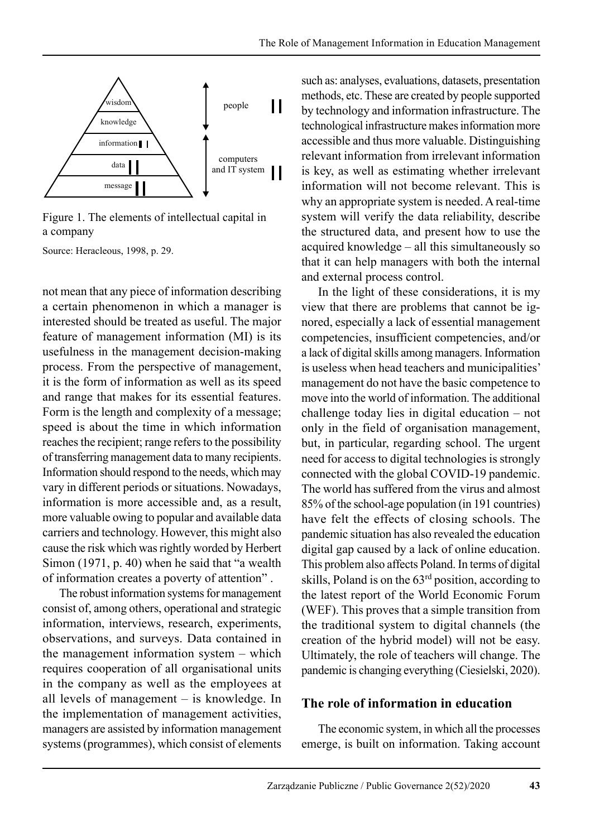

Figure 1. The elements of intellectual capital in a company

Source: Heracleous, 1998, p. 29.

not mean that any piece of information describing a certain phenomenon in which a manager is interested should be treated as useful. The major feature of management information (MI) is its usefulness in the management decision-making process. From the perspective of management, it is the form of information as well as its speed and range that makes for its essential features. Form is the length and complexity of a message; speed is about the time in which information reaches the recipient; range refers to the possibility of transferring management data to many recipients. Information should respond to the needs, which may vary in different periods or situations. Nowadays, information is more accessible and, as a result, more valuable owing to popular and available data carriers and technology. However, this might also cause the risk which was rightly worded by Herbert Simon (1971, p. 40) when he said that "a wealth of information creates a poverty of attention" .

The robust information systems for management consist of, among others, operational and strategic information, interviews, research, experiments, observations, and surveys. Data contained in the management information system – which requires cooperation of all organisational units in the company as well as the employees at all levels of management – is knowledge. In the implementation of management activities, managers are assisted by information management systems (programmes), which consist of elements such as: analyses, evaluations, datasets, presentation methods, etc. These are created by people supported by technology and information infrastructure. The technological infrastructure makes information more accessible and thus more valuable. Distinguishing relevant information from irrelevant information is key, as well as estimating whether irrelevant information will not become relevant. This is why an appropriate system is needed. A real-time system will verify the data reliability, describe the structured data, and present how to use the acquired knowledge – all this simultaneously so that it can help managers with both the internal and external process control.

In the light of these considerations, it is my view that there are problems that cannot be ignored, especially a lack of essential management competencies, insufficient competencies, and/or a lack of digital skills among managers. Information is useless when head teachers and municipalities' management do not have the basic competence to move into the world of information. The additional challenge today lies in digital education – not only in the field of organisation management, but, in particular, regarding school. The urgent need for access to digital technologies is strongly connected with the global COVID-19 pandemic. The world has suffered from the virus and almost 85% of the school-age population (in 191 countries) have felt the effects of closing schools. The pandemic situation has also revealed the education digital gap caused by a lack of online education. This problem also affects Poland. In terms of digital skills, Poland is on the 63rd position, according to the latest report of the World Economic Forum (WEF). This proves that a simple transition from the traditional system to digital channels (the creation of the hybrid model) will not be easy. Ultimately, the role of teachers will change. The pandemic is changing everything (Ciesielski, 2020).

#### **The role of information in education**

The economic system, in which all the processes emerge, is built on information. Taking account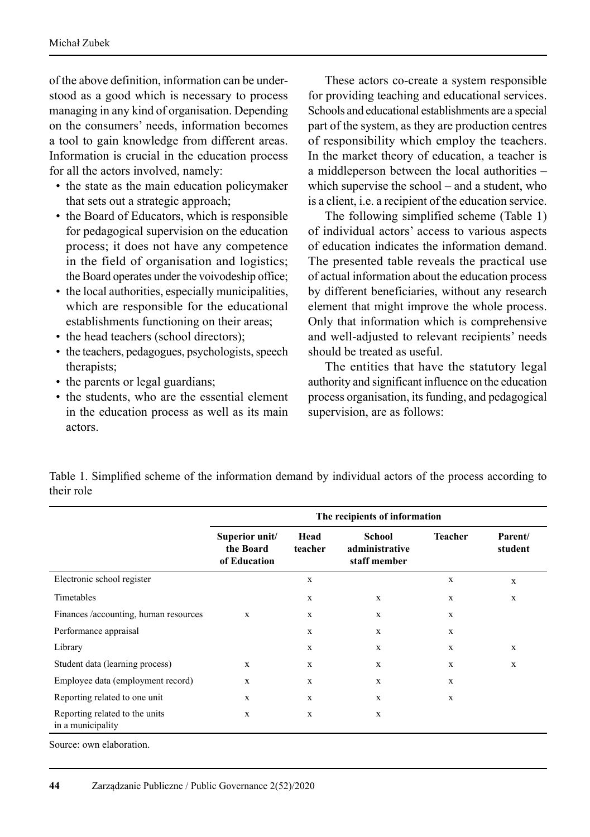of the above definition, information can be understood as a good which is necessary to process managing in any kind of organisation. Depending on the consumers' needs, information becomes a tool to gain knowledge from different areas. Information is crucial in the education process for all the actors involved, namely:

- the state as the main education policymaker that sets out a strategic approach;
- the Board of Educators, which is responsible for pedagogical supervision on the education process; it does not have any competence in the field of organisation and logistics; the Board operates under the voivodeship office;
- the local authorities, especially municipalities, which are responsible for the educational establishments functioning on their areas;
- the head teachers (school directors);
- the teachers, pedagogues, psychologists, speech therapists;
- the parents or legal guardians;
- the students, who are the essential element in the education process as well as its main actors.

These actors co-create a system responsible for providing teaching and educational services. Schools and educational establishments are a special part of the system, as they are production centres of responsibility which employ the teachers. In the market theory of education, a teacher is a middleperson between the local authorities – which supervise the school – and a student, who is a client, i.e. a recipient of the education service.

The following simplified scheme (Table 1) of individual actors' access to various aspects of education indicates the information demand. The presented table reveals the practical use of actual information about the education process by different beneficiaries, without any research element that might improve the whole process. Only that information which is comprehensive and well-adjusted to relevant recipients' needs should be treated as useful.

The entities that have the statutory legal authority and significant influence on the education process organisation, its funding, and pedagogical supervision, are as follows:

Table 1. Simplified scheme of the information demand by individual actors of the process according to their role

|                                                     | The recipients of information               |                 |                                          |                |                    |
|-----------------------------------------------------|---------------------------------------------|-----------------|------------------------------------------|----------------|--------------------|
|                                                     | Superior unit/<br>the Board<br>of Education | Head<br>teacher | School<br>administrative<br>staff member | <b>Teacher</b> | Parent/<br>student |
| Electronic school register                          |                                             | X               |                                          | $\mathbf x$    | $\mathbf x$        |
| Timetables                                          |                                             | X               | X                                        | X              | $\mathbf x$        |
| Finances /accounting, human resources               | $\mathbf{x}$                                | X               | X                                        | $\mathbf x$    |                    |
| Performance appraisal                               |                                             | X               | X                                        | $\mathbf x$    |                    |
| Library                                             |                                             | X               | X                                        | $\mathbf x$    | $\mathbf x$        |
| Student data (learning process)                     | X                                           | X               | X                                        | $\mathbf x$    | $\mathbf x$        |
| Employee data (employment record)                   | X                                           | X               | X                                        | $\mathbf x$    |                    |
| Reporting related to one unit                       | X                                           | X               | X                                        | $\mathbf x$    |                    |
| Reporting related to the units<br>in a municipality | $\mathbf x$                                 | $\mathbf x$     | X                                        |                |                    |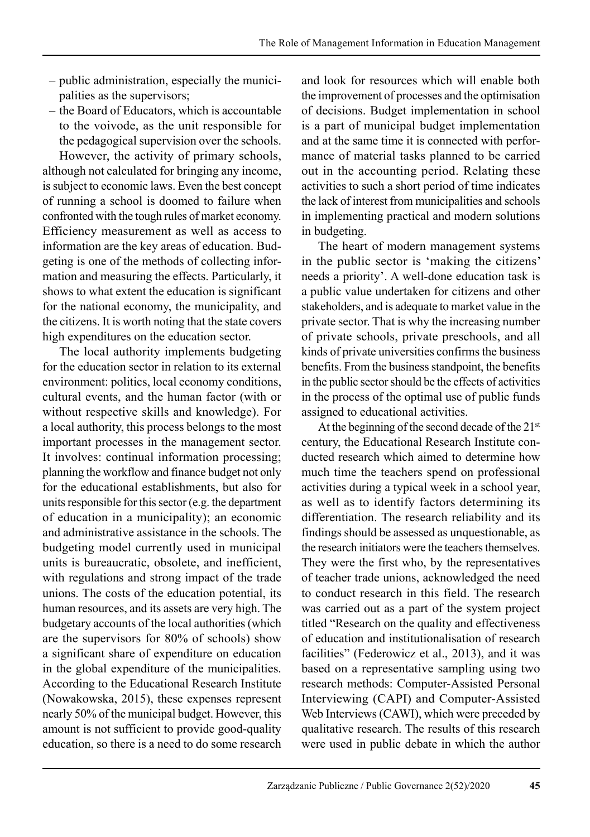- public administration, especially the munici palities as the supervisors;
- the Board of Educators, which is accountable to the voivode, as the unit responsible for the pedagogical supervision over the schools.

However, the activity of primary schools, although not calculated for bringing any income, is subject to economic laws. Even the best concept of running a school is doomed to failure when confronted with the tough rules of market economy. Efficiency measurement as well as access to information are the key areas of education. Budgeting is one of the methods of collecting infor mation and measuring the effects. Particularly, it shows to what extent the education is significant for the national economy, the municipality, and the citizens. It is worth noting that the state covers high expenditures on the education sector.

The local authority implements budgeting for the education sector in relation to its external environment: politics, local economy conditions, cultural events, and the human factor (with or without respective skills and knowledge). For a local authority, this process belongs to the most important processes in the management sector. It involves: continual information processing; planning the workflow and finance budget not only for the educational establishments, but also for units responsible for this sector (e.g. the department of education in a municipality); an economic and administrative assistance in the schools. The budgeting model currently used in municipal units is bureaucratic, obsolete, and inefficient, with regulations and strong impact of the trade unions. The costs of the education potential, its human resources, and its assets are very high. The budgetary accounts of the local authorities (which are the supervisors for 80% of schools) show a significant share of expenditure on education in the global expenditure of the municipalities. According to the Educational Research Institute (Nowakowska, 2015), these expenses represent nearly 50% of the municipal budget. However, this amount is not sufficient to provide good-quality education, so there is a need to do some research and look for resources which will enable both the improvement of processes and the optimisation of decisions. Budget implementation in school is a part of municipal budget implementation and at the same time it is connected with performance of material tasks planned to be carried out in the accounting period. Relating these activities to such a short period of time indicates the lack of interest from municipalities and schools in implementing practical and modern solutions in budgeting.

The heart of modern management systems in the public sector is 'making the citizens' needs a priority'. A well-done education task is a public value undertaken for citizens and other stakeholders, and is adequate to market value in the private sector. That is why the increasing number of private schools, private preschools, and all kinds of private universities confirms the business benefits. From the business standpoint, the benefits in the public sector should be the effects of activities in the process of the optimal use of public funds assigned to educational activities.

At the beginning of the second decade of the 21<sup>st</sup> century, the Educational Research Institute conducted research which aimed to determine how much time the teachers spend on professional activities during a typical week in a school year, as well as to identify factors determining its differentiation. The research reliability and its findings should be assessed as unquestionable, as the research initiators were the teachers themselves. They were the first who, by the representatives of teacher trade unions, acknowledged the need to conduct research in this field. The research was carried out as a part of the system project titled "Research on the quality and effectiveness of education and institutionalisation of research facilities" (Federowicz et al., 2013), and it was based on a representative sampling using two research methods: Computer-Assisted Personal Interviewing (CAPI) and Computer-Assisted Web Interviews (CAWI), which were preceded by qualitative research. The results of this research were used in public debate in which the author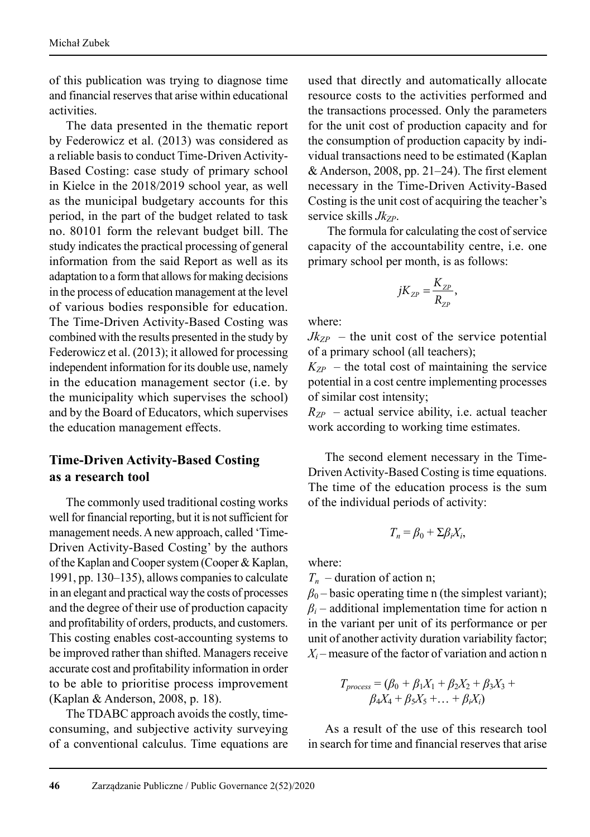of this publication was trying to diagnose time and financial reserves that arise within educational activities.

The data presented in the thematic report by Federowicz et al. (2013) was considered as a reliable basis to conduct Time-Driven Activity-Based Costing: case study of primary school in Kielce in the 2018/2019 school year, as well as the municipal budgetary accounts for this period, in the part of the budget related to task no. 80101 form the relevant budget bill. The study indicates the practical processing of general information from the said Report as well as its adaptation to a form that allows for making decisions in the process of education management at the level of various bodies responsible for education. The Time-Driven Activity-Based Costing was combined with the results presented in the study by Federowicz et al. (2013); it allowed for processing independent information for its double use, namely in the education management sector (i.e. by the municipality which supervises the school) and by the Board of Educators, which supervises the education management effects.

# **Time-Driven Activity-Based Costing as a research tool**

The commonly used traditional costing works well for financial reporting, but it is not sufficient for management needs. A new approach, called 'Time-Driven Activity-Based Costing' by the authors of the Kaplan and Cooper system (Cooper & Kaplan, 1991, pp. 130–135), allows companies to calculate in an elegant and practical way the costs of processes and the degree of their use of production capacity and profitability of orders, products, and customers. This costing enables cost-accounting systems to be improved rather than shifted. Managers receive accurate cost and profitability information in order to be able to prioritise process improvement (Kaplan & Anderson, 2008, p. 18).

The TDABC approach avoids the costly, timeconsuming, and subjective activity surveying of a conventional calculus. Time equations are used that directly and automatically allocate resource costs to the activities performed and the transactions processed. Only the parameters for the unit cost of production capacity and for the consumption of production capacity by individual transactions need to be estimated (Kaplan & Anderson, 2008, pp. 21–24). The first element necessary in the Time-Driven Activity-Based Costing is the unit cost of acquiring the teacher's service skills *Jk<sub>zp</sub>*.

The formula for calculating the cost of service capacity of the accountability centre, i.e. one primary school per month, is as follows:

$$
jK_{\scriptscriptstyle ZP} = \frac{K_{\scriptscriptstyle ZP}}{R_{\scriptscriptstyle ZP}},
$$

where:

 $Jk_{ZP}$  – the unit cost of the service potential of a primary school (all teachers);

 $K_{ZP}$  – the total cost of maintaining the service potential in a cost centre implementing processes of similar cost intensity;

 $R_{ZP}$  – actual service ability, i.e. actual teacher work according to working time estimates.

The second element necessary in the Time-Driven Activity-Based Costing is time equations. The time of the education process is the sum of the individual periods of activity:

$$
T_n = \beta_0 + \Sigma \beta_i X_i,
$$

where:

 $T_n$  – duration of action n;

 $\beta_0$  – basic operating time n (the simplest variant);  $\beta$ <sup>*i*</sup> – additional implementation time for action n in the variant per unit of its performance or per unit of another activity duration variability factor;  $X_i$  – measure of the factor of variation and action n

$$
T_{process} = (\beta_0 + \beta_1 X_1 + \beta_2 X_2 + \beta_3 X_3 + \beta_4 X_4 + \beta_5 X_5 + \dots + \beta_i X_i)
$$

As a result of the use of this research tool in search for time and financial reserves that arise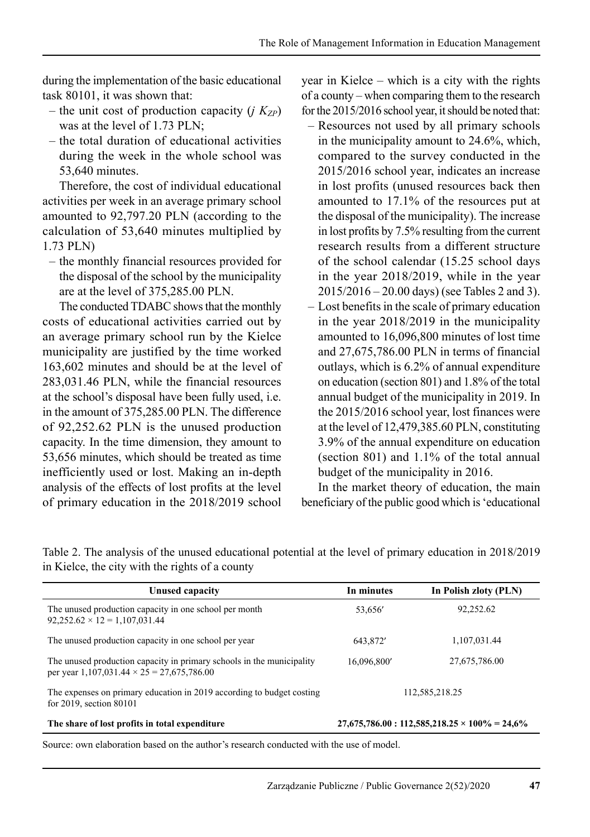during the implementation of the basic educational task 80101, it was shown that:

- the unit cost of production capacity  $(i K_{ZP})$ was at the level of 1.73 PLN;
- the total duration of educational activities during the week in the whole school was 53,640 minutes.

Therefore, the cost of individual educational activities per week in an average primary school amounted to 92,797.20 PLN (according to the calculation of 53,640 minutes multiplied by 1.73 PLN)

– the monthly financial resources provided for the disposal of the school by the municipality are at the level of 375,285.00 PLN.

The conducted TDABC shows that the monthly costs of educational activities carried out by an average primary school run by the Kielce municipality are justified by the time worked 163,602 minutes and should be at the level of 283,031.46 PLN, while the financial resources at the school's disposal have been fully used, i.e. in the amount of 375,285.00 PLN. The difference of 92,252.62 PLN is the unused production capacity. In the time dimension, they amount to 53,656 minutes, which should be treated as time inefficiently used or lost. Making an in-depth analysis of the effects of lost profits at the level of primary education in the 2018/2019 school year in Kielce – which is a city with the rights of a county – when comparing them to the research for the 2015/2016 school year, it should be noted that:

- Resources not used by all primary schools in the municipality amount to 24.6%, which, compared to the survey conducted in the 2015/2016 school year, indicates an increase in lost profits (unused resources back then amounted to 17.1% of the resources put at the disposal of the municipality). The increase in lost profits by 7.5% resulting from the current research results from a different structure of the school calendar (15.25 school days in the year 2018/2019, while in the year 2015/2016 – 20.00 days) (see Tables 2 and 3).
- Lost benefits in the scale of primary education in the year 2018/2019 in the municipality amounted to 16,096,800 minutes of lost time and 27,675,786.00 PLN in terms of financial outlays, which is 6.2% of annual expenditure on education (section 801) and 1.8% of the total annual budget of the municipality in 2019. In the 2015/2016 school year, lost finances were at the level of 12,479,385.60 PLN, constituting 3.9% of the annual expenditure on education (section 801) and 1.1% of the total annual budget of the municipality in 2016.

In the market theory of education, the main beneficiary of the public good which is 'educational

| <b>Unused capacity</b>                                                                                                     | In minutes     | In Polish zloty (PLN)                              |
|----------------------------------------------------------------------------------------------------------------------------|----------------|----------------------------------------------------|
| The unused production capacity in one school per month<br>$92,252.62 \times 12 = 1,107,031.44$                             | 53.656         | 92,252.62                                          |
| The unused production capacity in one school per year                                                                      | 643,872'       | 1.107.031.44                                       |
| The unused production capacity in primary schools in the municipality<br>per year 1,107,031.44 $\times$ 25 = 27,675,786.00 | 16,096,800'    | 27,675,786.00                                      |
| The expenses on primary education in 2019 according to budget costing<br>for $2019$ , section $80101$                      | 112,585,218.25 |                                                    |
| The share of lost profits in total expenditure                                                                             |                | $27,675,786.00:112,585,218.25\times100\% = 24,6\%$ |

Table 2. The analysis of the unused educational potential at the level of primary education in 2018/2019 in Kielce, the city with the rights of a county

Source: own elaboration based on the author's research conducted with the use of model.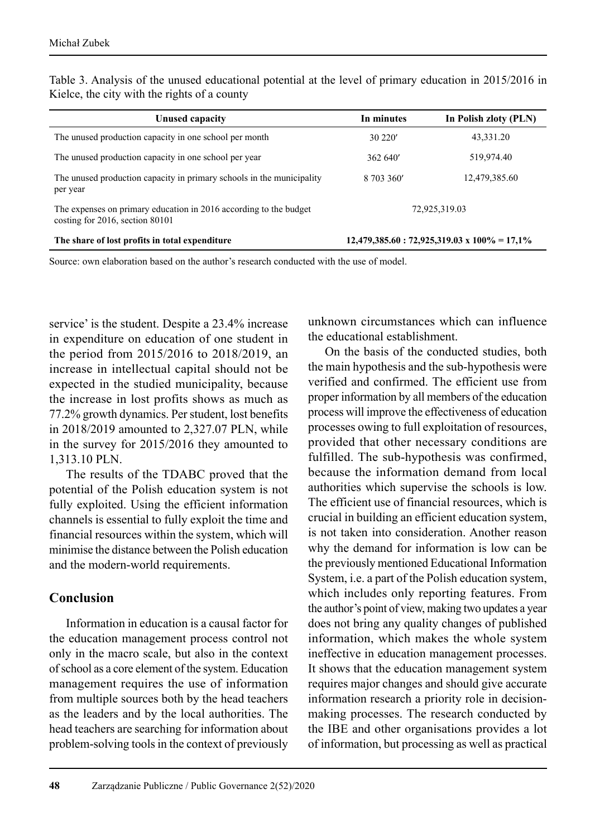| Unused capacity                                                                                           | In minutes | In Polish zloty (PLN)                               |
|-----------------------------------------------------------------------------------------------------------|------------|-----------------------------------------------------|
| The unused production capacity in one school per month                                                    | 30 220'    | 43,331.20                                           |
| The unused production capacity in one school per year                                                     | 362640'    | 519,974.40                                          |
| The unused production capacity in primary schools in the municipality<br>per year                         | 8 703 360' | 12,479,385.60                                       |
| The expenses on primary education in 2016 according to the budget<br>costing for $2016$ , section $80101$ |            | 72,925,319.03                                       |
| The share of lost profits in total expenditure                                                            |            | $12,479,385.60:72,925,319.03 \times 100\% = 17,1\%$ |

Table 3. Analysis of the unused educational potential at the level of primary education in 2015/2016 in Kielce, the city with the rights of a county

Source: own elaboration based on the author's research conducted with the use of model.

service' is the student. Despite a 23.4% increase in expenditure on education of one student in the period from 2015/2016 to 2018/2019, an increase in intellectual capital should not be expected in the studied municipality, because the increase in lost profits shows as much as 77.2% growth dynamics. Per student, lost benefits in 2018/2019 amounted to 2,327.07 PLN, while in the survey for 2015/2016 they amounted to 1,313.10 PLN.

The results of the TDABC proved that the potential of the Polish education system is not fully exploited. Using the efficient information channels is essential to fully exploit the time and financial resources within the system, which will minimise the distance between the Polish education and the modern-world requirements.

#### **Conclusion**

Information in education is a causal factor for the education management process control not only in the macro scale, but also in the context of school as a core element of the system. Education management requires the use of information from multiple sources both by the head teachers as the leaders and by the local authorities. The head teachers are searching for information about problem-solving tools in the context of previously unknown circumstances which can influence the educational establishment.

On the basis of the conducted studies, both the main hypothesis and the sub-hypothesis were verified and confirmed. The efficient use from proper information by all members of the education process will improve the effectiveness of education processes owing to full exploitation of resources, provided that other necessary conditions are fulfilled. The sub-hypothesis was confirmed, because the information demand from local authorities which supervise the schools is low. The efficient use of financial resources, which is crucial in building an efficient education system, is not taken into consideration. Another reason why the demand for information is low can be the previously mentioned Educational Information System, i.e. a part of the Polish education system, which includes only reporting features. From the author's point of view, making two updates a year does not bring any quality changes of published information, which makes the whole system ineffective in education management processes. It shows that the education management system requires major changes and should give accurate information research a priority role in decisionmaking processes. The research conducted by the IBE and other organisations provides a lot of information, but processing as well as practical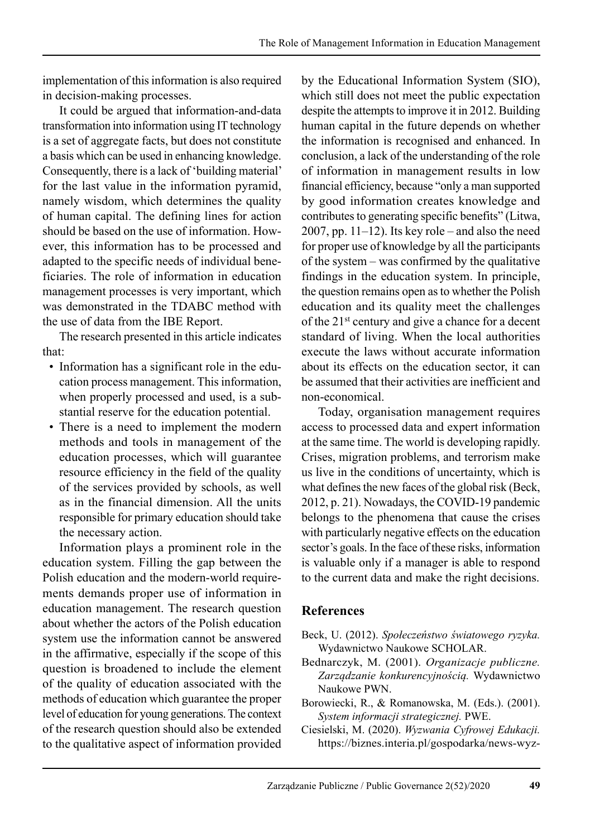implementation of this information is also required in decision-making processes.

It could be argued that information-and-data transformation into information using IT technology is a set of aggregate facts, but does not constitute a basis which can be used in enhancing knowledge. Consequently, there is a lack of 'building material' for the last value in the information pyramid, namely wisdom, which determines the quality of human capital. The defining lines for action should be based on the use of information. However, this information has to be processed and adapted to the specific needs of individual bene ficiaries. The role of information in education management processes is very important, which was demonstrated in the TDABC method with the use of data from the IBE Report.

The research presented in this article indicates that:

- Information has a significant role in the education process management. This information, when properly processed and used, is a substantial reserve for the education potential.
- There is a need to implement the modern methods and tools in management of the education processes, which will guarantee resource efficiency in the field of the quality of the services provided by schools, as well as in the financial dimension. All the units responsible for primary education should take the necessary action.

Information plays a prominent role in the education system. Filling the gap between the Polish education and the modern-world requirements demands proper use of information in education management. The research question about whether the actors of the Polish education system use the information cannot be answered in the affirmative, especially if the scope of this question is broadened to include the element of the quality of education associated with the methods of education which guarantee the proper level of education for young generations. The context of the research question should also be extended to the qualitative aspect of information provided by the Educational Information System (SIO), which still does not meet the public expectation despite the attempts to improve it in 2012. Building human capital in the future depends on whether the information is recognised and enhanced. In conclusion, a lack of the understanding of the role of information in management results in low financial efficiency, because "only a man supported by good information creates knowledge and contributes to generating specific benefits" (Litwa, 2007, pp. 11–12). Its key role – and also the need for proper use of knowledge by all the participants of the system – was confirmed by the qualitative findings in the education system. In principle, the question remains open as to whether the Polish education and its quality meet the challenges of the 21st century and give a chance for a decent standard of living. When the local authorities execute the laws without accurate information about its effects on the education sector, it can be assumed that their activities are inefficient and non-economical.

Today, organisation management requires access to processed data and expert information at the same time. The world is developing rapidly. Crises, migration problems, and terrorism make us live in the conditions of uncertainty, which is what defines the new faces of the global risk (Beck, 2012, p. 21). Nowadays, the COVID-19 pandemic belongs to the phenomena that cause the crises with particularly negative effects on the education sector's goals. In the face of these risks, information is valuable only if a manager is able to respond to the current data and make the right decisions.

# **References**

- Beck, U. (2012). *Społeczeństwo światowego ryzyka.*  Wydawnictwo Naukowe SCHOLAR.
- Bednarczyk, M. (2001). *Organizacje publiczne. Zarządzanie konkurencyjnością.* Wydawnictwo Naukowe PWN.
- Borowiecki, R., & Romanowska, M. (Eds.). (2001). *System informacji strategicznej.* PWE.
- Ciesielski, M. (2020). *Wyzwania Cyfrowej Edukacji.*  https://biznes.interia.pl/gospodarka/news-wyz-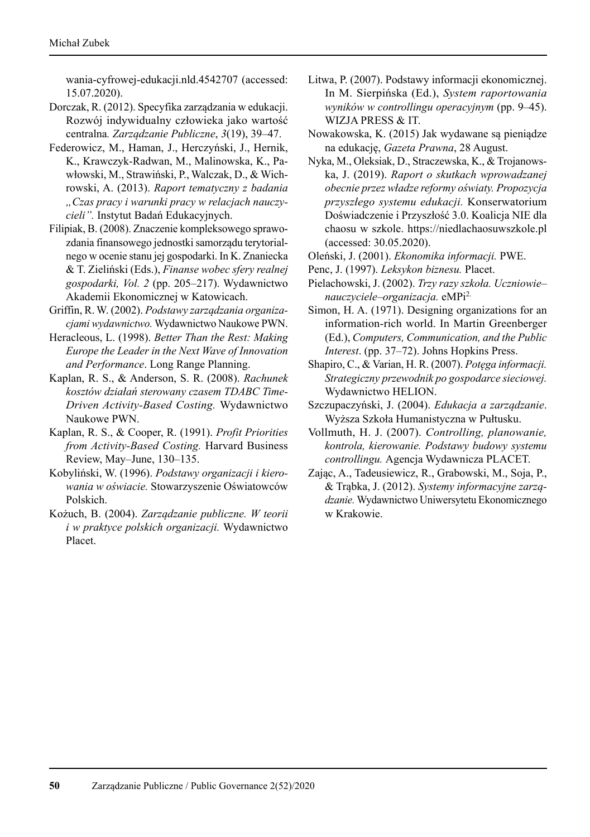wania-cyfrowej-edukacji.nld.4542707 (accessed: 15.07.2020).

- Dorczak, R. (2012). Specyfika zarządzania w edukacji. Rozwój indywidualny człowieka jako wartość centralna*. Zarządzanie Publiczne*, *3*(19), 39–47.
- Federowicz, M., Haman, J., Herczyński, J., Hernik, K., Krawczyk-Radwan, M., Malinowska, K., Pawłowski, M., Strawiński, P., Walczak, D., & Wich rowski, A. (2013). *Raport tematyczny z badania "Czas pracy i warunki pracy w relacjach nauczycieli".* Instytut Badań Edukacyjnych.
- Filipiak, B. (2008). Znaczenie kompleksowego sprawozdania finansowego jednostki samorządu terytorialnego w ocenie stanu jej gospodarki. In K. Znaniecka & T. Zieliński (Eds.), *Finanse wobec sfery realnej gospodarki, Vol. 2* (pp. 205–217). Wydawnictwo Akademii Ekonomicznej w Katowicach.
- Griffin, R. W. (2002). *Podstawy zarządzania organizacjami wydawnictwo.* Wydawnictwo Naukowe PWN.
- Heracleous, L. (1998). *Better Than the Rest: Making Europe the Leader in the Next Wave of Innovation and Performance*. Long Range Planning.
- Kaplan, R. S., & Anderson, S. R. (2008). *Rachunek kosztów działań sterowany czasem TDABC Time-Driven Activity-Based Costing.* Wydawnictwo Naukowe PWN.
- Kaplan, R. S., & Cooper, R. (1991). *Profit Priorities from Activity-Based Costing.* Harvard Business Review, May–June, 130–135.
- Kobyliński, W. (1996). *Podstawy organizacji i kierowania w oświacie.* Stowarzyszenie Oświatowców Polskich.
- Kożuch, B. (2004). *Zarządzanie publiczne. W teorii i w praktyce polskich organizacji.* Wydawnictwo Placet.
- Litwa, P. (2007). Podstawy informacji ekonomicznej. In M. Sierpińska (Ed.), *System raportowania wyników w controllingu operacyjnym* (pp. 9–45). WIZJA PRESS & IT.
- Nowakowska, K. (2015) Jak wydawane są pieniądze na edukację, *Gazeta Prawna*, 28 August.
- Nyka, M., Oleksiak, D., Straczewska, K., & Trojanows ka, J. (2019). *Raport o skutkach wprowadzanej obecnie przez władze reformy oświaty. Propozycja przyszłego systemu edukacji.* Konserwatorium Doświadczenie i Przyszłość 3.0. Koalicja NIE dla chaosu w szkole. https://niedlachaosuwszkole.pl (accessed: 30.05.2020).
- Oleński, J. (2001). *Ekonomika informacji.* PWE.
- Penc, J. (1997). *Leksykon biznesu.* Placet.
- Pielachowski, J. (2002). *Trzy razy szkoła. Uczniowie– nauczyciele–organizacja.* eMPi2.
- Simon, H. A. (1971). Designing organizations for an information-rich world. In Martin Greenberger (Ed.), *Computers, Communication, and the Public Interest*. (pp. 37–72). Johns Hopkins Press.
- Shapiro, C., & Varian, H. R. (2007). *Potęga informacji. Strategiczny przewodnik po gospodarce sieciowej.*  Wydawnictwo HELION.
- Szczupaczyński, J. (2004). *Edukacja a zarządzanie*. Wyższa Szkoła Humanistyczna w Pułtusku.
- Vollmuth, H. J. (2007). *Controlling, planowanie, kontrola, kierowanie. Podstawy budowy systemu controllingu.* Agencja Wydawnicza PLACET.
- Zając, A., Tadeusiewicz, R., Grabowski, M., Soja, P., & Trąbka, J. (2012). *Systemy informacyjne zarządzanie.* Wydawnictwo Uniwersytetu Ekonomicznego w Krakowie.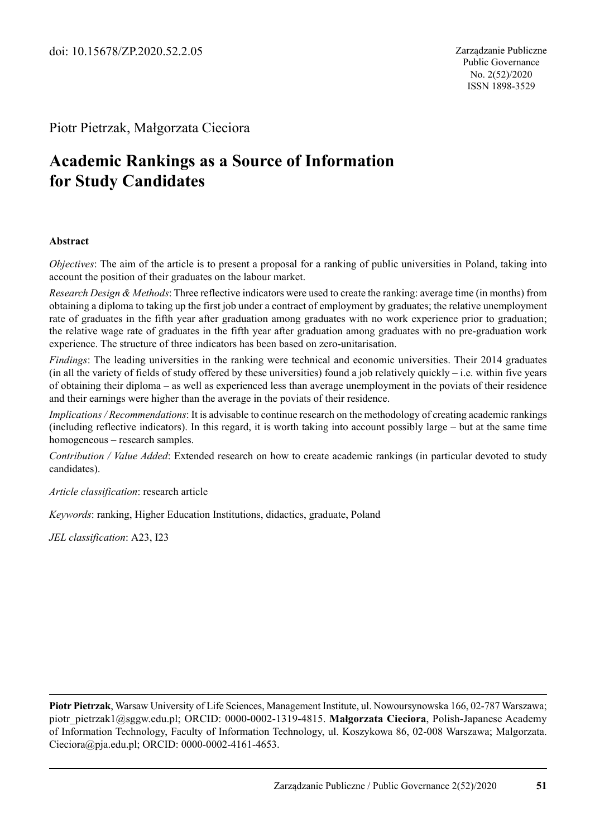#### Piotr Pietrzak, Małgorzata Cieciora

# **Academic Rankings as a Source of Information for Study Candidates**

#### **Abstract**

*Objectives*: The aim of the article is to present a proposal for a ranking of public universities in Poland, taking into account the position of their graduates on the labour market.

*Research Design & Methods*: Three reflective indicators were used to create the ranking: average time (in months) from obtaining a diploma to taking up the first job under a contract of employment by graduates; the relative unemployment rate of graduates in the fifth year after graduation among graduates with no work experience prior to graduation; the relative wage rate of graduates in the fifth year after graduation among graduates with no pre-graduation work experience. The structure of three indicators has been based on zero-unitarisation.

*Findings*: The leading universities in the ranking were technical and economic universities. Their 2014 graduates (in all the variety of fields of study offered by these universities) found a job relatively quickly – i.e. within five years of obtaining their diploma – as well as experienced less than average unemployment in the poviats of their residence and their earnings were higher than the average in the poviats of their residence.

*Implications / Recommendations*: It is advisable to continue research on the methodology of creating academic rankings (including reflective indicators). In this regard, it is worth taking into account possibly large – but at the same time homogeneous – research samples.

*Contribution / Value Added*: Extended research on how to create academic rankings (in particular devoted to study candidates).

*Article classification*: research article

*Keywords*: ranking, Higher Education Institutions, didactics, graduate, Poland

*JEL classification*: A23, I23

**Piotr Pietrzak**, Warsaw University of Life Sciences, Management Institute, ul. Nowoursynowska 166, 02-787 Warszawa; piotr\_pietrzak1@sggw.edu.pl; ORCID: 0000-0002-1319-4815. **Małgorzata Cieciora**, Polish-Japanese Academy of Information Technology, Faculty of Information Technology, ul. Koszykowa 86, 02-008 Warszawa; Malgorzata. Cieciora@pja.edu.pl; ORCID: 0000-0002-4161-4653.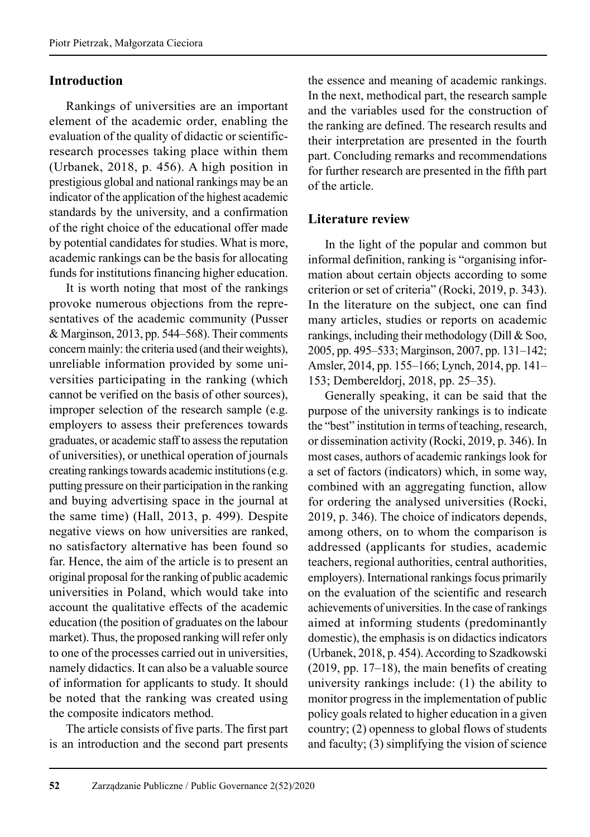#### **Introduction**

Rankings of universities are an important element of the academic order, enabling the evaluation of the quality of didactic or scientificresearch processes taking place within them (Urbanek, 2018, p. 456). A high position in prestigious global and national rankings may be an indicator of the application of the highest academic standards by the university, and a confirmation of the right choice of the educational offer made by potential candidates for studies. What is more, academic rankings can be the basis for allocating funds for institutions financing higher education.

It is worth noting that most of the rankings provoke numerous objections from the representatives of the academic community (Pusser & Marginson, 2013, pp. 544–568). Their comments concern mainly: the criteria used (and their weights), unreliable information provided by some universities participating in the ranking (which cannot be verified on the basis of other sources), improper selection of the research sample (e.g. employers to assess their preferences towards graduates, or academic staff to assess the reputation of universities), or unethical operation of journals creating rankings towards academic institutions (e.g. putting pressure on their participation in the ranking and buying advertising space in the journal at the same time) (Hall, 2013, p. 499). Despite negative views on how universities are ranked, no satisfactory alternative has been found so far. Hence, the aim of the article is to present an original proposal for the ranking of public academic universities in Poland, which would take into account the qualitative effects of the academic education (the position of graduates on the labour market). Thus, the proposed ranking will refer only to one of the processes carried out in universities, namely didactics. It can also be a valuable source of information for applicants to study. It should be noted that the ranking was created using the composite indicators method.

The article consists of five parts. The first part is an introduction and the second part presents the essence and meaning of academic rankings. In the next, methodical part, the research sample and the variables used for the construction of the ranking are defined. The research results and their interpretation are presented in the fourth part. Concluding remarks and recommendations for further research are presented in the fifth part of the article.

#### **Literature review**

In the light of the popular and common but informal definition, ranking is "organising information about certain objects according to some criterion or set of criteria" (Rocki, 2019, p. 343). In the literature on the subject, one can find many articles, studies or reports on academic rankings, including their methodology (Dill & Soo, 2005, pp. 495–533; Marginson, 2007, pp. 131–142; Amsler, 2014, pp. 155–166; Lynch, 2014, pp. 141– 153; Dembereldorj, 2018, pp. 25–35).

Generally speaking, it can be said that the purpose of the university rankings is to indicate the "best" institution in terms of teaching, research, or dissemination activity (Rocki, 2019, p. 346). In most cases, authors of academic rankings look for a set of factors (indicators) which, in some way, combined with an aggregating function, allow for ordering the analysed universities (Rocki, 2019, p. 346). The choice of indicators depends, among others, on to whom the comparison is addressed (applicants for studies, academic teachers, regional authorities, central authorities, employers). International rankings focus primarily on the evaluation of the scientific and research achievements of universities. In the case of rankings aimed at informing students (predominantly domestic), the emphasis is on didactics indicators (Urbanek, 2018, p. 454). According to Szadkowski (2019, pp. 17–18), the main benefits of creating university rankings include: (1) the ability to monitor progress in the implementation of public policy goals related to higher education in a given country; (2) openness to global flows of students and faculty; (3) simplifying the vision of science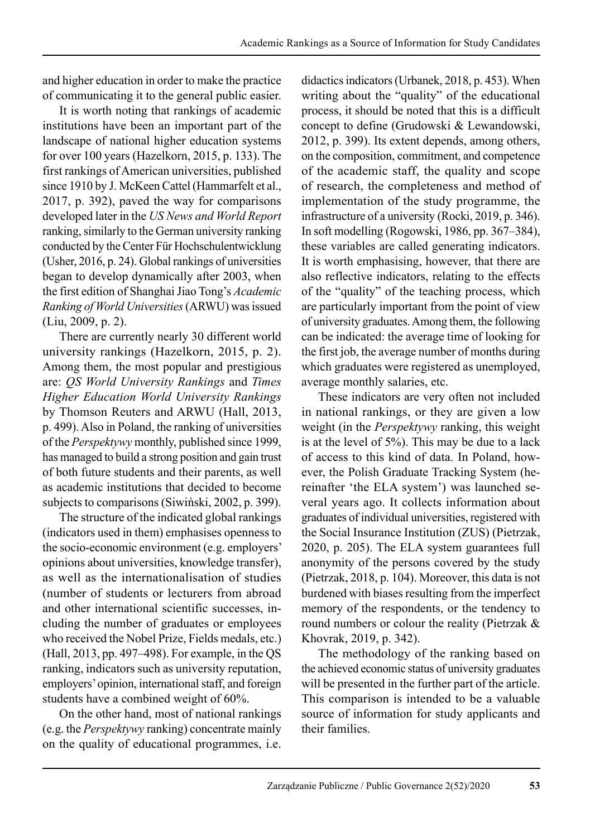and higher education in order to make the practice of communicating it to the general public easier.

It is worth noting that rankings of academic institutions have been an important part of the landscape of national higher education systems for over 100 years (Hazelkorn, 2015, p. 133). The first rankings of American universities, published since 1910 by J. McKeen Cattel (Hammarfelt et al., 2017, p. 392), paved the way for comparisons developed later in the *US News and World Report* ranking, similarly to the German university ranking conducted by the Center Für Hochschulentwicklung (Usher, 2016, p. 24). Global rankings of universities began to develop dynamically after 2003, when the first edition of Shanghai Jiao Tong's *Academic Ranking of World Universities* (ARWU) was issued (Liu, 2009, p. 2).

There are currently nearly 30 different world university rankings (Hazelkorn, 2015, p. 2). Among them, the most popular and prestigious are: *QS World University Rankings* and *Times Higher Education World University Rankings* by Thomson Reuters and ARWU (Hall, 2013, p. 499). Also in Poland, the ranking of universities of the *Perspektywy* monthly, published since 1999, has managed to build a strong position and gain trust of both future students and their parents, as well as academic institutions that decided to become subjects to comparisons (Siwiński, 2002, p. 399).

The structure of the indicated global rankings (indicators used in them) emphasises openness to the socio-economic environment (e.g. employers' opinions about universities, knowledge transfer), as well as the internationalisation of studies (number of students or lecturers from abroad and other international scientific successes, including the number of graduates or employees who received the Nobel Prize, Fields medals, etc.) (Hall, 2013, pp. 497–498). For example, in the QS ranking, indicators such as university reputation, employers' opinion, international staff, and foreign students have a combined weight of 60%.

On the other hand, most of national rankings (e.g. the *Perspektywy* ranking) concentrate mainly on the quality of educational programmes, i.e. didactics indicators (Urbanek, 2018, p. 453). When writing about the "quality" of the educational process, it should be noted that this is a difficult concept to define (Grudowski & Lewandowski, 2012, p. 399). Its extent depends, among others, on the composition, commitment, and competence of the academic staff, the quality and scope of research, the completeness and method of implementation of the study programme, the infrastructure of a university (Rocki, 2019, p. 346). In soft modelling (Rogowski, 1986, pp. 367–384), these variables are called generating indicators. It is worth emphasising, however, that there are also reflective indicators, relating to the effects of the "quality" of the teaching process, which are particularly important from the point of view of university graduates. Among them, the following can be indicated: the average time of looking for the first job, the average number of months during which graduates were registered as unemployed, average monthly salaries, etc.

These indicators are very often not included in national rankings, or they are given a low weight (in the *Perspektywy* ranking, this weight is at the level of 5%). This may be due to a lack of access to this kind of data. In Poland, however, the Polish Graduate Tracking System (hereinafter 'the ELA system') was launched several years ago. It collects information about graduates of individual universities, registered with the Social Insurance Institution (ZUS) (Pietrzak, 2020, p. 205). The ELA system guarantees full anonymity of the persons covered by the study (Pietrzak, 2018, p. 104). Moreover, this data is not burdened with biases resulting from the imperfect memory of the respondents, or the tendency to round numbers or colour the reality (Pietrzak & Khovrak, 2019, p. 342).

The methodology of the ranking based on the achieved economic status of university graduates will be presented in the further part of the article. This comparison is intended to be a valuable source of information for study applicants and their families.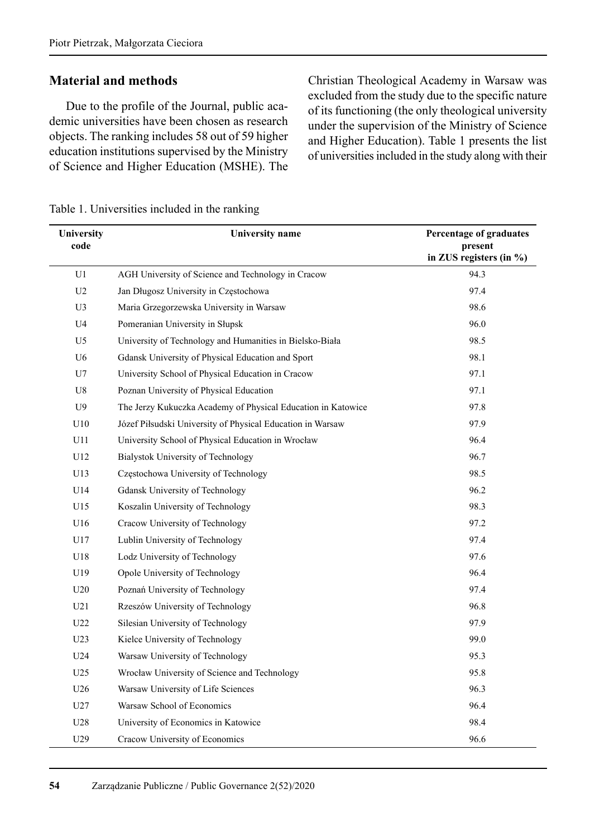#### **Material and methods**

Due to the profile of the Journal, public academic universities have been chosen as research objects. The ranking includes 58 out of 59 higher education institutions supervised by the Ministry of Science and Higher Education (MSHE). The Christian Theological Academy in Warsaw was excluded from the study due to the specific nature of its functioning (the only theological university under the supervision of the Ministry of Science and Higher Education). Table 1 presents the list of universities included in the study along with their

| University<br>code | University name                                              | Percentage of graduates<br>present<br>in ZUS registers (in $\%$ ) |
|--------------------|--------------------------------------------------------------|-------------------------------------------------------------------|
| U1                 | AGH University of Science and Technology in Cracow           | 94.3                                                              |
| U2                 | Jan Długosz University in Częstochowa                        | 97.4                                                              |
| U3                 | Maria Grzegorzewska University in Warsaw                     | 98.6                                                              |
| U4                 | Pomeranian University in Słupsk                              | 96.0                                                              |
| U5                 | University of Technology and Humanities in Bielsko-Biała     | 98.5                                                              |
| U <sub>6</sub>     | Gdansk University of Physical Education and Sport            | 98.1                                                              |
| U7                 | University School of Physical Education in Cracow            | 97.1                                                              |
| U8                 | Poznan University of Physical Education                      | 97.1                                                              |
| U9                 | The Jerzy Kukuczka Academy of Physical Education in Katowice | 97.8                                                              |
| U10                | Józef Piłsudski University of Physical Education in Warsaw   | 97.9                                                              |
| U11                | University School of Physical Education in Wrocław           | 96.4                                                              |
| U12                | Bialystok University of Technology                           | 96.7                                                              |
| U13                | Częstochowa University of Technology                         | 98.5                                                              |
| U14                | Gdansk University of Technology                              | 96.2                                                              |
| U15                | Koszalin University of Technology                            | 98.3                                                              |
| U16                | Cracow University of Technology                              | 97.2                                                              |
| U17                | Lublin University of Technology                              | 97.4                                                              |
| U18                | Lodz University of Technology                                | 97.6                                                              |
| U19                | Opole University of Technology                               | 96.4                                                              |
| U20                | Poznań University of Technology                              | 97.4                                                              |
| U21                | Rzeszów University of Technology                             | 96.8                                                              |
| U22                | Silesian University of Technology                            | 97.9                                                              |
| U <sub>23</sub>    | Kielce University of Technology                              | 99.0                                                              |
| U24                | Warsaw University of Technology                              | 95.3                                                              |
| U <sub>25</sub>    | Wrocław University of Science and Technology                 | 95.8                                                              |
| U <sub>26</sub>    | Warsaw University of Life Sciences                           | 96.3                                                              |
| U27                | Warsaw School of Economics                                   | 96.4                                                              |
| U28                | University of Economics in Katowice                          | 98.4                                                              |
| U29                | Cracow University of Economics                               | 96.6                                                              |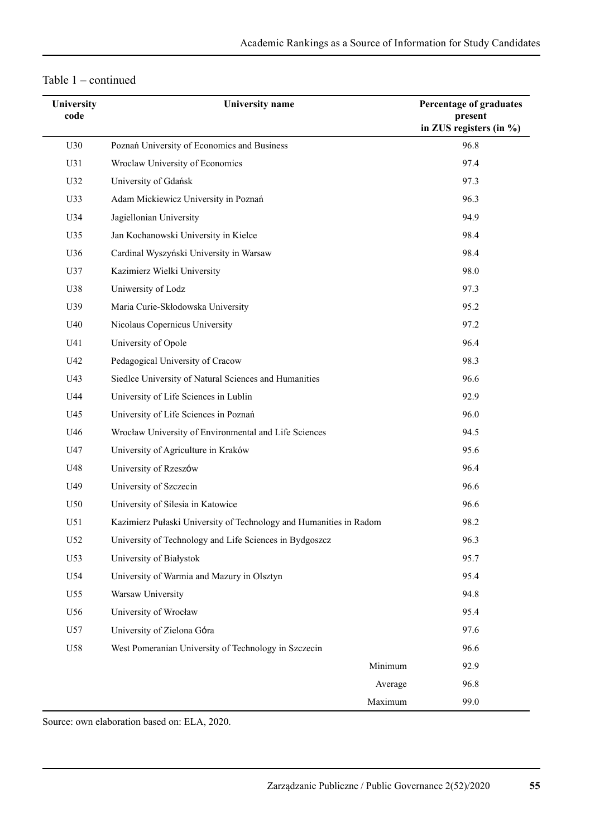| Table 1 | continued |
|---------|-----------|
|         |           |

| <b>University</b> | <b>University</b> name                                             | Percentage of graduates                |
|-------------------|--------------------------------------------------------------------|----------------------------------------|
| code              |                                                                    | present<br>in ZUS registers (in $\%$ ) |
| U30               | Poznań University of Economics and Business                        | 96.8                                   |
| U31               | Wroclaw University of Economics                                    | 97.4                                   |
| U32               | University of Gdańsk                                               | 97.3                                   |
| U33               | Adam Mickiewicz University in Poznań                               | 96.3                                   |
| U34               | Jagiellonian University                                            | 94.9                                   |
| U35               | Jan Kochanowski University in Kielce                               | 98.4                                   |
| U36               | Cardinal Wyszyński University in Warsaw                            | 98.4                                   |
| U37               | Kazimierz Wielki University                                        | 98.0                                   |
| U38               | Uniwersity of Lodz                                                 | 97.3                                   |
| U39               | Maria Curie-Skłodowska University                                  | 95.2                                   |
| U40               | Nicolaus Copernicus University                                     | 97.2                                   |
| U41               | University of Opole                                                | 96.4                                   |
| U42               | Pedagogical University of Cracow                                   | 98.3                                   |
| U43               | Siedlce University of Natural Sciences and Humanities              | 96.6                                   |
| U44               | University of Life Sciences in Lublin                              | 92.9                                   |
| U45               | University of Life Sciences in Poznań                              | 96.0                                   |
| U46               | Wrocław University of Environmental and Life Sciences              | 94.5                                   |
| U47               | University of Agriculture in Kraków                                | 95.6                                   |
| U48               | University of Rzeszów                                              | 96.4                                   |
| U49               | University of Szczecin                                             | 96.6                                   |
| U50               | University of Silesia in Katowice                                  | 96.6                                   |
| U51               | Kazimierz Pułaski University of Technology and Humanities in Radom | 98.2                                   |
| U52               | University of Technology and Life Sciences in Bydgoszcz            | 96.3                                   |
| U53               | University of Białystok                                            | 95.7                                   |
| U54               | University of Warmia and Mazury in Olsztyn                         | 95.4                                   |
| U55               | Warsaw University                                                  | 94.8                                   |
| U56               | University of Wrocław                                              | 95.4                                   |
| U57               | University of Zielona Góra                                         | 97.6                                   |
| U58               | West Pomeranian University of Technology in Szczecin               | 96.6                                   |
|                   | Minimum                                                            | 92.9                                   |
|                   | Average                                                            | 96.8                                   |
|                   | Maximum                                                            | 99.0                                   |

Source: own elaboration based on: ELA, 2020.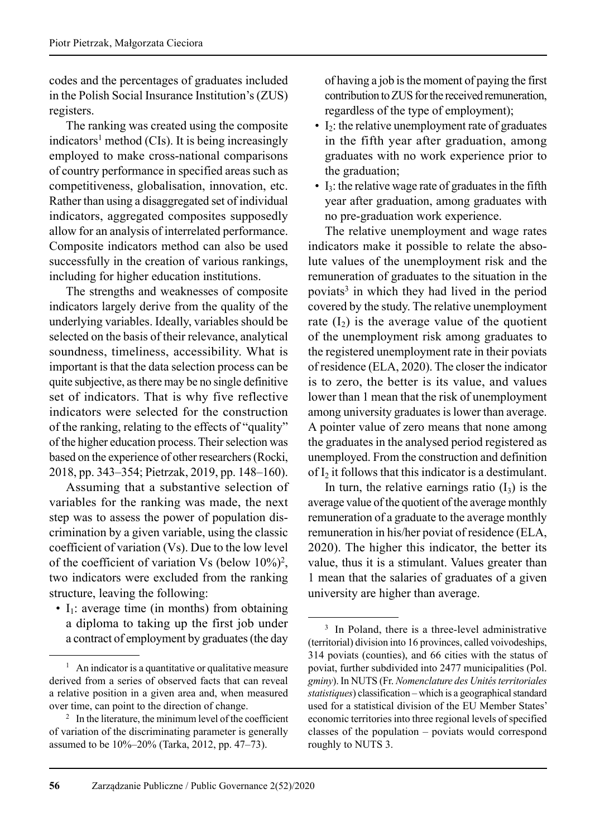codes and the percentages of graduates included in the Polish Social Insurance Institution's (ZUS) registers.

The ranking was created using the composite indicators<sup>1</sup> method (CIs). It is being increasingly employed to make cross-national comparisons of country performance in specified areas such as competitiveness, globalisation, innovation, etc. Rather than using a disaggregated set of individual indicators, aggregated composites supposedly allow for an analysis of interrelated performance. Composite indicators method can also be used successfully in the creation of various rankings, including for higher education institutions.

The strengths and weaknesses of composite indicators largely derive from the quality of the underlying variables. Ideally, variables should be selected on the basis of their relevance, analytical soundness, timeliness, accessibility. What is important is that the data selection process can be quite subjective, as there may be no single definitive set of indicators. That is why five reflective indicators were selected for the construction of the ranking, relating to the effects of "quality" of the higher education process. Their selection was based on the experience of other researchers (Rocki, 2018, pp. 343–354; Pietrzak, 2019, pp. 148–160).

Assuming that a substantive selection of variables for the ranking was made, the next step was to assess the power of population dis crimination by a given variable, using the classic coefficient of variation (Vs). Due to the low level of the coefficient of variation Vs (below  $10\%)^2$ , two indicators were excluded from the ranking structure, leaving the following:

 $\cdot$  I<sub>1</sub>: average time (in months) from obtaining a diploma to taking up the first job under a contract of employment by graduates (the day of having a job is the moment of paying the first contribution to ZUS for the received remuneration, regardless of the type of employment);

- $\bullet$  I<sub>2</sub>: the relative unemployment rate of graduates in the fifth year after graduation, among graduates with no work experience prior to the graduation;
- $\bullet$  I<sub>3</sub>: the relative wage rate of graduates in the fifth year after graduation, among graduates with no pre-graduation work experience.

The relative unemployment and wage rates indicators make it possible to relate the absolute values of the unemployment risk and the remuneration of graduates to the situation in the poviats<sup>3</sup> in which they had lived in the period covered by the study. The relative unemployment rate  $(I_2)$  is the average value of the quotient of the unemployment risk among graduates to the registered unemployment rate in their poviats of residence (ELA, 2020). The closer the indicator is to zero, the better is its value, and values lower than 1 mean that the risk of unemployment among university graduates is lower than average. A pointer value of zero means that none among the graduates in the analysed period registered as unemployed. From the construction and definition of  $I_2$  it follows that this indicator is a destimulant.

In turn, the relative earnings ratio  $(I_3)$  is the average value of the quotient of the average monthly remuneration of a graduate to the average monthly remuneration in his/her poviat of residence (ELA, 2020). The higher this indicator, the better its value, thus it is a stimulant. Values greater than 1 mean that the salaries of graduates of a given university are higher than average.

<sup>&</sup>lt;sup>1</sup> An indicator is a quantitative or qualitative measure derived from a series of observed facts that can reveal a relative position in a given area and, when measured over time, can point to the direction of change.

 $2 \text{ In the literature, the minimum level of the coefficient}$ of variation of the discriminating parameter is generally assumed to be 10%–20% (Tarka, 2012, pp. 47–73).

<sup>&</sup>lt;sup>3</sup> In Poland, there is a three-level administrative (territorial) division into 16 provinces, called voivodeships, 314 poviats (counties), and 66 cities with the status of poviat, further subdivided into 2477 municipalities (Pol. *gminy*). In NUTS (Fr. *Nomenclature des Unités territoriales statistiques*) classification – which is a geographical standard used for a statistical division of the EU Member States' economic territories into three regional levels of specified classes of the population – poviats would correspond roughly to NUTS 3.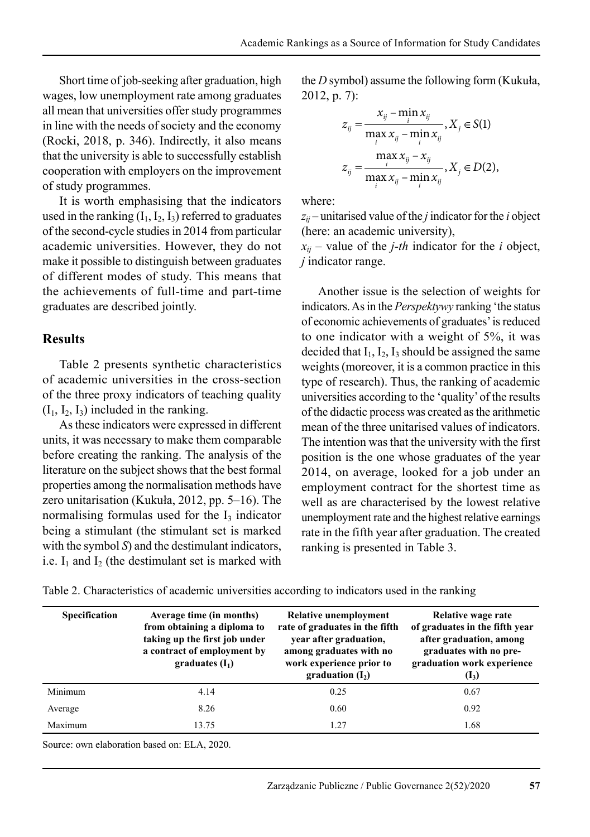Short time of job-seeking after graduation, high wages, low unemployment rate among graduates all mean that universities offer study programmes in line with the needs of society and the economy (Rocki, 2018, p. 346). Indirectly, it also means that the university is able to successfully establish cooperation with employers on the improvement of study programmes.

It is worth emphasising that the indicators used in the ranking  $(I_1, I_2, I_3)$  referred to graduates of the second-cycle studies in 2014 from particular academic universities. However, they do not make it possible to distinguish between graduates of different modes of study. This means that the achievements of full-time and part-time graduates are described jointly.

#### **Results**

Table 2 presents synthetic characteristics of academic universities in the cross-section of the three proxy indicators of teaching quality  $(I_1, I_2, I_3)$  included in the ranking.

As these indicators were expressed in different units, it was necessary to make them comparable before creating the ranking. The analysis of the literature on the subject shows that the best formal properties among the normalisation methods have zero unitarisation (Kukuła, 2012, pp. 5–16). The normalising formulas used for the  $I_3$  indicator being a stimulant (the stimulant set is marked with the symbol *S*) and the destimulant indicators, i.e.  $I_1$  and  $I_2$  (the destimulant set is marked with the *D* symbol) assume the following form (Kukuła, 2012, p. 7):

$$
z_{ij} = \frac{x_{ij} - \min_{i} x_{ij}}{\max_{i} x_{ij} - \min_{i} x_{ij}}, X_{j} \in S(1)
$$
  

$$
z_{ij} = \frac{\max_{i} x_{ij} - x_{ij}}{\max_{i} x_{ij} - \min_{i} x_{ij}}, X_{j} \in D(2),
$$

where:

 $z_{ii}$  – unitarised value of the *j* indicator for the *i* object (here: an academic university),

 $x_{ij}$  – value of the *j*-th indicator for the *i* object, *j* indicator range.

Another issue is the selection of weights for indicators. As in the *Perspektywy* ranking 'the status of economic achievements of graduates' is reduced to one indicator with a weight of 5%, it was decided that  $I_1$ ,  $I_2$ ,  $I_3$  should be assigned the same weights (moreover, it is a common practice in this type of research). Thus, the ranking of academic universities according to the 'quality' of the results of the didactic process was created as the arithmetic mean of the three unitarised values of indicators. The intention was that the university with the first position is the one whose graduates of the year 2014, on average, looked for a job under an employment contract for the shortest time as well as are characterised by the lowest relative unemployment rate and the highest relative earnings rate in the fifth year after graduation. The created ranking is presented in Table 3.

| Specification | Average time (in months)<br>from obtaining a diploma to<br>taking up the first job under<br>a contract of employment by<br>graduates $(I_1)$ | Relative unemployment<br>rate of graduates in the fifth<br>year after graduation,<br>among graduates with no<br>work experience prior to<br>graduation $(I_2)$ | Relative wage rate<br>of graduates in the fifth year<br>after graduation, among<br>graduates with no pre-<br>graduation work experience<br>$(I_3)$ |
|---------------|----------------------------------------------------------------------------------------------------------------------------------------------|----------------------------------------------------------------------------------------------------------------------------------------------------------------|----------------------------------------------------------------------------------------------------------------------------------------------------|
| Minimum       | 4.14                                                                                                                                         | 0.25                                                                                                                                                           | 0.67                                                                                                                                               |
| Average       | 8.26                                                                                                                                         | 0.60                                                                                                                                                           | 0.92                                                                                                                                               |
| Maximum       | 13.75                                                                                                                                        | 1.27                                                                                                                                                           | 1.68                                                                                                                                               |

Table 2. Characteristics of academic universities according to indicators used in the ranking

Source: own elaboration based on: ELA, 2020.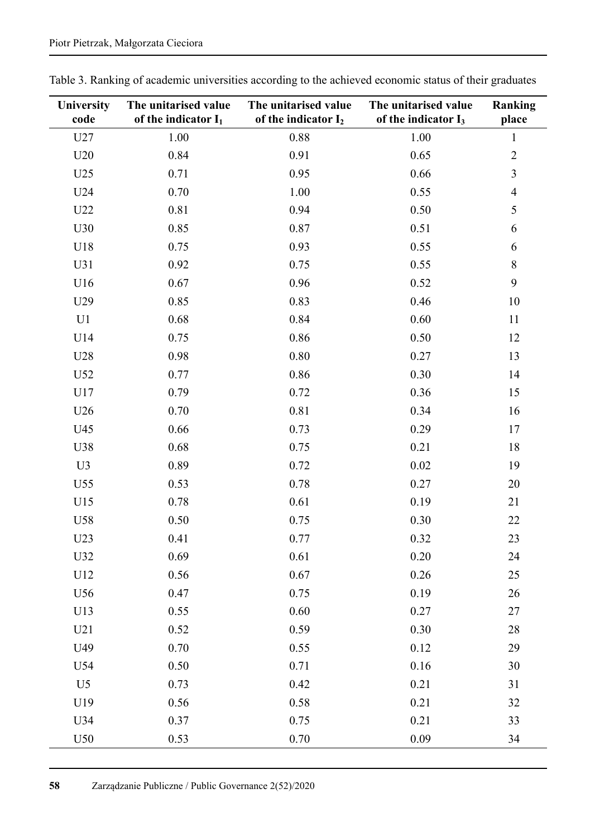| <b>University</b><br>code | The unitarised value<br>of the indicator $I_1$ | The unitarised value<br>of the indicator I <sub>2</sub> | The unitarised value<br>of the indicator $I_3$ | Ranking<br>place |
|---------------------------|------------------------------------------------|---------------------------------------------------------|------------------------------------------------|------------------|
| U27                       | 1.00                                           | 0.88                                                    | 1.00                                           | $\mathbf{1}$     |
| U20                       | 0.84                                           | 0.91                                                    | 0.65                                           | $\overline{2}$   |
| U25                       | 0.71                                           | 0.95                                                    | 0.66                                           | 3                |
| U24                       | 0.70                                           | 1.00                                                    | 0.55                                           | $\overline{4}$   |
| U22                       | 0.81                                           | 0.94                                                    | 0.50                                           | 5                |
| U30                       | 0.85                                           | 0.87                                                    | 0.51                                           | 6                |
| U18                       | 0.75                                           | 0.93                                                    | 0.55                                           | 6                |
| U31                       | 0.92                                           | 0.75                                                    | 0.55                                           | 8                |
| U16                       | 0.67                                           | 0.96                                                    | 0.52                                           | 9                |
| U29                       | 0.85                                           | 0.83                                                    | 0.46                                           | 10               |
| U1                        | 0.68                                           | 0.84                                                    | 0.60                                           | 11               |
| U14                       | 0.75                                           | 0.86                                                    | 0.50                                           | 12               |
| U28                       | 0.98                                           | 0.80                                                    | 0.27                                           | 13               |
| U52                       | 0.77                                           | 0.86                                                    | 0.30                                           | 14               |
| U17                       | 0.79                                           | 0.72                                                    | 0.36                                           | 15               |
| U26                       | 0.70                                           | 0.81                                                    | 0.34                                           | 16               |
| U45                       | 0.66                                           | 0.73                                                    | 0.29                                           | 17               |
| U38                       | 0.68                                           | 0.75                                                    | 0.21                                           | 18               |
| U3                        | 0.89                                           | 0.72                                                    | 0.02                                           | 19               |
| U55                       | 0.53                                           | 0.78                                                    | 0.27                                           | 20               |
| U15                       | 0.78                                           | 0.61                                                    | 0.19                                           | 21               |
| U58                       | 0.50                                           | 0.75                                                    | 0.30                                           | 22               |
| U23                       | 0.41                                           | 0.77                                                    | 0.32                                           | 23               |
| U32                       | 0.69                                           | 0.61                                                    | 0.20                                           | 24               |
| U12                       | 0.56                                           | 0.67                                                    | 0.26                                           | 25               |
| U56                       | 0.47                                           | 0.75                                                    | 0.19                                           | 26               |
| U13                       | 0.55                                           | $0.60\,$                                                | 0.27                                           | 27               |
| U21                       | 0.52                                           | 0.59                                                    | 0.30                                           | 28               |
| U49                       | 0.70                                           | 0.55                                                    | 0.12                                           | 29               |
| U54                       | 0.50                                           | 0.71                                                    | 0.16                                           | 30               |
| U <sub>5</sub>            | 0.73                                           | 0.42                                                    | 0.21                                           | 31               |
| U19                       | 0.56                                           | 0.58                                                    | 0.21                                           | 32               |
| U34                       | 0.37                                           | 0.75                                                    | 0.21                                           | 33               |
| U50                       | 0.53                                           | 0.70                                                    | 0.09                                           | 34               |

Table 3. Ranking of academic universities according to the achieved economic status of their graduates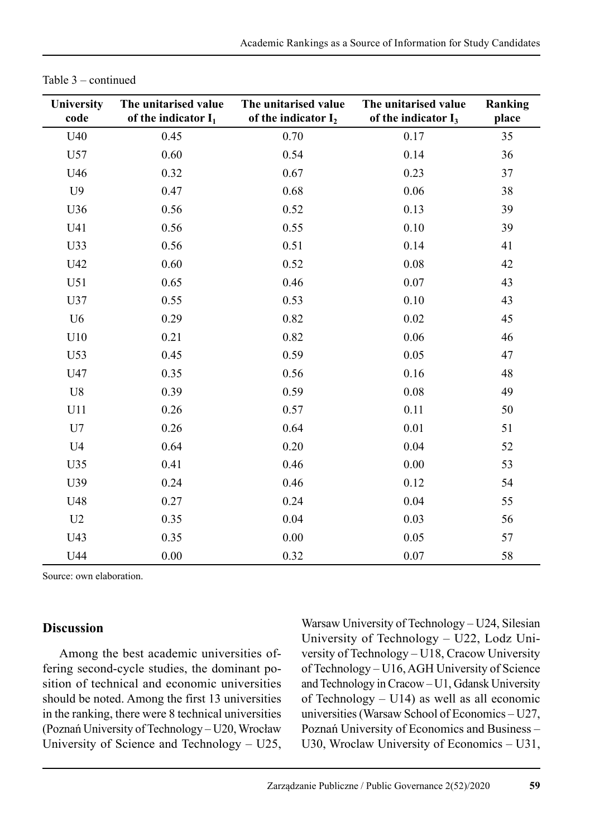| <b>University</b><br>code | The unitarised value<br>of the indicator $I_1$ | The unitarised value<br>of the indicator I <sub>2</sub> | The unitarised value<br>of the indicator $I_3$ | Ranking<br>place |
|---------------------------|------------------------------------------------|---------------------------------------------------------|------------------------------------------------|------------------|
| U40                       | 0.45                                           | 0.70                                                    | 0.17                                           | 35               |
| U57                       | 0.60                                           | 0.54                                                    | 0.14                                           | 36               |
| U46                       | 0.32                                           | 0.67                                                    | 0.23                                           | 37               |
| U9                        | 0.47                                           | 0.68                                                    | 0.06                                           | 38               |
| U36                       | 0.56                                           | 0.52                                                    | 0.13                                           | 39               |
| U41                       | 0.56                                           | 0.55                                                    | 0.10                                           | 39               |
| U33                       | 0.56                                           | 0.51                                                    | 0.14                                           | 41               |
| U42                       | 0.60                                           | 0.52                                                    | 0.08                                           | 42               |
| U51                       | 0.65                                           | 0.46                                                    | 0.07                                           | 43               |
| U37                       | 0.55                                           | 0.53                                                    | 0.10                                           | 43               |
| U <sub>6</sub>            | 0.29                                           | 0.82                                                    | 0.02                                           | 45               |
| U10                       | 0.21                                           | 0.82                                                    | 0.06                                           | 46               |
| U53                       | 0.45                                           | 0.59                                                    | 0.05                                           | 47               |
| U47                       | 0.35                                           | 0.56                                                    | 0.16                                           | 48               |
| U8                        | 0.39                                           | 0.59                                                    | 0.08                                           | 49               |
| U11                       | 0.26                                           | 0.57                                                    | 0.11                                           | 50               |
| U7                        | 0.26                                           | 0.64                                                    | $0.01\,$                                       | 51               |
| U <sub>4</sub>            | 0.64                                           | 0.20                                                    | 0.04                                           | 52               |
| U35                       | 0.41                                           | 0.46                                                    | 0.00                                           | 53               |
| U39                       | 0.24                                           | 0.46                                                    | 0.12                                           | 54               |
| U48                       | 0.27                                           | 0.24                                                    | 0.04                                           | 55               |
| U2                        | 0.35                                           | 0.04                                                    | 0.03                                           | 56               |
| U43                       | 0.35                                           | 0.00                                                    | 0.05                                           | 57               |
| U44                       | 0.00                                           | 0.32                                                    | 0.07                                           | 58               |

|  |  | Table 3 – continued |  |
|--|--|---------------------|--|
|--|--|---------------------|--|

Source: own elaboration.

#### **Discussion**

Among the best academic universities offering second-cycle studies, the dominant position of technical and economic universities should be noted. Among the first 13 universities in the ranking, there were 8 technical universities (Poznań University of Technology – U20, Wrocław University of Science and Technology – U25, Warsaw University of Technology – U24, Silesian University of Technology – U22, Lodz University of Technology – U18, Cracow University of Technology – U16, AGH University of Science and Technology in Cracow – U1, Gdansk University of Technology – U14) as well as all economic universities (Warsaw School of Economics – U27, Poznań University of Economics and Business – U30, Wroclaw University of Economics – U31,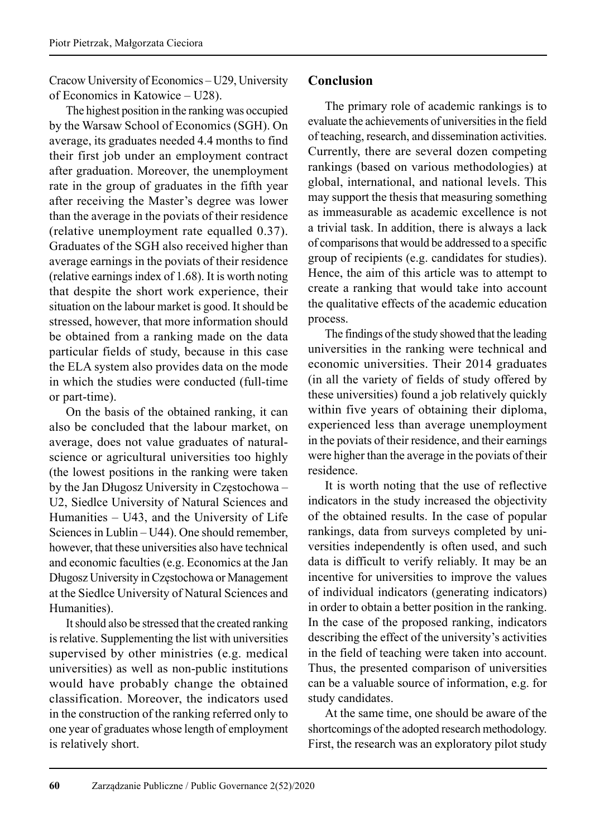Cracow University of Economics – U29, University of Economics in Katowice – U28).

The highest position in the ranking was occupied by the Warsaw School of Economics (SGH). On average, its graduates needed 4.4 months to find their first job under an employment contract after graduation. Moreover, the unemployment rate in the group of graduates in the fifth year after receiving the Master's degree was lower than the average in the poviats of their residence (relative unemployment rate equalled 0.37). Graduates of the SGH also received higher than average earnings in the poviats of their residence (relative earnings index of 1.68). It is worth noting that despite the short work experience, their situation on the labour market is good. It should be stressed, however, that more information should be obtained from a ranking made on the data particular fields of study, because in this case the ELA system also provides data on the mode in which the studies were conducted (full-time or part-time).

On the basis of the obtained ranking, it can also be concluded that the labour market, on average, does not value graduates of naturalscience or agricultural universities too highly (the lowest positions in the ranking were taken by the Jan Długosz University in Częstochowa – U2, Siedlce University of Natural Sciences and Humanities – U43, and the University of Life Sciences in Lublin – U44). One should remember, however, that these universities also have technical and economic faculties (e.g. Economics at the Jan Długosz University in Częstochowa or Management at the Siedlce University of Natural Sciences and Humanities).

It should also be stressed that the created ranking is relative. Supplementing the list with universities supervised by other ministries (e.g. medical universities) as well as non-public institutions would have probably change the obtained classification. Moreover, the indicators used in the construction of the ranking referred only to one year of graduates whose length of employment is relatively short.

# **Conclusion**

The primary role of academic rankings is to evaluate the achievements of universities in the field of teaching, research, and dissemination activities. Currently, there are several dozen competing rankings (based on various methodologies) at global, international, and national levels. This may support the thesis that measuring something as immeasurable as academic excellence is not a trivial task. In addition, there is always a lack of comparisons that would be addressed to a specific group of recipients (e.g. candidates for studies). Hence, the aim of this article was to attempt to create a ranking that would take into account the qualitative effects of the academic education process.

The findings of the study showed that the leading universities in the ranking were technical and economic universities. Their 2014 graduates (in all the variety of fields of study offered by these universities) found a job relatively quickly within five years of obtaining their diploma, experienced less than average unemployment in the poviats of their residence, and their earnings were higher than the average in the poviats of their residence.

It is worth noting that the use of reflective indicators in the study increased the objectivity of the obtained results. In the case of popular rankings, data from surveys completed by universities independently is often used, and such data is difficult to verify reliably. It may be an incentive for universities to improve the values of individual indicators (generating indicators) in order to obtain a better position in the ranking. In the case of the proposed ranking, indicators describing the effect of the university's activities in the field of teaching were taken into account. Thus, the presented comparison of universities can be a valuable source of information, e.g. for study candidates.

At the same time, one should be aware of the shortcomings of the adopted research methodology. First, the research was an exploratory pilot study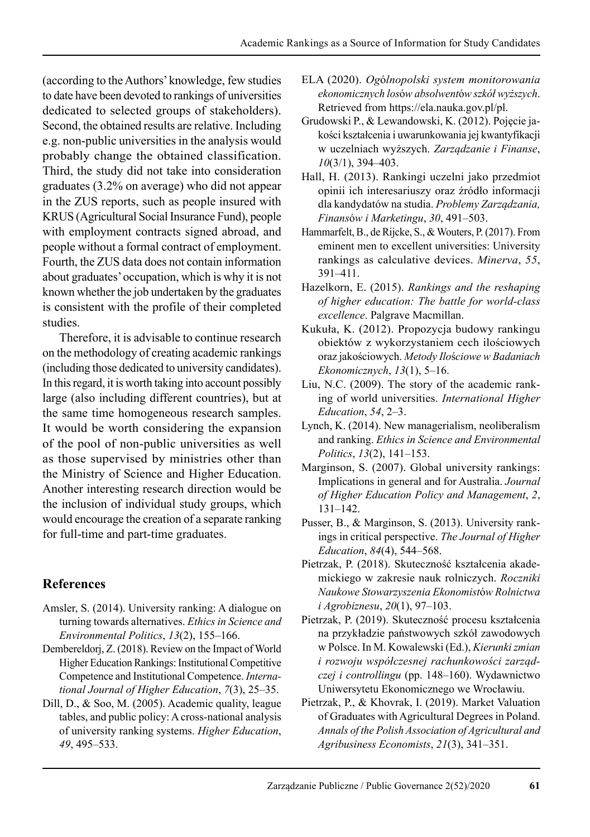(according to the Authors' knowledge, few studies to date have been devoted to rankings of universities dedicated to selected groups of stakeholders). Second, the obtained results are relative. Including e.g. non-public universities in the analysis would probably change the obtained classification. Third, the study did not take into consideration graduates (3.2% on average) who did not appear in the ZUS reports, such as people insured with KRUS (Agricultural Social Insurance Fund), people with employment contracts signed abroad, and people without a formal contract of employment. Fourth, the ZUS data does not contain information about graduates' occupation, which is why it is not known whether the job undertaken by the graduates is consistent with the profile of their completed studies.

Therefore, it is advisable to continue research on the methodology of creating academic rankings (including those dedicated to university candidates). In this regard, it is worth taking into account possibly large (also including different countries), but at the same time homogeneous research samples. It would be worth considering the expansion of the pool of non-public universities as well as those supervised by ministries other than the Ministry of Science and Higher Education. Another interesting research direction would be the inclusion of individual study groups, which would encourage the creation of a separate ranking for full-time and part-time graduates.

# **References**

- Amsler, S. (2014). University ranking: A dialogue on turning towards alternatives. *Ethics in Science and Environmental Politics*, *13*(2), 155–166.
- Dembereldorj, Z. (2018). Review on the Impact of World Higher Education Rankings: Institutional Competitive Competence and Institutional Competence. *International Journal of Higher Education*, *7*(3), 25–35.
- Dill, D., & Soo, M. (2005). Academic quality, league tables, and public policy: A cross-national analysis of university ranking systems. *Higher Education*, *49*, 495–533.
- ELA (2020). *Og*ó*lnopolski system monitorowania ekonomicznych los*ó*w absolwent*ó*w szkół wyższych*. Retrieved from https://ela.nauka.gov.pl/pl.
- Grudowski P., & Lewandowski, K. (2012). Pojęcie jakości kształcenia i uwarunkowania jej kwantyfikacji w uczelniach wyższych. *Zarządzanie i Finanse*, *10*(3/1), 394–403.
- Hall, H. (2013). Rankingi uczelni jako przedmiot opinii ich interesariuszy oraz źródło informacji dla kandydatów na studia. *Problemy Zarządzania, Finans*ó*w i Marketingu*, *30*, 491–503.
- Hammarfelt, B., de Rijcke, S., & Wouters, P. (2017). From eminent men to excellent universities: University rankings as calculative devices. *Minerva*, *55*, 391–411.
- Hazelkorn, E. (2015). *Rankings and the reshaping of higher education: The battle for world-class excellence*. Palgrave Macmillan.
- Kukuła, K. (2012). Propozycja budowy rankingu obiektów z wykorzystaniem cech ilościowych oraz jakościowych. *Metody Ilo*ś*ciowe w Badaniach Ekonomicznych*, *13*(1), 5–16.
- Liu, N.C. (2009). The story of the academic ranking of world universities. *International Higher Education*, *54*, 2–3.
- Lynch, K. (2014). New managerialism, neoliberalism and ranking. *Ethics in Science and Environmental Politics*, *13*(2), 141–153.
- Marginson, S. (2007). Global university rankings: Implications in general and for Australia. *Journal of Higher Education Policy and Management*, *2*, 131–142.
- Pusser, B., & Marginson, S. (2013). University rankings in critical perspective. *The Journal of Higher Education*, *84*(4), 544–568.
- Pietrzak, P. (2018). Skuteczność kształcenia akademickiego w zakresie nauk rolniczych. *Roczniki Naukowe Stowarzyszenia Ekonomist*ó*w Rolnictwa i Agrobiznesu*, *20*(1), 97–103.
- Pietrzak, P. (2019). Skuteczność procesu kształcenia na przykładzie państwowych szkół zawodowych w Polsce. In M. Kowalewski (Ed.), *Kierunki zmian i rozwoju współczesnej rachunkowości zarządczej i controllingu* (pp. 148–160). Wydawnictwo Uniwersytetu Ekonomicznego we Wrocławiu.
- Pietrzak, P., & Khovrak, I. (2019). Market Valuation of Graduates with Agricultural Degrees in Poland. *Annals of the Polish Association of Agricultural and Agribusiness Economists*, *21*(3), 341–351.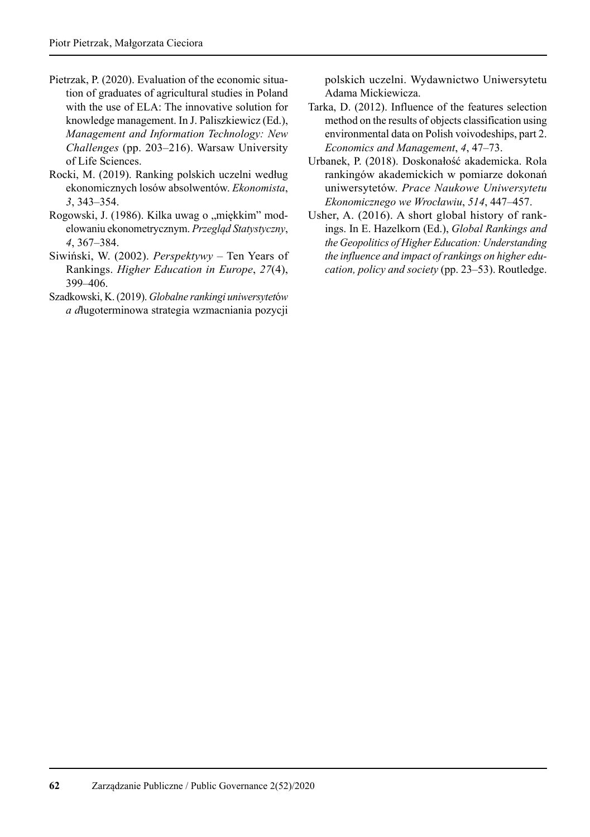- Pietrzak, P. (2020). Evaluation of the economic situation of graduates of agricultural studies in Poland with the use of ELA: The innovative solution for knowledge management. In J. Paliszkiewicz (Ed.), *Management and Information Technology: New Challenges* (pp. 203–216). Warsaw University of Life Sciences.
- Rocki, M. (2019). Ranking polskich uczelni według ekonomicznych losów absolwentów. *Ekonomista*, *3*, 343–354.
- Rogowski, J. (1986). Kilka uwag o "miękkim" modelowaniu ekonometrycznym. *Przegląd Statystyczny*, *4*, 367–384.
- Siwiński, W. (2002). *Perspektywy* Ten Years of Rankings. *Higher Education in Europe*, *27*(4), 399–406.
- Szadkowski, K. (2019). *Globalne rankingi uniwersytet*ó*w a d*ługoterminowa strategia wzmacniania pozycji

polskich uczelni. Wydawnictwo Uniwersytetu Adama Mickiewicza.

- Tarka, D. (2012). Influence of the features selection method on the results of objects classification using environmental data on Polish voivodeships, part 2. *Economics and Management*, *4*, 47–73.
- Urbanek, P. (2018). Doskonałość akademicka. Rola rankingów akademickich w pomiarze dokonań uniwersytetów. *Prace Naukowe Uniwersytetu Ekonomicznego we Wrocławiu*, *514*, 447–457.
- Usher, A. (2016). A short global history of rankings. In E. Hazelkorn (Ed.), *Global Rankings and the Geopolitics of Higher Education: Understanding the influence and impact of rankings on higher education, policy and society* (pp. 23–53). Routledge.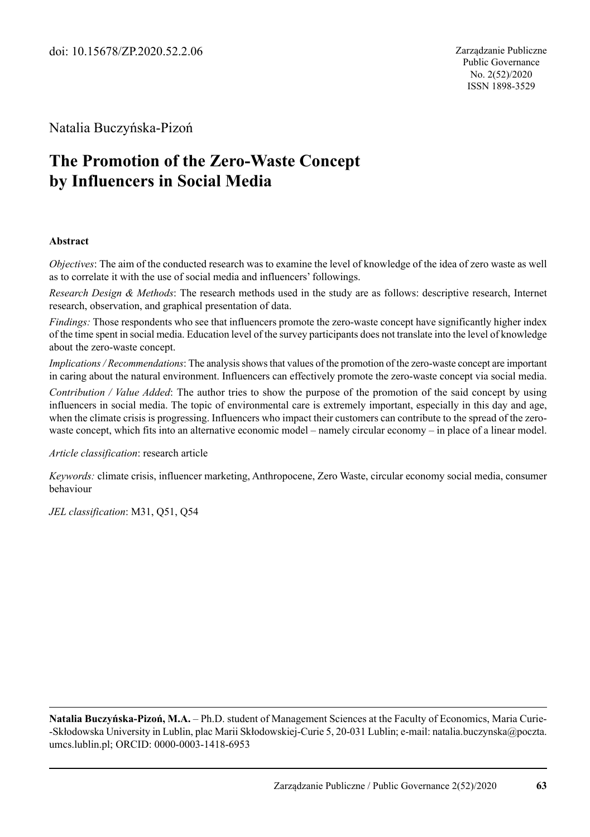Natalia Buczyńska-Pizoń

# **The Promotion of the Zero-Waste Concept by Influencers in Social Media**

#### **Abstract**

*Objectives*: The aim of the conducted research was to examine the level of knowledge of the idea of zero waste as well as to correlate it with the use of social media and influencers' followings.

*Research Design & Methods*: The research methods used in the study are as follows: descriptive research, Internet research, observation, and graphical presentation of data.

*Findings:* Those respondents who see that influencers promote the zero-waste concept have significantly higher index of the time spent in social media. Education level of the survey participants does not translate into the level of knowledge about the zero-waste concept.

*Implications / Recommendations*: The analysis shows that values of the promotion of the zero-waste concept are important in caring about the natural environment. Influencers can effectively promote the zero-waste concept via social media.

*Contribution / Value Added*: The author tries to show the purpose of the promotion of the said concept by using influencers in social media. The topic of environmental care is extremely important, especially in this day and age, when the climate crisis is progressing. Influencers who impact their customers can contribute to the spread of the zerowaste concept, which fits into an alternative economic model – namely circular economy – in place of a linear model.

*Article classification*: research article

*Keywords:* climate crisis, influencer marketing, Anthropocene, Zero Waste, circular economy social media, consumer behaviour

*JEL classification*: M31, Q51, Q54

**Natalia Buczyńska-Pizoń, M.A.** – Ph.D. student of Management Sciences at the Faculty of Economics, Maria Curie- -Skłodowska University in Lublin, plac Marii Skłodowskiej-Curie 5, 20-031 Lublin; e-mail: natalia.buczynska@poczta. umcs.lublin.pl; ORCID: 0000-0003-1418-6953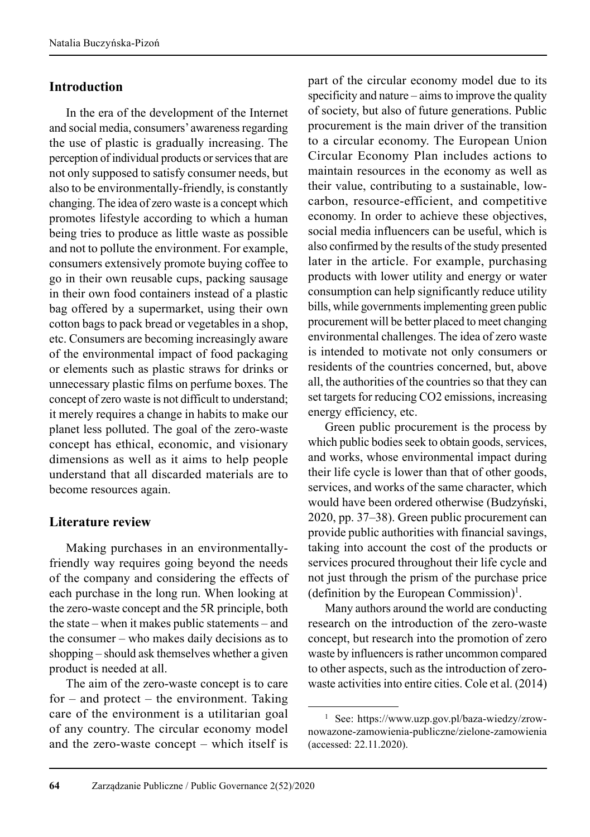# **Introduction**

In the era of the development of the Internet and social media, consumers' awareness regarding the use of plastic is gradually increasing. The perception of individual products or services that are not only supposed to satisfy consumer needs, but also to be environmentally-friendly, is constantly changing. The idea of zero waste is a concept which promotes lifestyle according to which a human being tries to produce as little waste as possible and not to pollute the environment. For example, consumers extensively promote buying coffee to go in their own reusable cups, packing sausage in their own food containers instead of a plastic bag offered by a supermarket, using their own cotton bags to pack bread or vegetables in a shop, etc. Consumers are becoming increasingly aware of the environmental impact of food packaging or elements such as plastic straws for drinks or unnecessary plastic films on perfume boxes. The concept of zero waste is not difficult to understand; it merely requires a change in habits to make our planet less polluted. The goal of the zero-waste concept has ethical, economic, and visionary dimensions as well as it aims to help people understand that all discarded materials are to become resources again.

# **Literature review**

Making purchases in an environmentallyfriendly way requires going beyond the needs of the company and considering the effects of each purchase in the long run. When looking at the zero-waste concept and the 5R principle, both the state – when it makes public statements – and the consumer – who makes daily decisions as to shopping – should ask themselves whether a given product is needed at all.

The aim of the zero-waste concept is to care for – and protect – the environment. Taking care of the environment is a utilitarian goal of any country. The circular economy model and the zero-waste concept – which itself is

part of the circular economy model due to its specificity and nature – aims to improve the quality of society, but also of future generations. Public procurement is the main driver of the transition to a circular economy. The European Union Circular Economy Plan includes actions to maintain resources in the economy as well as their value, contributing to a sustainable, lowcarbon, resource-efficient, and competitive economy. In order to achieve these objectives, social media influencers can be useful, which is also confirmed by the results of the study presented later in the article. For example, purchasing products with lower utility and energy or water consumption can help significantly reduce utility bills, while governments implementing green public procurement will be better placed to meet changing environmental challenges. The idea of zero waste is intended to motivate not only consumers or residents of the countries concerned, but, above all, the authorities of the countries so that they can set targets for reducing CO2 emissions, increasing energy efficiency, etc.

Green public procurement is the process by which public bodies seek to obtain goods, services, and works, whose environmental impact during their life cycle is lower than that of other goods, services, and works of the same character, which would have been ordered otherwise (Budzyński, 2020, pp. 37–38). Green public procurement can provide public authorities with financial savings, taking into account the cost of the products or services procured throughout their life cycle and not just through the prism of the purchase price  $(definition by the European Commission)<sup>1</sup>.$ 

Many authors around the world are conducting research on the introduction of the zero-waste concept, but research into the promotion of zero waste by influencers is rather uncommon compared to other aspects, such as the introduction of zerowaste activities into entire cities. Cole et al. (2014)

<sup>1</sup> See: https://www.uzp.gov.pl/baza-wiedzy/zrownowazone-zamowienia-publiczne/zielone-zamowienia (accessed: 22.11.2020).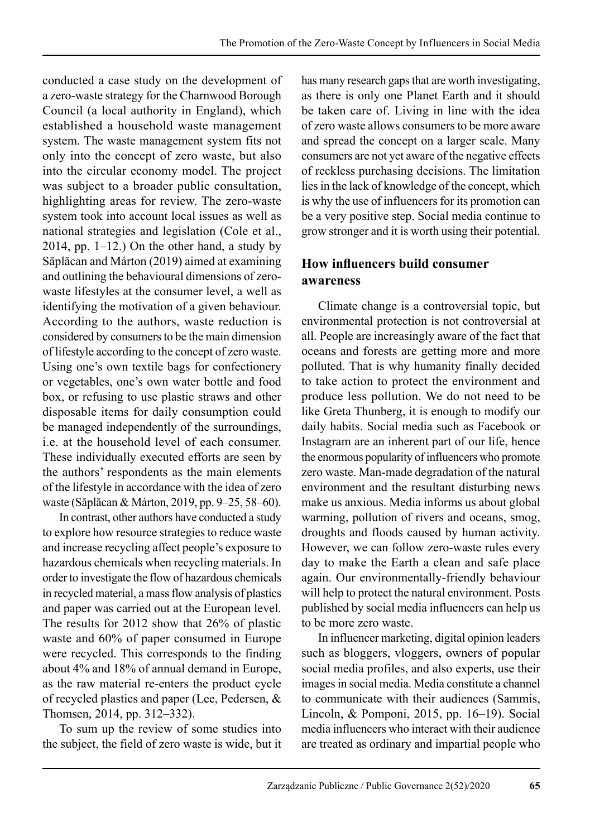conducted a case study on the development of a zero-waste strategy for the Charnwood Borough Council (a local authority in England), which established a household waste management system. The waste management system fits not only into the concept of zero waste, but also into the circular economy model. The project was subject to a broader public consultation, highlighting areas for review. The zero-waste system took into account local issues as well as national strategies and legislation (Cole et al., 2014, pp. 1–12.) On the other hand, a study by Săplăcan and Márton (2019) aimed at examining and outlining the behavioural dimensions of zerowaste lifestyles at the consumer level, a well as identifying the motivation of a given behaviour. According to the authors, waste reduction is considered by consumers to be the main dimension of lifestyle according to the concept of zero waste. Using one's own textile bags for confectionery or vegetables, one's own water bottle and food box, or refusing to use plastic straws and other disposable items for daily consumption could be managed independently of the surroundings, i.e. at the household level of each consumer. These individually executed efforts are seen by the authors' respondents as the main elements of the lifestyle in accordance with the idea of zero waste (Săplăcan & Márton, 2019, pp. 9–25, 58–60).

In contrast, other authors have conducted a study to explore how resource strategies to reduce waste and increase recycling affect people's exposure to hazardous chemicals when recycling materials. In order to investigate the flow of hazardous chemicals in recycled material, a mass flow analysis of plastics and paper was carried out at the European level. The results for 2012 show that 26% of plastic waste and 60% of paper consumed in Europe were recycled. This corresponds to the finding about 4% and 18% of annual demand in Europe, as the raw material re-enters the product cycle of recycled plastics and paper (Lee, Pedersen, & Thomsen, 2014, pp. 312–332).

To sum up the review of some studies into the subject, the field of zero waste is wide, but it has many research gaps that are worth investigating, as there is only one Planet Earth and it should be taken care of. Living in line with the idea of zero waste allows consumers to be more aware and spread the concept on a larger scale. Many consumers are not yet aware of the negative effects of reckless purchasing decisions. The limitation lies in the lack of knowledge of the concept, which is why the use of influencers for its promotion can be a very positive step. Social media continue to grow stronger and it is worth using their potential.

# **How influencers build consumer awareness**

Climate change is a controversial topic, but environmental protection is not controversial at all. People are increasingly aware of the fact that oceans and forests are getting more and more polluted. That is why humanity finally decided to take action to protect the environment and produce less pollution. We do not need to be like Greta Thunberg, it is enough to modify our daily habits. Social media such as Facebook or Instagram are an inherent part of our life, hence the enormous popularity of influencers who promote zero waste. Man-made degradation of the natural environment and the resultant disturbing news make us anxious. Media informs us about global warming, pollution of rivers and oceans, smog, droughts and floods caused by human activity. However, we can follow zero-waste rules every day to make the Earth a clean and safe place again. Our environmentally-friendly behaviour will help to protect the natural environment. Posts published by social media influencers can help us to be more zero waste.

In influencer marketing, digital opinion leaders such as bloggers, vloggers, owners of popular social media profiles, and also experts, use their images in social media. Media constitute a channel to communicate with their audiences (Sammis, Lincoln, & Pomponi, 2015, pp. 16–19). Social media influencers who interact with their audience are treated as ordinary and impartial people who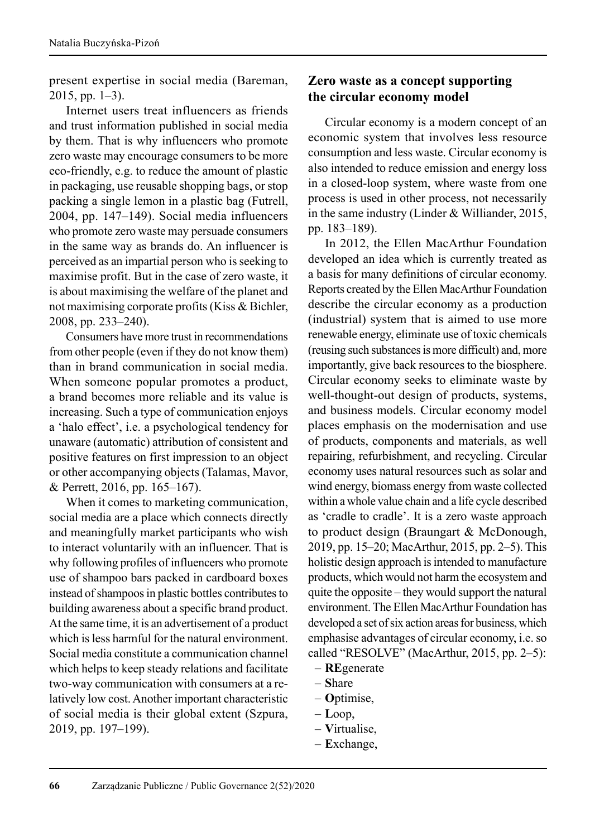present expertise in social media (Bareman, 2015, pp. 1–3).

Internet users treat influencers as friends and trust information published in social media by them. That is why influencers who promote zero waste may encourage consumers to be more eco-friendly, e.g. to reduce the amount of plastic in packaging, use reusable shopping bags, or stop packing a single lemon in a plastic bag (Futrell, 2004, pp. 147–149). Social media influencers who promote zero waste may persuade consumers in the same way as brands do. An influencer is perceived as an impartial person who is seeking to maximise profit. But in the case of zero waste, it is about maximising the welfare of the planet and not maximising corporate profits (Kiss & Bichler, 2008, pp. 233–240).

Consumers have more trust in recommendations from other people (even if they do not know them) than in brand communication in social media. When someone popular promotes a product, a brand becomes more reliable and its value is increasing. Such a type of communication enjoys a 'halo effect', i.e. a psychological tendency for unaware (automatic) attribution of consistent and positive features on first impression to an object or other accompanying objects (Talamas, Mavor, & Perrett, 2016, pp. 165–167).

When it comes to marketing communication, social media are a place which connects directly and meaningfully market participants who wish to interact voluntarily with an influencer. That is why following profiles of influencers who promote use of shampoo bars packed in cardboard boxes instead of shampoos in plastic bottles contributes to building awareness about a specific brand product. At the same time, it is an advertisement of a product which is less harmful for the natural environment. Social media constitute a communication channel which helps to keep steady relations and facilitate two-way communication with consumers at a relatively low cost. Another important characteristic of social media is their global extent (Szpura, 2019, pp. 197–199).

# **Zero waste as a concept supporting the circular economy model**

Circular economy is a modern concept of an economic system that involves less resource consumption and less waste. Circular economy is also intended to reduce emission and energy loss in a closed-loop system, where waste from one process is used in other process, not necessarily in the same industry (Linder & Williander, 2015, pp. 183–189).

In 2012, the Ellen MacArthur Foundation developed an idea which is currently treated as a basis for many definitions of circular economy. Reports created by the Ellen MacArthur Foundation describe the circular economy as a production (industrial) system that is aimed to use more renewable energy, eliminate use of toxic chemicals (reusing such substances is more difficult) and, more importantly, give back resources to the biosphere. Circular economy seeks to eliminate waste by well-thought-out design of products, systems, and business models. Circular economy model places emphasis on the modernisation and use of products, components and materials, as well repairing, refurbishment, and recycling. Circular economy uses natural resources such as solar and wind energy, biomass energy from waste collected within a whole value chain and a life cycle described as 'cradle to cradle'. It is a zero waste approach to product design (Braungart & McDonough, 2019, pp. 15–20; MacArthur, 2015, pp. 2–5). This holistic design approach is intended to manufacture products, which would not harm the ecosystem and quite the opposite – they would support the natural environment. The Ellen MacArthur Foundation has developed a set of six action areas for business, which emphasise advantages of circular economy, i.e. so called "RESOLVE" (MacArthur, 2015, pp. 2–5):

- **RE**generate
- **S**hare
- **O**ptimise,
- **L**oop,
- **V**irtualise,
- **E**xchange,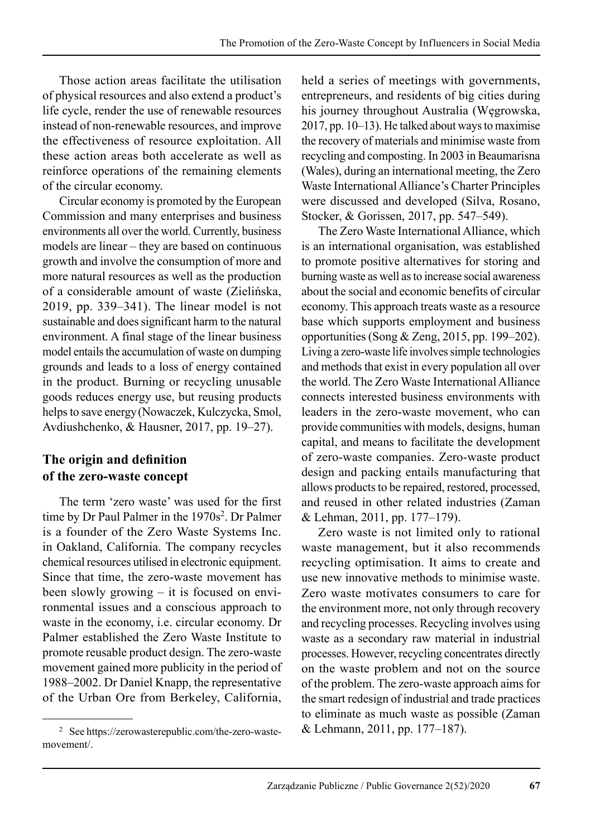Those action areas facilitate the utilisation of physical resources and also extend a product's life cycle, render the use of renewable resources instead of non-renewable resources, and improve the effectiveness of resource exploitation. All these action areas both accelerate as well as reinforce operations of the remaining elements of the circular economy.

Circular economy is promoted by the European Commission and many enterprises and business environments all over the world. Currently, business models are linear – they are based on continuous growth and involve the consumption of more and more natural resources as well as the production of a considerable amount of waste (Zielińska, 2019, pp. 339–341). The linear model is not sustainable and does significant harm to the natural environment. A final stage of the linear business model entails the accumulation of waste on dumping grounds and leads to a loss of energy contained in the product. Burning or recycling unusable goods reduces energy use, but reusing products helps to save energy(Nowaczek, Kulczycka, Smol, Avdiushchenko, & Hausner, 2017, pp. 19–27).

# **The origin and definition of the zero-waste concept**

The term 'zero waste' was used for the first time by Dr Paul Palmer in the 1970s<sup>2</sup>. Dr Palmer is a founder of the Zero Waste Systems Inc. in Oakland, California. The company recycles chemical resources utilised in electronic equipment. Since that time, the zero-waste movement has been slowly growing – it is focused on environmental issues and a conscious approach to waste in the economy, i.e. circular economy. Dr Palmer established the Zero Waste Institute to promote reusable product design. The zero-waste movement gained more publicity in the period of 1988–2002. Dr Daniel Knapp, the representative of the Urban Ore from Berkeley, California,

held a series of meetings with governments, entrepreneurs, and residents of big cities during his journey throughout Australia (Węgrowska, 2017, pp. 10–13). He talked about ways to maximise the recovery of materials and minimise waste from recycling and composting. In 2003 in Beaumarisna (Wales), during an international meeting, the Zero Waste International Alliance's Charter Principles were discussed and developed (Silva, Rosano, Stocker, & Gorissen, 2017, pp. 547–549).

The Zero Waste International Alliance, which is an international organisation, was established to promote positive alternatives for storing and burning waste as well as to increase social awareness about the social and economic benefits of circular economy. This approach treats waste as a resource base which supports employment and business opportunities (Song & Zeng, 2015, pp. 199–202). Living a zero-waste life involves simple technologies and methods that exist in every population all over the world. The Zero Waste International Alliance connects interested business environments with leaders in the zero-waste movement, who can provide communities with models, designs, human capital, and means to facilitate the development of zero-waste companies. Zero-waste product design and packing entails manufacturing that allows products to be repaired, restored, processed, and reused in other related industries (Zaman & Lehman, 2011, pp. 177–179).

Zero waste is not limited only to rational waste management, but it also recommends recycling optimisation. It aims to create and use new innovative methods to minimise waste. Zero waste motivates consumers to care for the environment more, not only through recovery and recycling processes. Recycling involves using waste as a secondary raw material in industrial processes. However, recycling concentrates directly on the waste problem and not on the source of the problem. The zero-waste approach aims for the smart redesign of industrial and trade practices to eliminate as much waste as possible (Zaman & Lehmann, 2011, pp. 177–187).

<sup>2</sup> See https://zerowasterepublic.com/the-zero-wastemovement/.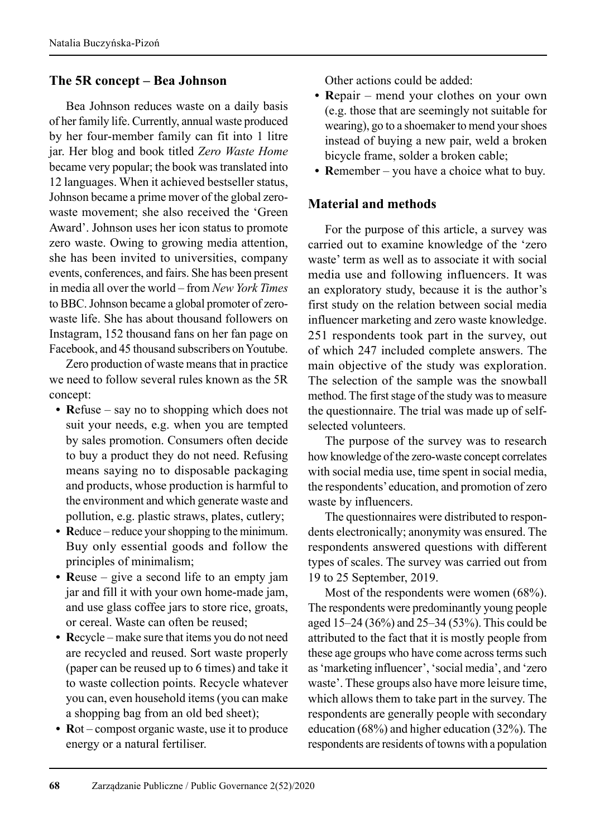#### **The 5R concept – Bea Johnson**

Bea Johnson reduces waste on a daily basis of her family life. Currently, annual waste produced by her four-member family can fit into 1 litre jar. Her blog and book titled *Zero Waste Home* became very popular; the book was translated into 12 languages. When it achieved bestseller status, Johnson became a prime mover of the global zerowaste movement; she also received the 'Green Award'. Johnson uses her icon status to promote zero waste. Owing to growing media attention, she has been invited to universities, company events, conferences, and fairs. She has been present in media all over the world – from *New York Times* to BBC. Johnson became a global promoter of zerowaste life. She has about thousand followers on Instagram, 152 thousand fans on her fan page on Facebook, and 45 thousand subscribers on Youtube.

Zero production of waste means that in practice we need to follow several rules known as the 5R concept:

- **R**efuse say no to shopping which does not suit your needs, e.g. when you are tempted by sales promotion. Consumers often decide to buy a product they do not need. Refusing means saying no to disposable packaging and products, whose production is harmful to the environment and which generate waste and pollution, e.g. plastic straws, plates, cutlery;
- **R**educe reduce your shopping to the minimum. Buy only essential goods and follow the principles of minimalism;
- **R**euse give a second life to an empty jam jar and fill it with your own home-made jam, and use glass coffee jars to store rice, groats, or cereal. Waste can often be reused;
- **R**ecycle make sure that items you do not need are recycled and reused. Sort waste properly (paper can be reused up to 6 times) and take it to waste collection points. Recycle whatever you can, even household items (you can make a shopping bag from an old bed sheet);
- **R**ot compost organic waste, use it to produce energy or a natural fertiliser.

Other actions could be added:

- **R**epair mend your clothes on your own (e.g. those that are seemingly not suitable for wearing), go to a shoemaker to mend your shoes instead of buying a new pair, weld a broken bicycle frame, solder a broken cable;
- **R**emember you have a choice what to buy.

# **Material and methods**

For the purpose of this article, a survey was carried out to examine knowledge of the 'zero waste' term as well as to associate it with social media use and following influencers. It was an exploratory study, because it is the author's first study on the relation between social media influencer marketing and zero waste knowledge. 251 respondents took part in the survey, out of which 247 included complete answers. The main objective of the study was exploration. The selection of the sample was the snowball method. The first stage of the study was to measure the questionnaire. The trial was made up of selfselected volunteers.

The purpose of the survey was to research how knowledge of the zero-waste concept correlates with social media use, time spent in social media, the respondents' education, and promotion of zero waste by influencers.

The questionnaires were distributed to respondents electronically; anonymity was ensured. The respondents answered questions with different types of scales. The survey was carried out from 19 to 25 September, 2019.

Most of the respondents were women (68%). The respondents were predominantly young people aged 15–24 (36%) and 25–34 (53%). This could be attributed to the fact that it is mostly people from these age groups who have come across terms such as 'marketing influencer', 'social media', and 'zero waste'. These groups also have more leisure time, which allows them to take part in the survey. The respondents are generally people with secondary education (68%) and higher education (32%). The respondents are residents of towns with a population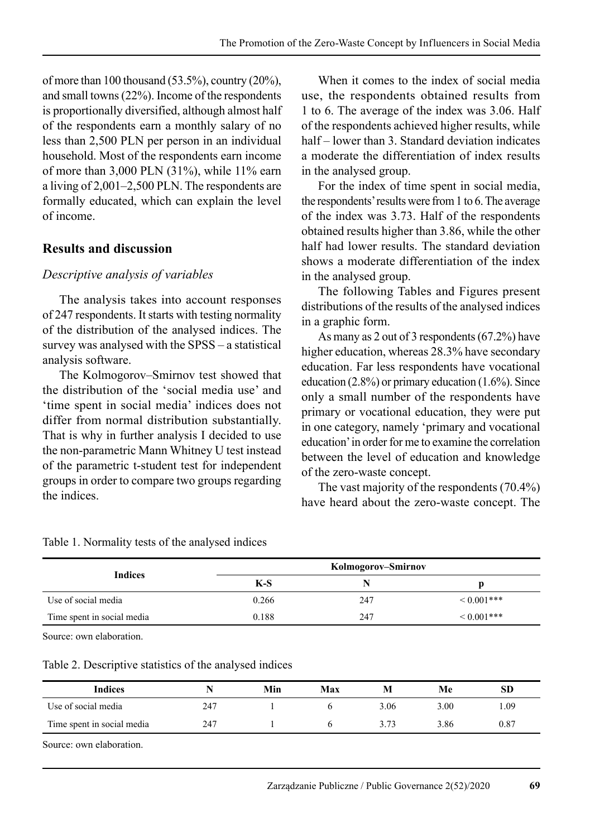of more than 100 thousand (53.5%), country (20%), and small towns (22%). Income of the respondents is proportionally diversified, although almost half of the respondents earn a monthly salary of no less than 2,500 PLN per person in an individual household. Most of the respondents earn income of more than 3,000 PLN (31%), while 11% earn a living of 2,001–2,500 PLN. The respondents are formally educated, which can explain the level of income.

#### **Results and discussion**

#### *Descriptive analysis of variables*

The analysis takes into account responses of 247 respondents. It starts with testing normality of the distribution of the analysed indices. The survey was analysed with the SPSS – a statistical analysis software.

The Kolmogorov–Smirnov test showed that the distribution of the 'social media use' and 'time spent in social media' indices does not differ from normal distribution substantially. That is why in further analysis I decided to use the non-parametric Mann Whitney U test instead of the parametric t-student test for independent groups in order to compare two groups regarding the indices.

When it comes to the index of social media use, the respondents obtained results from 1 to 6. The average of the index was 3.06. Half of the respondents achieved higher results, while half – lower than 3. Standard deviation indicates a moderate the differentiation of index results in the analysed group.

For the index of time spent in social media, the respondents' results were from 1 to 6. The average of the index was 3.73. Half of the respondents obtained results higher than 3.86, while the other half had lower results. The standard deviation shows a moderate differentiation of the index in the analysed group.

The following Tables and Figures present distributions of the results of the analysed indices in a graphic form.

As many as 2 out of 3 respondents (67.2%) have higher education, whereas 28.3% have secondary education. Far less respondents have vocational education  $(2.8\%)$  or primary education  $(1.6\%)$ . Since only a small number of the respondents have primary or vocational education, they were put in one category, namely 'primary and vocational education' in order for me to examine the correlation between the level of education and knowledge of the zero-waste concept.

The vast majority of the respondents (70.4%) have heard about the zero-waste concept. The

|                            |       | Kolmogorov–Smirnov |            |
|----------------------------|-------|--------------------|------------|
| Indices                    | $K-S$ |                    |            |
| Use of social media        | 0.266 | 247                | $0.001***$ |
| Time spent in social media | 0.188 | 247                | $0.001***$ |

Table 1. Normality tests of the analysed indices

Source: own elaboration.

Table 2. Descriptive statistics of the analysed indices

| <b>Indices</b>             |     | Min | Max |      | Мe   | <b>SD</b> |
|----------------------------|-----|-----|-----|------|------|-----------|
| Use of social media        | 247 |     |     | 3.06 | 3.00 | 1.09      |
| Time spent in social media | 247 |     |     | 3.73 | 3.86 | 0.87      |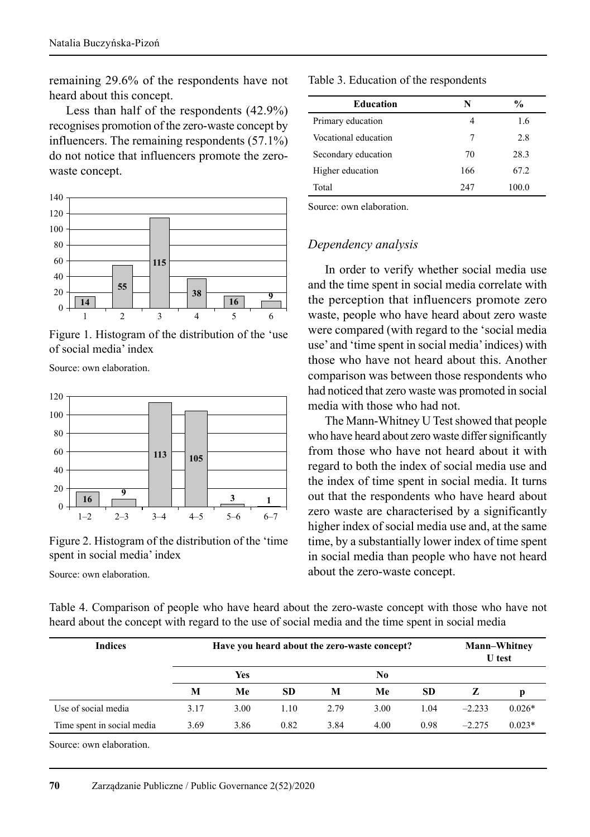remaining 29.6% of the respondents have not heard about this concept.

Less than half of the respondents (42.9%) recognises promotion of the zero-waste concept by influencers. The remaining respondents (57.1%) do not notice that influencers promote the zerowaste concept.



Figure 1. Histogram of the distribution of the 'use of social media' index

Source: own elaboration.



Figure 2. Histogram of the distribution of the 'time spent in social media' index

Source: own elaboration.

#### Table 3. Education of the respondents

| <b>Education</b>     | N   | $\frac{0}{0}$ |
|----------------------|-----|---------------|
| Primary education    | 4   | 1.6           |
| Vocational education | 7   | 2.8           |
| Secondary education  | 70  | 28.3          |
| Higher education     | 166 | 67.2          |
| Total                | 247 | 100.0         |

Source: own elaboration.

#### *Dependency analysis*

In order to verify whether social media use and the time spent in social media correlate with the perception that influencers promote zero waste, people who have heard about zero waste were compared (with regard to the 'social media use' and 'time spent in social media' indices) with those who have not heard about this. Another comparison was between those respondents who had noticed that zero waste was promoted in social media with those who had not.

The Mann-Whitney U Test showed that people who have heard about zero waste differ significantly from those who have not heard about it with regard to both the index of social media use and the index of time spent in social media. It turns out that the respondents who have heard about zero waste are characterised by a significantly higher index of social media use and, at the same time, by a substantially lower index of time spent in social media than people who have not heard about the zero-waste concept.

|  |  | Table 4. Comparison of people who have heard about the zero-waste concept with those who have not |  |  |  |
|--|--|---------------------------------------------------------------------------------------------------|--|--|--|
|  |  | heard about the concept with regard to the use of social media and the time spent in social media |  |  |  |

| <b>Indices</b>             | Have you heard about the zero-waste concept? |      |           |      |                |           | <b>Mann–Whitney</b><br><b>U</b> test |          |  |
|----------------------------|----------------------------------------------|------|-----------|------|----------------|-----------|--------------------------------------|----------|--|
|                            |                                              | Yes  |           |      | N <sub>0</sub> |           |                                      |          |  |
|                            | M                                            | Me   | <b>SD</b> | M    | Me             | <b>SD</b> | z                                    | D        |  |
| Use of social media        | 3.17                                         | 3.00 | 1.10      | 2.79 | 3.00           | 1.04      | $-2.233$                             | $0.026*$ |  |
| Time spent in social media | 3.69                                         | 3.86 | 0.82      | 3.84 | 4.00           | 0.98      | $-2.275$                             | $0.023*$ |  |

Source: own elaboration.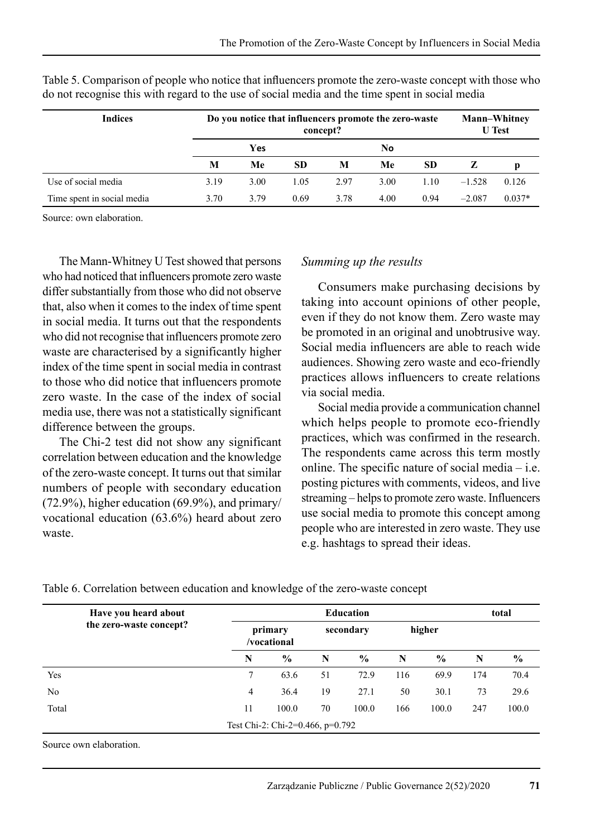| <b>Indices</b>             | Do you notice that influencers promote the zero-waste<br>concept? |      |           |      |      |           |          | <b>Mann-Whitney</b><br><b>U</b> Test |  |  |
|----------------------------|-------------------------------------------------------------------|------|-----------|------|------|-----------|----------|--------------------------------------|--|--|
|                            |                                                                   | Yes  |           |      | No   |           |          |                                      |  |  |
|                            | М                                                                 | Me   | <b>SD</b> | M    | Me   | <b>SD</b> |          | p                                    |  |  |
| Use of social media        | 3.19                                                              | 3.00 | 1.05      | 2.97 | 3.00 | 1.10      | $-1.528$ | 0.126                                |  |  |
| Time spent in social media | 3.70                                                              | 3.79 | 0.69      | 3.78 | 4.00 | 0.94      | $-2.087$ | $0.037*$                             |  |  |

Table 5. Comparison of people who notice that influencers promote the zero-waste concept with those who do not recognise this with regard to the use of social media and the time spent in social media

Source: own elaboration.

The Mann-Whitney U Test showed that persons who had noticed that influencers promote zero waste differ substantially from those who did not observe that, also when it comes to the index of time spent in social media. It turns out that the respondents who did not recognise that influencers promote zero waste are characterised by a significantly higher index of the time spent in social media in contrast to those who did notice that influencers promote zero waste. In the case of the index of social media use, there was not a statistically significant difference between the groups.

The Chi-2 test did not show any significant correlation between education and the knowledge of the zero-waste concept. It turns out that similar numbers of people with secondary education (72.9%), higher education (69.9%), and primary/ vocational education (63.6%) heard about zero waste.

#### *Summing up the results*

Consumers make purchasing decisions by taking into account opinions of other people, even if they do not know them. Zero waste may be promoted in an original and unobtrusive way. Social media influencers are able to reach wide audiences. Showing zero waste and eco-friendly practices allows influencers to create relations via social media.

Social media provide a communication channel which helps people to promote eco-friendly practices, which was confirmed in the research. The respondents came across this term mostly online. The specific nature of social media – i.e. posting pictures with comments, videos, and live streaming – helps to promote zero waste. Influencers use social media to promote this concept among people who are interested in zero waste. They use e.g. hashtags to spread their ideas.

Table 6. Correlation between education and knowledge of the zero-waste concept

| total |               |  |
|-------|---------------|--|
|       |               |  |
| N     | $\frac{6}{9}$ |  |
| 174   | 70.4          |  |
| 73    | 29.6          |  |
| 247   | 100.0         |  |
|       |               |  |
|       |               |  |

Source own elaboration.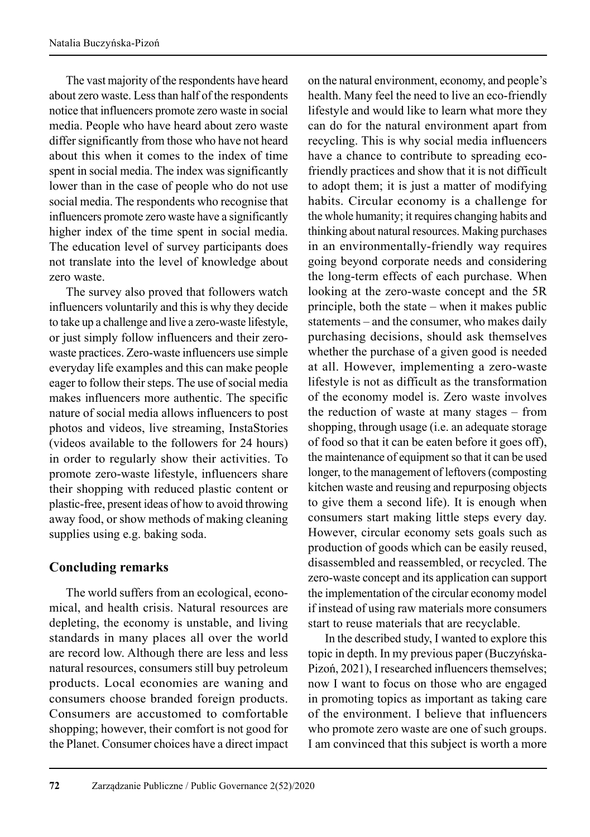The vast majority of the respondents have heard about zero waste. Less than half of the respondents notice that influencers promote zero waste in social media. People who have heard about zero waste differ significantly from those who have not heard about this when it comes to the index of time spent in social media. The index was significantly lower than in the case of people who do not use social media. The respondents who recognise that influencers promote zero waste have a significantly higher index of the time spent in social media. The education level of survey participants does not translate into the level of knowledge about zero waste.

The survey also proved that followers watch influencers voluntarily and this is why they decide to take up a challenge and live a zero-waste lifestyle, or just simply follow influencers and their zerowaste practices. Zero-waste influencers use simple everyday life examples and this can make people eager to follow their steps. The use of social media makes influencers more authentic. The specific nature of social media allows influencers to post photos and videos, live streaming, InstaStories (videos available to the followers for 24 hours) in order to regularly show their activities. To promote zero-waste lifestyle, influencers share their shopping with reduced plastic content or plastic-free, present ideas of how to avoid throwing away food, or show methods of making cleaning supplies using e.g. baking soda.

# **Concluding remarks**

The world suffers from an ecological, economical, and health crisis. Natural resources are depleting, the economy is unstable, and living standards in many places all over the world are record low. Although there are less and less natural resources, consumers still buy petroleum products. Local economies are waning and consumers choose branded foreign products. Consumers are accustomed to comfortable shopping; however, their comfort is not good for the Planet. Consumer choices have a direct impact on the natural environment, economy, and people's health. Many feel the need to live an eco-friendly lifestyle and would like to learn what more they can do for the natural environment apart from recycling. This is why social media influencers have a chance to contribute to spreading ecofriendly practices and show that it is not difficult to adopt them; it is just a matter of modifying habits. Circular economy is a challenge for the whole humanity; it requires changing habits and thinking about natural resources. Making purchases in an environmentally-friendly way requires going beyond corporate needs and considering the long-term effects of each purchase. When looking at the zero-waste concept and the 5R principle, both the state – when it makes public statements – and the consumer, who makes daily purchasing decisions, should ask themselves whether the purchase of a given good is needed at all. However, implementing a zero-waste lifestyle is not as difficult as the transformation of the economy model is. Zero waste involves the reduction of waste at many stages – from shopping, through usage (i.e. an adequate storage of food so that it can be eaten before it goes off), the maintenance of equipment so that it can be used longer, to the management of leftovers (composting kitchen waste and reusing and repurposing objects to give them a second life). It is enough when consumers start making little steps every day. However, circular economy sets goals such as production of goods which can be easily reused, disassembled and reassembled, or recycled. The zero-waste concept and its application can support the implementation of the circular economy model if instead of using raw materials more consumers start to reuse materials that are recyclable.

In the described study, I wanted to explore this topic in depth. In my previous paper (Buczyńska-Pizoń, 2021), I researched influencers themselves; now I want to focus on those who are engaged in promoting topics as important as taking care of the environment. I believe that influencers who promote zero waste are one of such groups. I am convinced that this subject is worth a more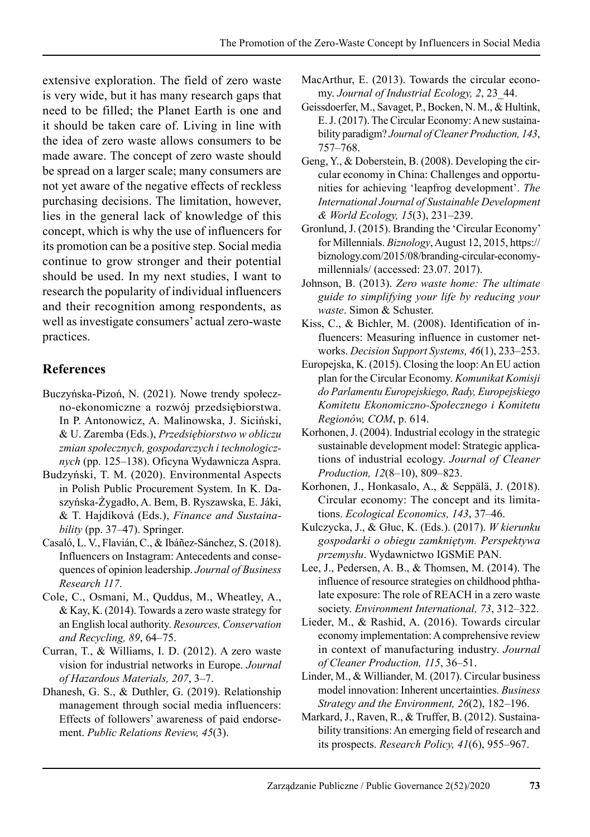extensive exploration. The field of zero waste is very wide, but it has many research gaps that need to be filled; the Planet Earth is one and it should be taken care of. Living in line with the idea of zero waste allows consumers to be made aware. The concept of zero waste should be spread on a larger scale; many consumers are not yet aware of the negative effects of reckless purchasing decisions. The limitation, however, lies in the general lack of knowledge of this concept, which is why the use of influencers for its promotion can be a positive step. Social media continue to grow stronger and their potential should be used. In my next studies, I want to research the popularity of individual influencers and their recognition among respondents, as well as investigate consumers' actual zero-waste practices.

#### **References**

- Buczyńska-Pizoń, N. (2021). Nowe trendy społeczno-ekonomiczne a rozwój przedsiębiorstwa. In P. Antonowicz, A. Malinowska, J. Siciński, & U. Zaremba (Eds.), *Przedsiębiorstwo w obliczu zmian społecznych, gospodarczych i technologicznych* (pp. 125–138). Oficyna Wydawnicza Aspra.
- Budzyński, T. M. (2020). Environmental Aspects in Polish Public Procurement System. In K. Daszyńska-Żygadło, A. Bem, B. Ryszawska, E. Jáki, & T. Hajdíková (Eds.), *Finance and Sustainability* (pp. 37–47). Springer.
- Casaló, L. V., Flavián, C., & Ibáñez-Sánchez, S. (2018). Influencers on Instagram: Antecedents and consequences of opinion leadership. *Journal of Business Research 117*.
- Cole, C., Osmani, M., Quddus, M., Wheatley, A., & Kay, K. (2014). Towards a zero waste strategy for an English local authority. *Resources, Conservation and Recycling, 89*, 64–75.
- Curran, T., & Williams, I. D. (2012). A zero waste vision for industrial networks in Europe. *Journal of Hazardous Materials, 207*, 3–7.
- Dhanesh, G. S., & Duthler, G. (2019). Relationship management through social media influencers: Effects of followers' awareness of paid endorsement. *Public Relations Review, 45*(3).
- MacArthur, E. (2013). Towards the circular economy. *Journal of Industrial Ecology, 2*, 23\_44.
- Geissdoerfer, M., Savaget, P., Bocken, N. M., & Hultink, E. J. (2017). The Circular Economy: A new sustainability paradigm? *Journal of Cleaner Production, 143*, 757–768.
- Geng, Y., & Doberstein, B. (2008). Developing the circular economy in China: Challenges and opportunities for achieving 'leapfrog development'. *The International Journal of Sustainable Development & World Ecology, 15*(3), 231–239.
- Gronlund, J. (2015). Branding the 'Circular Economy' for Millennials. *Biznology*, August 12, 2015, https:// biznology.com/2015/08/branding-circular-economymillennials/ (accessed: 23.07. 2017).
- Johnson, B. (2013). *Zero waste home: The ultimate guide to simplifying your life by reducing your waste*. Simon & Schuster.
- Kiss, C., & Bichler, M. (2008). Identification of influencers: Measuring influence in customer networks. *Decision Support Systems, 46*(1), 233–253.
- Europejska, K. (2015). Closing the loop: An EU action plan for the Circular Economy. *Komunikat Komisji do Parlamentu Europejskiego, Rady, Europejskiego Komitetu Ekonomiczno-Społecznego i Komitetu Regionów, COM*, p. 614.
- Korhonen, J. (2004). Industrial ecology in the strategic sustainable development model: Strategic applications of industrial ecology. *Journal of Cleaner Production, 12*(8–10), 809–823.
- Korhonen, J., Honkasalo, A., & Seppälä, J. (2018). Circular economy: The concept and its limitations. *Ecological Economics, 143*, 37–46.
- Kulczycka, J., & Głuc, K. (Eds.). (2017). *W kierunku gospodarki o obiegu zamkniętym. Perspektywa przemysłu*. Wydawnictwo IGSMiE PAN.
- Lee, J., Pedersen, A. B., & Thomsen, M. (2014). The influence of resource strategies on childhood phthalate exposure: The role of REACH in a zero waste society. *Environment International, 73*, 312–322.
- Lieder, M., & Rashid, A. (2016). Towards circular economy implementation: A comprehensive review in context of manufacturing industry. *Journal of Cleaner Production, 115*, 36–51.
- Linder, M., & Williander, M. (2017). Circular business model innovation: Inherent uncertainties. *Business Strategy and the Environment, 26*(2), 182–196.
- Markard, J., Raven, R., & Truffer, B. (2012). Sustaina bility transitions: An emerging field of research and its prospects. *Research Policy, 41*(6), 955–967.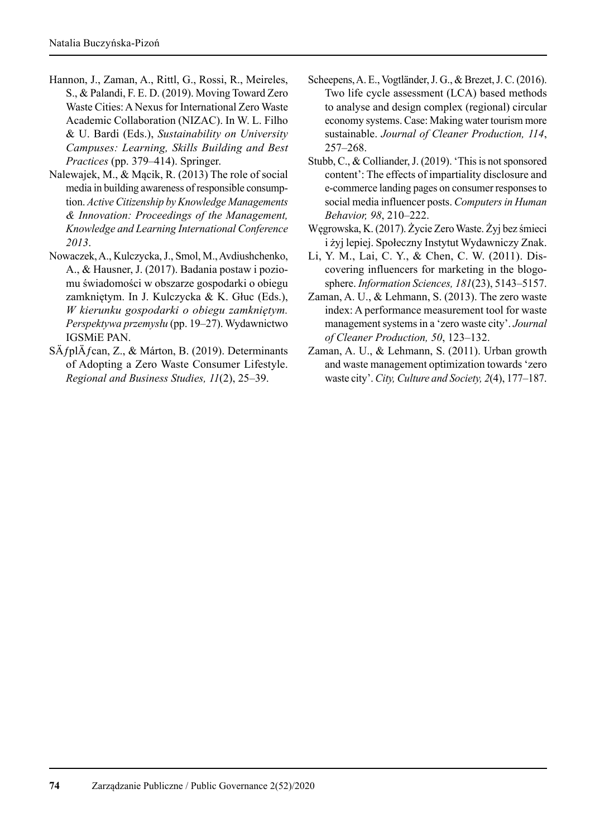- Hannon, J., Zaman, A., Rittl, G., Rossi, R., Meireles, S., & Palandi, F. E. D. (2019). Moving Toward Zero Waste Cities: A Nexus for International Zero Waste Academic Collaboration (NIZAC). In W. L. Filho & U. Bardi (Eds.), *Sustainability on University Campuses: Learning, Skills Building and Best Practices* (pp. 379–414). Springer.
- Nalewajek, M., & Mącik, R. (2013) The role of social media in building awareness of responsible consumption. *Active Citizenship by Knowledge Managements & Innovation: Proceedings of the Management, Knowledge and Learning International Conference 2013*.
- Nowaczek, A., Kulczycka, J., Smol, M., Avdiushchenko, A., & Hausner, J. (2017). Badania postaw i poziomu świadomości w obszarze gospodarki o obiegu zamkniętym. In J. Kulczycka & K. Głuc (Eds.), *W kierunku gospodarki o obiegu zamkniętym. Perspektywa przemysłu* (pp. 19–27). Wydawnictwo IGSMiE PAN.
- SÄ fplÄ fcan, Z., & Márton, B. (2019). Determinants of Adopting a Zero Waste Consumer Lifestyle. *Regional and Business Studies, 11*(2), 25–39.
- Scheepens, A. E., Vogtländer, J. G., & Brezet, J. C. (2016). Two life cycle assessment (LCA) based methods to analyse and design complex (regional) circular economy systems. Case: Making water tourism more sustainable. *Journal of Cleaner Production, 114*, 257–268.
- Stubb, C., & Colliander, J. (2019). 'This is not sponsored content': The effects of impartiality disclosure and e-commerce landing pages on consumer responses to social media influencer posts. *Computers in Human Behavior, 98*, 210–222.
- Węgrowska, K. (2017). Życie Zero Waste. Żyj bez śmieci i żyj lepiej. Społeczny Instytut Wydawniczy Znak.
- Li, Y. M., Lai, C. Y., & Chen, C. W. (2011). Discovering influencers for marketing in the blogosphere. *Information Sciences, 181*(23), 5143–5157.
- Zaman, A. U., & Lehmann, S. (2013). The zero waste index: A performance measurement tool for waste management systems in a 'zero waste city'. *Journal of Cleaner Production, 50*, 123–132.
- Zaman, A. U., & Lehmann, S. (2011). Urban growth and waste management optimization towards 'zero waste city'. *City, Culture and Society, 2*(4), 177–187.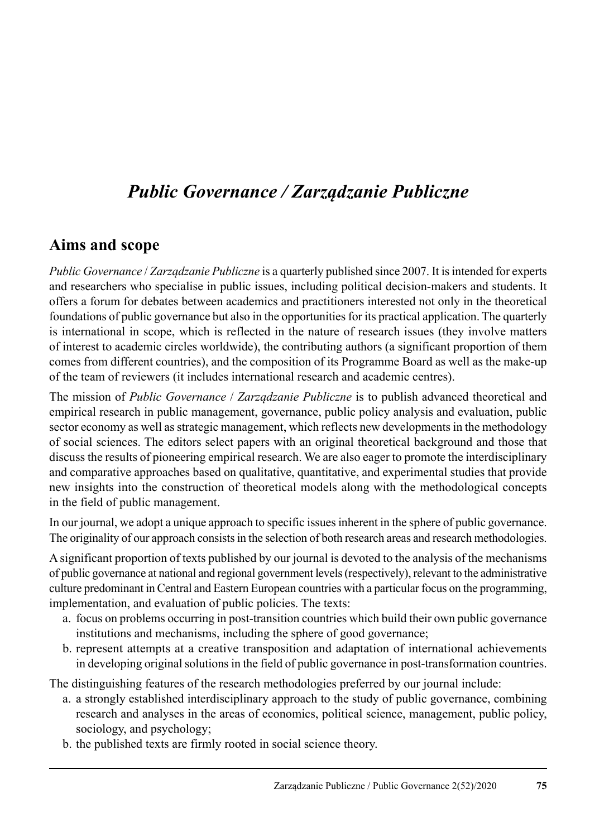# *Public Governance / Zarządzanie Publiczne*

### **Aims and scope**

*Public Governance* / *Zarządzanie Publiczne* is a quarterly published since 2007. It is intended for experts and researchers who specialise in public issues, including political decision-makers and students. It offers a forum for debates between academics and practitioners interested not only in the theoretical foundations of public governance but also in the opportunities for its practical application. The quarterly is international in scope, which is reflected in the nature of research issues (they involve matters of interest to academic circles worldwide), the contributing authors (a significant proportion of them comes from different countries), and the composition of its Programme Board as well as the make-up of the team of reviewers (it includes international research and academic centres).

The mission of *Public Governance* / *Zarządzanie Publiczne* is to publish advanced theoretical and empirical research in public management, governance, public policy analysis and evaluation, public sector economy as well as strategic management, which reflects new developments in the methodology of social sciences. The editors select papers with an original theoretical background and those that discuss the results of pioneering empirical research. We are also eager to promote the interdisciplinary and comparative approaches based on qualitative, quantitative, and experimental studies that provide new insights into the construction of theoretical models along with the methodological concepts in the field of public management.

In our journal, we adopt a unique approach to specific issues inherent in the sphere of public governance. The originality of our approach consists in the selection of both research areas and research methodologies.

A significant proportion of texts published by our journal is devoted to the analysis of the mechanisms of public governance at national and regional government levels (respectively), relevant to the administrative culture predominant in Central and Eastern European countries with a particular focus on the programming, implementation, and evaluation of public policies. The texts:

- a. focus on problems occurring in post-transition countries which build their own public governance institutions and mechanisms, including the sphere of good governance;
- b. represent attempts at a creative transposition and adaptation of international achievements in developing original solutions in the field of public governance in post-transformation countries.

The distinguishing features of the research methodologies preferred by our journal include:

- a. a strongly established interdisciplinary approach to the study of public governance, combining research and analyses in the areas of economics, political science, management, public policy, sociology, and psychology;
- b. the published texts are firmly rooted in social science theory.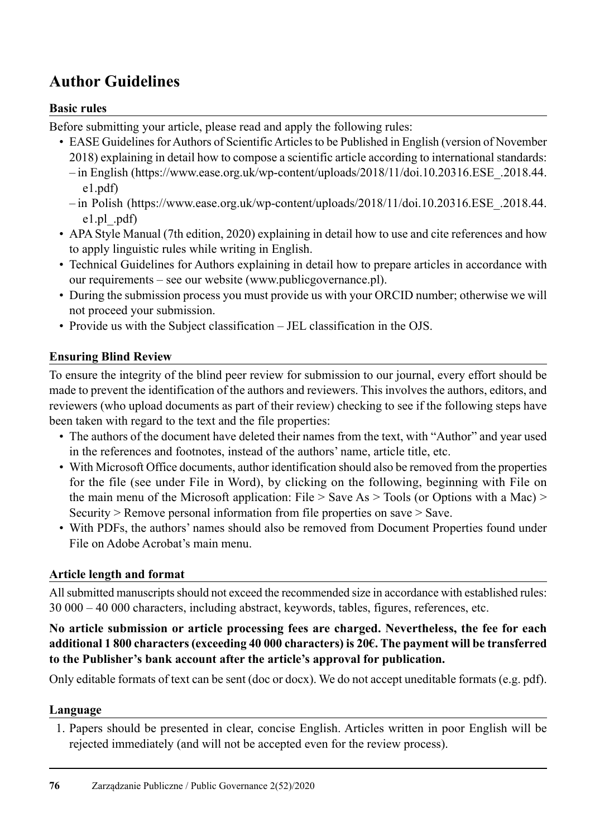### **Author Guidelines**

#### **Basic rules**

Before submitting your article, please read and apply the following rules:

- EASE Guidelines for Authors of Scientific Articles to be Published in English (version of November 2018) explaining in detail how to compose a scientific article according to international standards: – in English (https://www.ease.org.uk/wp-content/uploads/2018/11/doi.10.20316.ESE\_.2018.44.
	- e1.pdf)
	- in Polish (https://www.ease.org.uk/wp-content/uploads/2018/11/doi.10.20316.ESE\_.2018.44. e1.pl\_.pdf)
- APA Style Manual (7th edition, 2020) explaining in detail how to use and cite references and how to apply linguistic rules while writing in English.
- Technical Guidelines for Authors explaining in detail how to prepare articles in accordance with our requirements – see our website (www.publicgovernance.pl).
- During the submission process you must provide us with your ORCID number; otherwise we will not proceed your submission.
- Provide us with the Subject classification JEL classification in the OJS.

#### **Ensuring Blind Review**

To ensure the integrity of the blind peer review for submission to our journal, every effort should be made to prevent the identification of the authors and reviewers. This involves the authors, editors, and reviewers (who upload documents as part of their review) checking to see if the following steps have been taken with regard to the text and the file properties:

- The authors of the document have deleted their names from the text, with "Author" and year used in the references and footnotes, instead of the authors' name, article title, etc.
- With Microsoft Office documents, author identification should also be removed from the properties for the file (see under File in Word), by clicking on the following, beginning with File on the main menu of the Microsoft application: File  $>$  Save As  $>$  Tools (or Options with a Mac)  $>$ Security > Remove personal information from file properties on save > Save.
- With PDFs, the authors' names should also be removed from Document Properties found under File on Adobe Acrobat's main menu.

#### **Article length and format**

All submitted manuscripts should not exceed the recommended size in accordance with established rules: 30 000 – 40 000 characters, including abstract, keywords, tables, figures, references, etc.

#### **No article submission or article processing fees are charged. Nevertheless, the fee for each additional 1 800 characters (exceeding 40 000 characters) is 20€. The payment will be transferred to the Publisher's bank account after the article's approval for publication.**

Only editable formats of text can be sent (doc or docx). We do not accept uneditable formats (e.g. pdf).

#### **Language**

1. Papers should be presented in clear, concise English. Articles written in poor English will be rejected immediately (and will not be accepted even for the review process).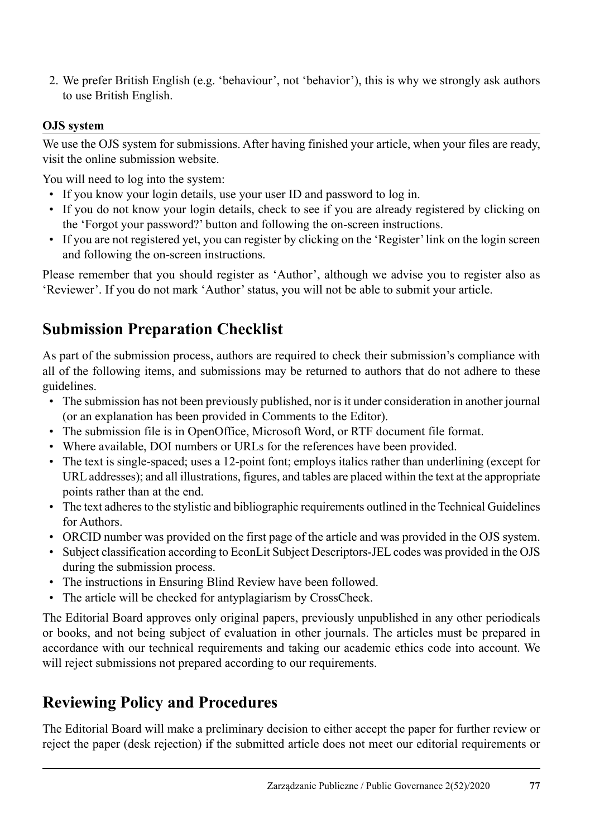2. We prefer British English (e.g. 'behaviour', not 'behavior'), this is why we strongly ask authors to use British English.

#### **OJS system**

We use the OJS system for submissions. After having finished your article, when your files are ready, visit the online submission website.

You will need to log into the system:

- If you know your login details, use your user ID and password to log in.
- If you do not know your login details, check to see if you are already registered by clicking on the 'Forgot your password?' button and following the on-screen instructions.
- If you are not registered yet, you can register by clicking on the 'Register' link on the login screen and following the on-screen instructions.

Please remember that you should register as 'Author', although we advise you to register also as 'Reviewer'. If you do not mark 'Author' status, you will not be able to submit your article.

## **Submission Preparation Checklist**

As part of the submission process, authors are required to check their submission's compliance with all of the following items, and submissions may be returned to authors that do not adhere to these guidelines.

- The submission has not been previously published, nor is it under consideration in another journal (or an explanation has been provided in Comments to the Editor).
- The submission file is in OpenOffice, Microsoft Word, or RTF document file format.
- Where available, DOI numbers or URLs for the references have been provided.
- The text is single-spaced; uses a 12-point font; employs italics rather than underlining (except for URL addresses); and all illustrations, figures, and tables are placed within the text at the appropriate points rather than at the end.
- The text adheres to the stylistic and bibliographic requirements outlined in the Technical Guidelines for Authors.
- ORCID number was provided on the first page of the article and was provided in the OJS system.
- Subject classification according to EconLit Subject Descriptors-JEL codes was provided in the OJS during the submission process.
- The instructions in Ensuring Blind Review have been followed.
- The article will be checked for antyplagiarism by CrossCheck.

The Editorial Board approves only original papers, previously unpublished in any other periodicals or books, and not being subject of evaluation in other journals. The articles must be prepared in accordance with our technical requirements and taking our academic ethics code into account. We will reject submissions not prepared according to our requirements.

## **Reviewing Policy and Procedures**

The Editorial Board will make a preliminary decision to either accept the paper for further review or reject the paper (desk rejection) if the submitted article does not meet our editorial requirements or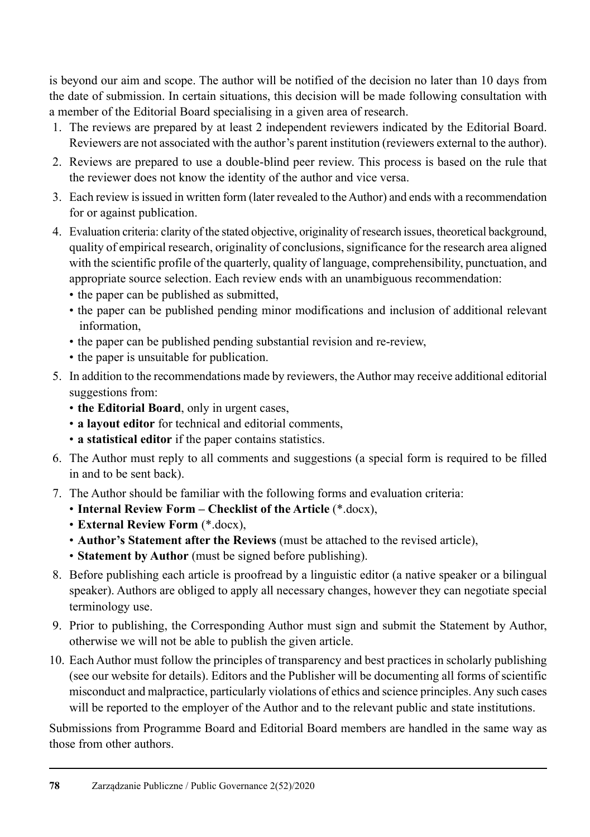is beyond our aim and scope. The author will be notified of the decision no later than 10 days from the date of submission. In certain situations, this decision will be made following consultation with a member of the Editorial Board specialising in a given area of research.

- 1. The reviews are prepared by at least 2 independent reviewers indicated by the Editorial Board. Reviewers are not associated with the author's parent institution (reviewers external to the author).
- 2. Reviews are prepared to use a double-blind peer review. This process is based on the rule that the reviewer does not know the identity of the author and vice versa.
- 3. Each review is issued in written form (later revealed to the Author) and ends with a recommendation for or against publication.
- 4. Evaluation criteria: clarity of the stated objective, originality of research issues, theoretical background, quality of empirical research, originality of conclusions, significance for the research area aligned with the scientific profile of the quarterly, quality of language, comprehensibility, punctuation, and appropriate source selection. Each review ends with an unambiguous recommendation:
	- the paper can be published as submitted,
	- the paper can be published pending minor modifications and inclusion of additional relevant information,
	- the paper can be published pending substantial revision and re-review,
	- the paper is unsuitable for publication.
- 5. In addition to the recommendations made by reviewers, the Author may receive additional editorial suggestions from:
	- **the Editorial Board**, only in urgent cases,
	- **a layout editor** for technical and editorial comments,
	- **a statistical editor** if the paper contains statistics.
- 6. The Author must reply to all comments and suggestions (a special form is required to be filled in and to be sent back).
- 7. The Author should be familiar with the following forms and evaluation criteria:
	- **Internal Review Form Checklist of the Article** (\*.docx),
	- **External Review Form** (\*.docx),
	- **Author's Statement after the Reviews** (must be attached to the revised article),
	- **Statement by Author** (must be signed before publishing).
- 8. Before publishing each article is proofread by a linguistic editor (a native speaker or a bilingual speaker). Authors are obliged to apply all necessary changes, however they can negotiate special terminology use.
- 9. Prior to publishing, the Corresponding Author must sign and submit the Statement by Author, otherwise we will not be able to publish the given article.
- 10. Each Author must follow the principles of transparency and best practices in scholarly publishing (see our website for details). Editors and the Publisher will be documenting all forms of scientific misconduct and malpractice, particularly violations of ethics and science principles. Any such cases will be reported to the employer of the Author and to the relevant public and state institutions.

Submissions from Programme Board and Editorial Board members are handled in the same way as those from other authors.